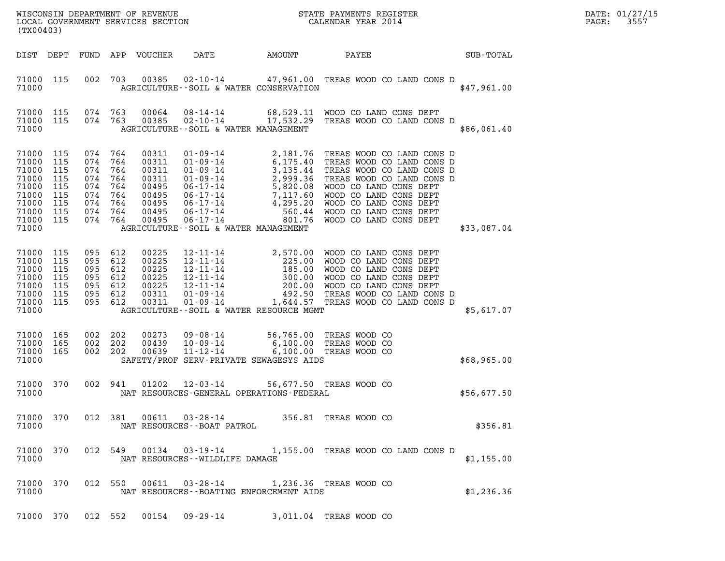| DATE: | 01/27/15 |
|-------|----------|
| PAGE: | 3557     |

| (TX00403)                                                                              |                                                             |                                                                 |                                                      |                                                                               | WISCONSIN DEPARTMENT OF REVENUE<br>LOCAL GOVERNMENT SERVICES SECTION                                                                                                                                                                                                                                                                 |                       | STATE PAYMENTS REGISTER<br>CALENDAR YEAR 2014                                                                                                                                                                                                      |             | DATE: 01/27/15<br>PAGE:<br>3557 |
|----------------------------------------------------------------------------------------|-------------------------------------------------------------|-----------------------------------------------------------------|------------------------------------------------------|-------------------------------------------------------------------------------|--------------------------------------------------------------------------------------------------------------------------------------------------------------------------------------------------------------------------------------------------------------------------------------------------------------------------------------|-----------------------|----------------------------------------------------------------------------------------------------------------------------------------------------------------------------------------------------------------------------------------------------|-------------|---------------------------------|
| DIST DEPT                                                                              |                                                             |                                                                 |                                                      | FUND APP VOUCHER                                                              | DATE                                                                                                                                                                                                                                                                                                                                 | AMOUNT                | PAYEE                                                                                                                                                                                                                                              | SUB-TOTAL   |                                 |
| 71000 115<br>71000                                                                     |                                                             | 002                                                             | 703                                                  | 00385                                                                         | AGRICULTURE -- SOIL & WATER CONSERVATION                                                                                                                                                                                                                                                                                             |                       | 02-10-14 47,961.00 TREAS WOOD CO LAND CONS D                                                                                                                                                                                                       | \$47,961.00 |                                 |
| 71000 115<br>71000<br>71000                                                            | 115                                                         | 074 763<br>074 763                                              |                                                      | 00064<br>00385                                                                | AGRICULTURE--SOIL & WATER MANAGEMENT                                                                                                                                                                                                                                                                                                 |                       | 08-14-14 68,529.11 WOOD CO LAND CONS DEPT<br>02-10-14 17,532.29 TREAS WOOD CO LAND CONS D                                                                                                                                                          | \$86,061.40 |                                 |
| 71000<br>71000<br>71000<br>71000<br>71000<br>71000<br>71000<br>71000<br>71000<br>71000 | 115<br>115<br>115<br>115<br>115<br>115<br>115<br>115<br>115 | 074<br>074<br>074<br>074<br>074<br>074<br>074<br>074<br>074 764 | 764<br>764<br>764<br>764<br>764<br>764<br>764<br>764 | 00311<br>00311<br>00311<br>00311<br>00495<br>00495<br>00495<br>00495<br>00495 | $01 - 09 - 14$<br>01-09-14<br>01-09-14<br>01-09-14<br>01-09-14<br>05.175.44<br>01-09-14<br>2,999.36<br>06-17-14<br>7,117.60<br>06-17-14<br>06-17-14<br>06-17-14<br>06-17-14<br>06-17-14<br>06-17-14<br>06-17-14<br>06-17-14<br>06-17-14<br>06-17-14<br>06-17-14<br>06-17-14<br>06-17-14<br>0<br>AGRICULTURE--SOIL & WATER MANAGEMENT | 2,181.76              | TREAS WOOD CO LAND CONS D<br>TREAS WOOD CO LAND CONS D<br>TREAS WOOD CO LAND CONS D<br>TREAS WOOD CO LAND CONS D<br>WOOD CO LAND CONS DEPT<br>WOOD CO LAND CONS DEPT<br>WOOD CO LAND CONS DEPT<br>WOOD CO LAND CONS DEPT<br>WOOD CO LAND CONS DEPT | \$33,087.04 |                                 |
| 71000<br>71000<br>71000<br>71000<br>71000<br>71000<br>71000<br>71000                   | 115<br>115<br>115<br>115<br>115<br>115<br>115               | 095<br>095<br>095<br>095<br>095<br>095<br>095 612               | 612<br>612<br>612<br>612<br>612<br>612               | 00225<br>00225<br>00225<br>00225<br>00225<br>00311<br>00311                   | AGRICULTURE--SOIL & WATER RESOURCE MGMT                                                                                                                                                                                                                                                                                              |                       |                                                                                                                                                                                                                                                    | \$5,617.07  |                                 |
| 71000<br>71000<br>71000<br>71000                                                       | 165<br>165<br>165                                           | 002<br>002 202<br>002 202                                       | 202                                                  | 00273<br>00439<br>00639                                                       | 09-08-14<br>10-09-14<br>11-12-14<br>SAFETY/PROF SERV-PRIVATE SEWAGESYS AIDS                                                                                                                                                                                                                                                          | 56,765.00<br>6,100.00 | TREAS WOOD CO<br>TREAS WOOD CO<br>6,100.00 TREAS WOOD CO                                                                                                                                                                                           | \$68,965.00 |                                 |
| 71000 370<br>71000                                                                     |                                                             |                                                                 | 002 941                                              | 01202                                                                         | 12-03-14<br>NAT RESOURCES-GENERAL OPERATIONS-FEDERAL                                                                                                                                                                                                                                                                                 |                       | 56,677.50 TREAS WOOD CO                                                                                                                                                                                                                            | \$56,677.50 |                                 |
| 71000 370<br>71000                                                                     |                                                             |                                                                 | 012 381                                              |                                                                               | 00611  03-28-14  356.81 TREAS WOOD CO<br>NAT RESOURCES--BOAT PATROL                                                                                                                                                                                                                                                                  |                       |                                                                                                                                                                                                                                                    | \$356.81    |                                 |
| 71000 370<br>71000                                                                     |                                                             |                                                                 | 012 549                                              |                                                                               | NAT RESOURCES - - WILDLIFE DAMAGE                                                                                                                                                                                                                                                                                                    |                       | 00134  03-19-14  1,155.00 TREAS WOOD CO LAND CONS D                                                                                                                                                                                                | \$1,155.00  |                                 |
| 71000 370<br>71000                                                                     |                                                             |                                                                 | 012 550                                              |                                                                               | 00611  03-28-14<br>NAT RESOURCES--BOATING ENFORCEMENT AIDS                                                                                                                                                                                                                                                                           |                       | 1,236.36 TREAS WOOD CO                                                                                                                                                                                                                             | \$1,236.36  |                                 |
| 71000 370                                                                              |                                                             |                                                                 | 012 552                                              |                                                                               | 00154  09-29-14  3,011.04  TREAS WOOD CO                                                                                                                                                                                                                                                                                             |                       |                                                                                                                                                                                                                                                    |             |                                 |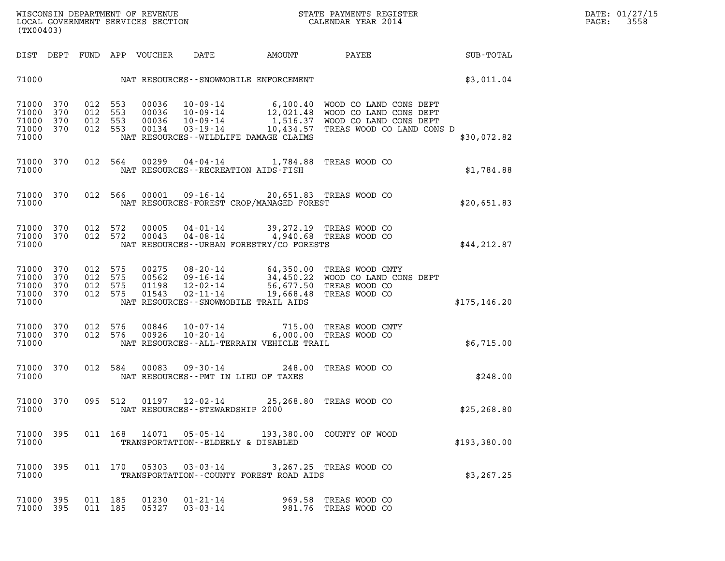| (TX00403)                                         |            |                                          |         |                |                                    | WISCONSIN DEPARTMENT OF REVENUE<br>LOCAL GOVERNMENT SERVICES SECTION FOR THE STATE PAYMENTS REGISTER<br>CALENDAR YEAR 2014                                                                                                |                                              |               | DATE: 01/27/15<br>PAGE: 3558 |
|---------------------------------------------------|------------|------------------------------------------|---------|----------------|------------------------------------|---------------------------------------------------------------------------------------------------------------------------------------------------------------------------------------------------------------------------|----------------------------------------------|---------------|------------------------------|
|                                                   |            |                                          |         |                |                                    | DIST DEPT FUND APP VOUCHER DATE AMOUNT PAYEE                                                                                                                                                                              |                                              | SUB-TOTAL     |                              |
|                                                   |            |                                          |         |                |                                    | 71000 NAT RESOURCES - SNOWMOBILE ENFORCEMENT                                                                                                                                                                              |                                              | \$3,011.04    |                              |
| 71000 370<br>71000<br>71000<br>71000 370<br>71000 | 370<br>370 | 012 553<br>012 553<br>012 553<br>012 553 |         |                |                                    | NAT RESOURCES--WILDLIFE DAMAGE CLAIMS                                                                                                                                                                                     |                                              | \$30,072.82   |                              |
| 71000                                             | 71000 370  |                                          |         |                |                                    | 012 564 00299 04-04-14 1,784.88 TREAS WOOD CO<br>NAT RESOURCES - - RECREATION AIDS - FISH                                                                                                                                 |                                              | \$1,784.88    |                              |
| 71000                                             | 71000 370  |                                          |         |                |                                    | 012 566 00001 09-16-14 20,651.83 TREAS WOOD CO<br>NAT RESOURCES-FOREST CROP/MANAGED FOREST                                                                                                                                |                                              | \$20,651.83   |                              |
| 71000 370<br>71000 370<br>71000                   |            | 012 572<br>012 572                       |         | 00005<br>00043 |                                    | 04-01-14 39,272.19 TREAS WOOD CO<br>04-08-14 4,940.68 TREAS WOOD CO<br>NAT RESOURCES - URBAN FORESTRY/CO FORESTS                                                                                                          |                                              | \$44, 212.87  |                              |
| 71000 370<br>71000<br>71000<br>71000 370<br>71000 | 370<br>370 | 012 575<br>012 575<br>012 575<br>012 575 |         |                |                                    | 00275 08-20-14 64,350.00 TREAS WOOD CNTY<br>00562 09-16-14 34,450.22 WOOD CO LAND CONS DEPT<br>01198 12-02-14 56,677.50 TREAS WOOD CO<br>01543 02-11-14 19,668.48 TREAS WOOD CO<br>NAT RESOURCES -- SNOWMOBILE TRAIL AIDS |                                              | \$175, 146.20 |                              |
| 71000<br>71000 370<br>71000                       | 370        | 012 576<br>012 576                       |         |                |                                    | 00846  10-07-14  715.00 TREAS WOOD CNTY<br>00926  10-20-14  6,000.00 TREAS WOOD CO<br>NAT RESOURCES--ALL-TERRAIN VEHICLE TRAIL                                                                                            |                                              | \$6,715.00    |                              |
| 71000                                             | 71000 370  |                                          | 012 584 |                |                                    | 00083  09-30-14  248.00 TREAS WOOD CO<br>NAT RESOURCES -- PMT IN LIEU OF TAXES                                                                                                                                            |                                              | \$248.00      |                              |
| 71000 370<br>71000                                |            | 095 512                                  |         |                | NAT RESOURCES - - STEWARDSHIP 2000 | 01197  12-02-14  25,268.80 TREAS WOOD CO                                                                                                                                                                                  |                                              | \$25,268.80   |                              |
| 71000 395<br>71000                                |            |                                          |         |                |                                    | 011  168  14071  05-05-14  193,380.00  COUNTY OF WOOD<br>TRANSPORTATION--ELDERLY & DISABLED                                                                                                                               |                                              | \$193,380.00  |                              |
| 71000 395<br>71000                                |            |                                          |         |                | 011 170 05303 03-03-14             | TRANSPORTATION--COUNTY FOREST ROAD AIDS                                                                                                                                                                                   | 3,267.25 TREAS WOOD CO                       | \$3, 267.25   |                              |
| 71000 395<br>71000 395                            |            | 011 185<br>011 185                       |         | 01230<br>05327 | $01 - 21 - 14$<br>$03 - 03 - 14$   |                                                                                                                                                                                                                           | 969.58 TREAS WOOD CO<br>981.76 TREAS WOOD CO |               |                              |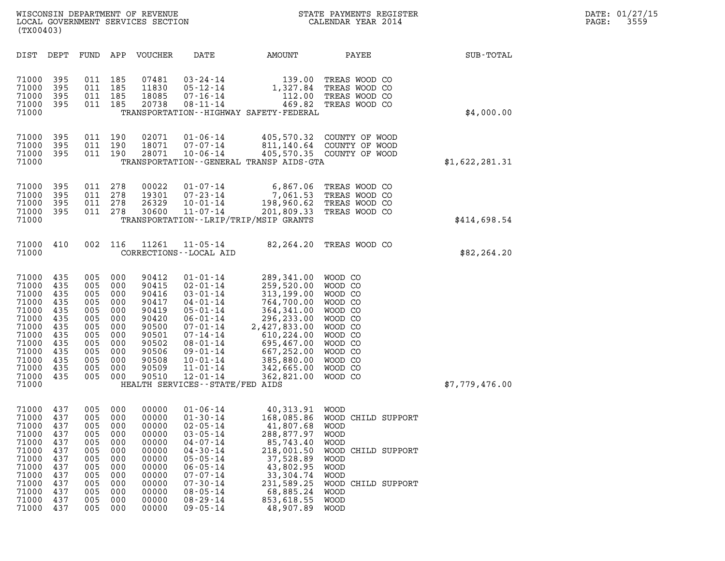| (TX00403)                                                                                                                  |                                                                                         |                                                                                         |                                                                                         |                                                                                                                   |                                                                                                                                                                                                                                                                           |                                                                                                                                                                                       |                                                                                                                                                                                                                      |                |
|----------------------------------------------------------------------------------------------------------------------------|-----------------------------------------------------------------------------------------|-----------------------------------------------------------------------------------------|-----------------------------------------------------------------------------------------|-------------------------------------------------------------------------------------------------------------------|---------------------------------------------------------------------------------------------------------------------------------------------------------------------------------------------------------------------------------------------------------------------------|---------------------------------------------------------------------------------------------------------------------------------------------------------------------------------------|----------------------------------------------------------------------------------------------------------------------------------------------------------------------------------------------------------------------|----------------|
| DIST                                                                                                                       | DEPT                                                                                    | FUND                                                                                    | APP                                                                                     | <b>VOUCHER</b>                                                                                                    | DATE                                                                                                                                                                                                                                                                      | AMOUNT                                                                                                                                                                                | PAYEE                                                                                                                                                                                                                | SUB-TOTAL      |
| 71000<br>71000<br>71000<br>71000<br>71000                                                                                  | 395<br>395<br>395<br>395                                                                | 011<br>011<br>011<br>011                                                                | 185<br>185<br>185<br>185                                                                | 07481<br>11830<br>18085<br>20738                                                                                  | $03 - 24 - 14$<br>$05 - 12 - 14$<br>$07 - 16 - 14$<br>$08 - 11 - 14$                                                                                                                                                                                                      | 139.00<br>1,327.84<br>112.00<br>469.82<br>TRANSPORTATION - - HIGHWAY SAFETY - FEDERAL                                                                                                 | TREAS WOOD CO<br>TREAS WOOD CO<br>TREAS WOOD CO<br>TREAS WOOD CO                                                                                                                                                     | \$4,000.00     |
| 71000<br>71000<br>71000<br>71000                                                                                           | 395<br>395<br>395                                                                       | 011<br>011<br>011                                                                       | 190<br>190<br>190                                                                       | 02071<br>18071<br>28071                                                                                           | $01 - 06 - 14$<br>$07 - 07 - 14$<br>$10 - 06 - 14$                                                                                                                                                                                                                        | 405,570.32<br>811,140.64<br>405,570.35<br>TRANSPORTATION - - GENERAL TRANSP AIDS - GTA                                                                                                | COUNTY OF WOOD<br>COUNTY OF WOOD<br>COUNTY OF WOOD                                                                                                                                                                   | \$1,622,281.31 |
| 71000<br>71000<br>71000<br>71000<br>71000                                                                                  | 395<br>395<br>395<br>395                                                                | 011<br>011<br>011<br>011                                                                | 278<br>278<br>278<br>278                                                                | 00022<br>19301<br>26329<br>30600                                                                                  | $01 - 07 - 14$<br>$07 - 23 - 14$<br>$10 - 01 - 14$<br>$11 - 07 - 14$                                                                                                                                                                                                      | 6,867.06<br>7,061.53<br>198,960.62<br>201,809.33<br>TRANSPORTATION--LRIP/TRIP/MSIP GRANTS                                                                                             | TREAS WOOD CO<br>TREAS WOOD CO<br>TREAS WOOD CO<br>TREAS WOOD CO                                                                                                                                                     | \$414,698.54   |
| 71000<br>71000                                                                                                             | 410                                                                                     | 002                                                                                     | 116                                                                                     | 11261                                                                                                             | $11 - 05 - 14$<br>CORRECTIONS - - LOCAL AID                                                                                                                                                                                                                               | 82,264.20                                                                                                                                                                             | TREAS WOOD CO                                                                                                                                                                                                        | \$82, 264.20   |
| 71000<br>71000<br>71000<br>71000<br>71000<br>71000<br>71000<br>71000<br>71000<br>71000<br>71000<br>71000<br>71000<br>71000 | 435<br>435<br>435<br>435<br>435<br>435<br>435<br>435<br>435<br>435<br>435<br>435<br>435 | 005<br>005<br>005<br>005<br>005<br>005<br>005<br>005<br>005<br>005<br>005<br>005<br>005 | 000<br>000<br>000<br>000<br>000<br>000<br>000<br>000<br>000<br>000<br>000<br>000<br>000 | 90412<br>90415<br>90416<br>90417<br>90419<br>90420<br>90500<br>90501<br>90502<br>90506<br>90508<br>90509<br>90510 | $01 - 01 - 14$<br>$02 - 01 - 14$<br>$03 - 01 - 14$<br>$04 - 01 - 14$<br>$05 - 01 - 14$<br>$06 - 01 - 14$<br>$07 - 01 - 14$<br>$07 - 14 - 14$<br>$08 - 01 - 14$<br>$09 - 01 - 14$<br>$10 - 01 - 14$<br>$11 - 01 - 14$<br>$12 - 01 - 14$<br>HEALTH SERVICES--STATE/FED AIDS | 289,341.00<br>259,520.00<br>313,199.00<br>764,700.00<br>364, 341.00<br>296,233.00<br>2,427,833.00<br>610,224.00<br>695,467.00<br>667,252.00<br>385,880.00<br>342,665.00<br>362,821.00 | WOOD CO<br>WOOD CO<br>WOOD CO<br>WOOD CO<br>WOOD CO<br>WOOD CO<br>WOOD CO<br>WOOD CO<br>WOOD CO<br>WOOD CO<br>WOOD CO<br>WOOD CO<br>WOOD CO                                                                          | \$7,779,476.00 |
| 71000<br>71000<br>71000<br>71000<br>71000<br>71000<br>71000<br>71000<br>71000<br>71000<br>71000<br>71000<br>71000          | 437<br>437<br>437<br>437<br>437<br>437<br>437<br>437<br>437<br>437<br>437<br>437<br>437 | 005<br>005<br>005<br>005<br>005<br>005<br>005<br>005<br>005<br>005<br>005<br>005<br>005 | 000<br>000<br>000<br>000<br>000<br>000<br>000<br>000<br>000<br>000<br>000<br>000<br>000 | 00000<br>00000<br>00000<br>00000<br>00000<br>00000<br>00000<br>00000<br>00000<br>00000<br>00000<br>00000<br>00000 | $01 - 06 - 14$<br>$01 - 30 - 14$<br>$02 - 05 - 14$<br>$03 - 05 - 14$<br>$04 - 07 - 14$<br>$04 - 30 - 14$<br>$05 - 05 - 14$<br>$06 - 05 - 14$<br>$07 - 07 - 14$<br>$07 - 30 - 14$<br>$08 - 05 - 14$<br>$08 - 29 - 14$<br>$09 - 05 - 14$                                    | 40,313.91<br>168,085.86<br>41,807.68<br>288,877.97<br>85,743.40<br>218,001.50<br>37,528.89<br>43,802.95<br>33,304.74<br>231,589.25<br>68,885.24<br>853,618.55<br>48,907.89            | <b>WOOD</b><br>WOOD CHILD SUPPORT<br><b>WOOD</b><br><b>WOOD</b><br><b>WOOD</b><br>WOOD CHILD SUPPORT<br><b>WOOD</b><br><b>WOOD</b><br><b>WOOD</b><br>WOOD CHILD SUPPORT<br><b>WOOD</b><br><b>WOOD</b><br><b>WOOD</b> |                |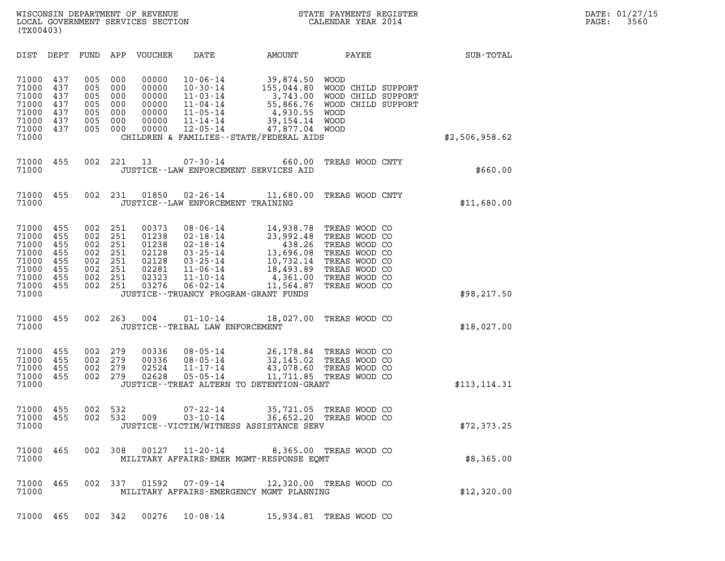| (TX00403)                                                                     |                                                      |                                                      |                                                      |                                                                      |                                                                                                                                                                                           |                                                                                                                                        |                                                                                                                                      |                                                                |                |  |
|-------------------------------------------------------------------------------|------------------------------------------------------|------------------------------------------------------|------------------------------------------------------|----------------------------------------------------------------------|-------------------------------------------------------------------------------------------------------------------------------------------------------------------------------------------|----------------------------------------------------------------------------------------------------------------------------------------|--------------------------------------------------------------------------------------------------------------------------------------|----------------------------------------------------------------|----------------|--|
| DIST                                                                          | DEPT                                                 | FUND                                                 | APP                                                  | <b>VOUCHER</b>                                                       | DATE                                                                                                                                                                                      | AMOUNT                                                                                                                                 | PAYEE                                                                                                                                |                                                                | SUB-TOTAL      |  |
| 71000<br>71000<br>71000<br>71000<br>71000<br>71000<br>71000<br>71000          | 437<br>437<br>437<br>437<br>437<br>437<br>437        | 005<br>005<br>005<br>005<br>005<br>005<br>005        | 000<br>000<br>000<br>000<br>000<br>000<br>000        | 00000<br>00000<br>00000<br>00000<br>00000<br>00000<br>00000          | $10 - 06 - 14$<br>$10 - 30 - 14$<br>$11 - 03 - 14$<br>$11 - 04 - 14$<br>$11 - 05 - 14$<br>$11 - 14 - 14$<br>$12 - 05 - 14$                                                                | 39,874.50<br>155,044.80<br>3,743.00<br>55,866.76<br>4,930.55<br>39, 154. 14<br>47,877.04<br>CHILDREN & FAMILIES - - STATE/FEDERAL AIDS | <b>WOOD</b><br><b>WOOD</b><br><b>WOOD</b><br><b>WOOD</b>                                                                             | WOOD CHILD SUPPORT<br>WOOD CHILD SUPPORT<br>WOOD CHILD SUPPORT | \$2,506,958.62 |  |
| 71000<br>71000                                                                | 455                                                  | 002                                                  | 221                                                  | 13                                                                   | $07 - 30 - 14$                                                                                                                                                                            | 660.00<br>JUSTICE--LAW ENFORCEMENT SERVICES AID                                                                                        |                                                                                                                                      | TREAS WOOD CNTY                                                | \$660.00       |  |
| 71000<br>71000                                                                | 455                                                  | 002                                                  | 231                                                  | 01850                                                                | $02 - 26 - 14$<br>JUSTICE--LAW ENFORCEMENT TRAINING                                                                                                                                       | 11,680.00                                                                                                                              |                                                                                                                                      | TREAS WOOD CNTY                                                | \$11,680.00    |  |
| 71000<br>71000<br>71000<br>71000<br>71000<br>71000<br>71000<br>71000<br>71000 | 455<br>455<br>455<br>455<br>455<br>455<br>455<br>455 | 002<br>002<br>002<br>002<br>002<br>002<br>002<br>002 | 251<br>251<br>251<br>251<br>251<br>251<br>251<br>251 | 00373<br>01238<br>01238<br>02128<br>02128<br>02281<br>02323<br>03276 | $08 - 06 - 14$<br>$02 - 18 - 14$<br>$02 - 18 - 14$<br>$03 - 25 - 14$<br>$03 - 25 - 14$<br>$11 - 06 - 14$<br>$11 - 10 - 14$<br>$06 - 02 - 14$<br>JUSTICE - - TRUANCY PROGRAM - GRANT FUNDS | 14,938.78<br>23,992.48<br>438.26<br>13,696.08<br>10,732.14<br>18,493.89<br>4,361.00<br>11,564.87                                       | TREAS WOOD CO<br>TREAS WOOD CO<br>TREAS WOOD CO<br>TREAS WOOD CO<br>TREAS WOOD CO<br>TREAS WOOD CO<br>TREAS WOOD CO<br>TREAS WOOD CO |                                                                | \$98, 217.50   |  |
| 71000<br>71000                                                                | 455                                                  | 002                                                  | 263                                                  | 004                                                                  | $01 - 10 - 14$<br>JUSTICE - - TRIBAL LAW ENFORCEMENT                                                                                                                                      | 18,027.00                                                                                                                              | TREAS WOOD CO                                                                                                                        |                                                                | \$18,027.00    |  |
| 71000<br>71000<br>71000<br>71000<br>71000                                     | 455<br>455<br>455<br>455                             | 002<br>002<br>002<br>002                             | 279<br>279<br>279<br>279                             | 00336<br>00336<br>02524<br>02628                                     | $08 - 05 - 14$<br>$08 - 05 - 14$<br>$11 - 17 - 14$<br>$05 - 05 - 14$                                                                                                                      | 26,178.84<br>32,145.02<br>43,078.60<br>11,711.85<br>JUSTICE - - TREAT ALTERN TO DETENTION - GRANT                                      | TREAS WOOD CO<br>TREAS WOOD CO<br>TREAS WOOD CO<br>TREAS WOOD CO                                                                     |                                                                | \$113,114.31   |  |
| 71000<br>71000<br>71000                                                       | 455<br>455                                           | 002<br>002                                           | 532<br>532                                           | 009                                                                  | $07 - 22 - 14$<br>$03 - 10 - 14$                                                                                                                                                          | 35,721.05<br>36,652.20<br>JUSTICE -- VICTIM/WITNESS ASSISTANCE SERV                                                                    | TREAS WOOD CO<br>TREAS WOOD CO                                                                                                       |                                                                | \$72, 373.25   |  |
| 71000<br>71000                                                                | 465                                                  | 002                                                  | 308                                                  | 00127                                                                | $11 - 20 - 14$                                                                                                                                                                            | 8,365.00 TREAS WOOD CO<br>MILITARY AFFAIRS-EMER MGMT-RESPONSE EOMT                                                                     |                                                                                                                                      |                                                                | \$8,365.00     |  |
| 71000<br>71000                                                                | 465                                                  | 002                                                  | 337                                                  | 01592                                                                | $07 - 09 - 14$                                                                                                                                                                            | 12,320.00 TREAS WOOD CO<br>MILITARY AFFAIRS-EMERGENCY MGMT PLANNING                                                                    |                                                                                                                                      |                                                                | \$12,320.00    |  |
| 71000 465                                                                     |                                                      |                                                      | 002 342                                              | 00276                                                                | $10 - 08 - 14$                                                                                                                                                                            | 15,934.81 TREAS WOOD CO                                                                                                                |                                                                                                                                      |                                                                |                |  |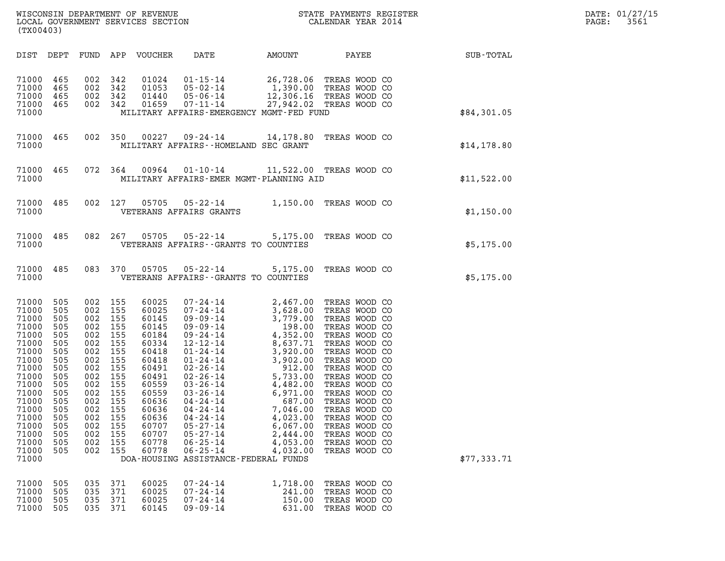| WISCONSIN DEPARTMENT OF REVENUE<br>LOCAL GOVERNMENT SERVICES SECTION<br>(TX00403) | STATE PAYMENTS REGISTER<br>CALENDAR YEAR 2014 | DATE: 01/27/15<br>3561<br>PAGE: |
|-----------------------------------------------------------------------------------|-----------------------------------------------|---------------------------------|

| (TX00403)                                                                                                                                                                        |                                                                                                                                   |                                                                                                                                   |                                                                                                                                   |                                                                                                                                                                         |                                                                                                                                                                                                                                                                                                                                                                          |                                                                                                                                                                                                                                                                                      |                                                                                                                                                                                                                                                                                                                                               |             |
|----------------------------------------------------------------------------------------------------------------------------------------------------------------------------------|-----------------------------------------------------------------------------------------------------------------------------------|-----------------------------------------------------------------------------------------------------------------------------------|-----------------------------------------------------------------------------------------------------------------------------------|-------------------------------------------------------------------------------------------------------------------------------------------------------------------------|--------------------------------------------------------------------------------------------------------------------------------------------------------------------------------------------------------------------------------------------------------------------------------------------------------------------------------------------------------------------------|--------------------------------------------------------------------------------------------------------------------------------------------------------------------------------------------------------------------------------------------------------------------------------------|-----------------------------------------------------------------------------------------------------------------------------------------------------------------------------------------------------------------------------------------------------------------------------------------------------------------------------------------------|-------------|
| DIST                                                                                                                                                                             | DEPT                                                                                                                              | FUND                                                                                                                              |                                                                                                                                   | APP VOUCHER DATE                                                                                                                                                        |                                                                                                                                                                                                                                                                                                                                                                          |                                                                                                                                                                                                                                                                                      | AMOUNT PAYEE                                                                                                                                                                                                                                                                                                                                  | SUB-TOTAL   |
| 71000<br>71000<br>71000<br>71000<br>71000                                                                                                                                        | 465<br>465<br>465<br>465                                                                                                          | 002<br>002<br>002<br>002                                                                                                          | 342<br>342<br>342<br>342                                                                                                          | 01024<br>01053<br>01440<br>01659                                                                                                                                        | 05-02-14<br>MILITARY AFFAIRS-EMERGENCY MGMT-FED FUND                                                                                                                                                                                                                                                                                                                     |                                                                                                                                                                                                                                                                                      | $\begin{array}{cccc} 01\texttt{-}15\texttt{-}14 & 26\texttt{,}728.06 & \texttt{TREAS WOOD CO} \\ 05\texttt{-}02\texttt{-}14 & 1\texttt{,}390.00 & \texttt{TREAS WOOD CO} \\ 05\texttt{-}06\texttt{-}14 & 12\texttt{,}306.16 & \texttt{TREAS WOOD CO} \\ 07\texttt{-}11\texttt{-}14 & 27\texttt{,}942.02 & \texttt{TREAS WOOD CO} \end{array}$ | \$84,301.05 |
| 71000<br>71000                                                                                                                                                                   | 465                                                                                                                               | 002                                                                                                                               | 350                                                                                                                               | 00227                                                                                                                                                                   | MILITARY AFFAIRS -- HOMELAND SEC GRANT                                                                                                                                                                                                                                                                                                                                   |                                                                                                                                                                                                                                                                                      | 09-24-14 14,178.80 TREAS WOOD CO                                                                                                                                                                                                                                                                                                              | \$14,178.80 |
| 71000<br>71000                                                                                                                                                                   | 465                                                                                                                               | 072                                                                                                                               | 364                                                                                                                               | 00964                                                                                                                                                                   | MILITARY AFFAIRS-EMER MGMT-PLANNING AID                                                                                                                                                                                                                                                                                                                                  |                                                                                                                                                                                                                                                                                      | 01-10-14 11,522.00 TREAS WOOD CO                                                                                                                                                                                                                                                                                                              | \$11,522.00 |
| 71000<br>71000                                                                                                                                                                   | 485                                                                                                                               | 002                                                                                                                               | 127                                                                                                                               | 05705                                                                                                                                                                   | $05 - 22 - 14$<br>VETERANS AFFAIRS GRANTS                                                                                                                                                                                                                                                                                                                                |                                                                                                                                                                                                                                                                                      | 1,150.00 TREAS WOOD CO                                                                                                                                                                                                                                                                                                                        | \$1,150.00  |
| 71000<br>71000                                                                                                                                                                   | 485                                                                                                                               | 082                                                                                                                               | 267                                                                                                                               | 05705                                                                                                                                                                   | VETERANS AFFAIRS -- GRANTS TO COUNTIES                                                                                                                                                                                                                                                                                                                                   |                                                                                                                                                                                                                                                                                      | 05-22-14 5,175.00 TREAS WOOD CO                                                                                                                                                                                                                                                                                                               | \$5,175.00  |
| 71000<br>71000                                                                                                                                                                   | 485                                                                                                                               | 083                                                                                                                               | 370                                                                                                                               | 05705                                                                                                                                                                   | $05 - 22 - 14$<br>VETERANS AFFAIRS -- GRANTS TO COUNTIES                                                                                                                                                                                                                                                                                                                 |                                                                                                                                                                                                                                                                                      | 5,175.00 TREAS WOOD CO                                                                                                                                                                                                                                                                                                                        | \$5,175.00  |
| 71000<br>71000<br>71000<br>71000<br>71000<br>71000<br>71000<br>71000<br>71000<br>71000<br>71000<br>71000<br>71000<br>71000<br>71000<br>71000<br>71000<br>71000<br>71000<br>71000 | 505<br>505<br>505<br>505<br>505<br>505<br>505<br>505<br>505<br>505<br>505<br>505<br>505<br>505<br>505<br>505<br>505<br>505<br>505 | 002<br>002<br>002<br>002<br>002<br>002<br>002<br>002<br>002<br>002<br>002<br>002<br>002<br>002<br>002<br>002<br>002<br>002<br>002 | 155<br>155<br>155<br>155<br>155<br>155<br>155<br>155<br>155<br>155<br>155<br>155<br>155<br>155<br>155<br>155<br>155<br>155<br>155 | 60025<br>60025<br>60145<br>60145<br>60184<br>60334<br>60418<br>60418<br>60491<br>60491<br>60559<br>60559<br>60636<br>60636<br>60636<br>60707<br>60707<br>60778<br>60778 | $07 - 24 - 14$<br>$07 - 24 - 14$<br>$09 - 09 - 14$<br>$09 - 09 - 14$<br>09-24-14<br>$12 - 12 - 14$<br>$01 - 24 - 14$<br>$01 - 24 - 14$<br>$02 - 26 - 14$<br>$02 - 26 - 14$<br>$03 - 26 - 14$<br>$03 - 26 - 14$<br>04-24-14<br>$04 - 24 - 14$<br>04-24-14<br>$05 - 27 - 14$<br>$05 - 27 - 14$<br>$06 - 25 - 14$<br>$06 - 25 - 14$<br>DOA-HOUSING ASSISTANCE-FEDERAL FUNDS | 2,467.00<br>3,628.00<br>$3,628.00$<br>$3,779.00$<br>$198.00$<br>$4,352.00$<br>$8,627.71$<br>$3,922.00$<br>$3,902.00$<br>$912.00$<br>$5,733.00$<br>$4,482.00$<br>$6,971.00$<br>$6,971.00$<br>$7,046.00$<br>$4,023.00$<br>$6,067.00$<br>$2,444.00$<br>2,444.00<br>4,053.00<br>4,032.00 | TREAS WOOD CO<br>TREAS WOOD CO<br>TREAS WOOD CO<br>TREAS WOOD CO<br>TREAS WOOD CO<br>TREAS WOOD CO<br>TREAS WOOD CO<br>TREAS WOOD CO<br>TREAS WOOD CO<br>TREAS WOOD CO<br>TREAS WOOD CO<br>TREAS WOOD CO<br>TREAS WOOD CO<br>TREAS WOOD CO<br>TREAS WOOD CO<br>TREAS WOOD CO<br>TREAS WOOD CO<br>TREAS WOOD CO<br>TREAS WOOD CO               | \$77,333.71 |
| 71000<br>71000<br>71000<br>71000                                                                                                                                                 | 505<br>505<br>505<br>505                                                                                                          | 035<br>035<br>035<br>035                                                                                                          | 371<br>371<br>371<br>371                                                                                                          | 60025<br>60025<br>60025<br>60145                                                                                                                                        | 07-24-14<br>$07 - 24 - 14$<br>$07 - 24 - 14$<br>$09 - 09 - 14$                                                                                                                                                                                                                                                                                                           | 1,718.00<br>241.00<br>150.00<br>631.00                                                                                                                                                                                                                                               | TREAS WOOD CO<br>TREAS WOOD CO<br>TREAS WOOD CO<br>TREAS WOOD CO                                                                                                                                                                                                                                                                              |             |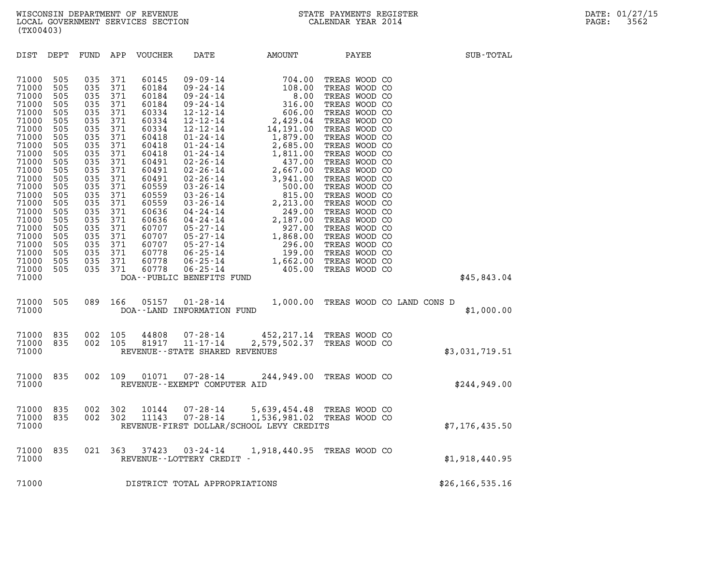| (TX00403)                                                                                                                                                                                                                     |                                                                                                                                                                      |                                                                                                                                                                      |                                                                                                                                                                      |                                                                                                                                                                                                                      |                                          |                                                                                                                                                                                                                                                                                                                                            |                                                                                                                                                                                                                                                                                                                                                                                                                      |                   |  |
|-------------------------------------------------------------------------------------------------------------------------------------------------------------------------------------------------------------------------------|----------------------------------------------------------------------------------------------------------------------------------------------------------------------|----------------------------------------------------------------------------------------------------------------------------------------------------------------------|----------------------------------------------------------------------------------------------------------------------------------------------------------------------|----------------------------------------------------------------------------------------------------------------------------------------------------------------------------------------------------------------------|------------------------------------------|--------------------------------------------------------------------------------------------------------------------------------------------------------------------------------------------------------------------------------------------------------------------------------------------------------------------------------------------|----------------------------------------------------------------------------------------------------------------------------------------------------------------------------------------------------------------------------------------------------------------------------------------------------------------------------------------------------------------------------------------------------------------------|-------------------|--|
| DIST                                                                                                                                                                                                                          | DEPT                                                                                                                                                                 |                                                                                                                                                                      |                                                                                                                                                                      | FUND APP VOUCHER                                                                                                                                                                                                     | <b>DATE</b>                              |                                                                                                                                                                                                                                                                                                                                            | AMOUNT PAYEE                                                                                                                                                                                                                                                                                                                                                                                                         | SUB-TOTAL         |  |
| 71000<br>71000<br>71000<br>71000<br>71000<br>71000<br>71000<br>71000<br>71000<br>71000<br>71000<br>71000<br>71000<br>71000<br>71000<br>71000<br>71000<br>71000<br>71000<br>71000<br>71000<br>71000<br>71000<br>71000<br>71000 | 505<br>505<br>505<br>505<br>505<br>505<br>505<br>505<br>505<br>505<br>505<br>505<br>505<br>505<br>505<br>505<br>505<br>505<br>505<br>505<br>505<br>505<br>505<br>505 | 035<br>035<br>035<br>035<br>035<br>035<br>035<br>035<br>035<br>035<br>035<br>035<br>035<br>035<br>035<br>035<br>035<br>035<br>035<br>035<br>035<br>035<br>035<br>035 | 371<br>371<br>371<br>371<br>371<br>371<br>371<br>371<br>371<br>371<br>371<br>371<br>371<br>371<br>371<br>371<br>371<br>371<br>371<br>371<br>371<br>371<br>371<br>371 | 60145<br>60184<br>60184<br>60184<br>60334<br>60334<br>60334<br>60418<br>60418<br>60418<br>60491<br>60491<br>60491<br>60559<br>60559<br>60559<br>60636<br>60636<br>60707<br>60707<br>60707<br>60778<br>60778<br>60778 | DOA--PUBLIC BENEFITS FUND                | $\begin{array}{cccc} 09\text{-}09\text{-}14 & 704.00 \\ 09\text{-}24\text{-}14 & 108.00 \\ 09\text{-}24\text{-}14 & 108.00 \\ 09\text{-}24\text{-}14 & 316.00 \\ 12\text{-}12\text{-}14 & 2,429.04 \\ 12\text{-}12\text{-}14 & 14,191.00 \\ 01\text{-}24\text{-}14 & 1,879.00 \\ 01\text{-}24\text{-}14 & 1,879.00 \\ 01\text{-}24\text{-$ | TREAS WOOD CO<br>TREAS WOOD CO<br>TREAS WOOD CO<br>TREAS WOOD CO<br>TREAS WOOD CO<br>TREAS WOOD CO<br>TREAS WOOD CO<br>TREAS WOOD CO<br>TREAS WOOD CO<br>TREAS WOOD CO<br>TREAS WOOD CO<br>TREAS WOOD CO<br>TREAS WOOD CO<br>TREAS WOOD CO<br>TREAS WOOD CO<br>TREAS WOOD CO<br>TREAS WOOD CO<br>TREAS WOOD CO<br>TREAS WOOD CO<br>TREAS WOOD CO<br>TREAS WOOD CO<br>TREAS WOOD CO<br>TREAS WOOD CO<br>TREAS WOOD CO | \$45,843.04       |  |
| 71000<br>71000                                                                                                                                                                                                                | 505                                                                                                                                                                  | 089                                                                                                                                                                  | 166                                                                                                                                                                  | 05157                                                                                                                                                                                                                | DOA--LAND INFORMATION FUND               | 01-28-14 1,000.00 TREAS WOOD CO LAND CONS D                                                                                                                                                                                                                                                                                                |                                                                                                                                                                                                                                                                                                                                                                                                                      | \$1,000.00        |  |
| 71000<br>71000<br>71000                                                                                                                                                                                                       | 835<br>835                                                                                                                                                           | 002<br>002                                                                                                                                                           | 105<br>105                                                                                                                                                           | 44808<br>81917                                                                                                                                                                                                       | REVENUE - - STATE SHARED REVENUES        | 07-28-14 452, 217.14 TREAS WOOD CO<br>11-17-14 2, 579, 502.37 TREAS WOOD CO                                                                                                                                                                                                                                                                |                                                                                                                                                                                                                                                                                                                                                                                                                      | \$3,031,719.51    |  |
| 71000<br>71000                                                                                                                                                                                                                | 835                                                                                                                                                                  | 002                                                                                                                                                                  | 109                                                                                                                                                                  | 01071                                                                                                                                                                                                                | 07-28-14<br>REVENUE--EXEMPT COMPUTER AID |                                                                                                                                                                                                                                                                                                                                            | 244,949.00 TREAS WOOD CO                                                                                                                                                                                                                                                                                                                                                                                             | \$244,949.00      |  |
| 71000<br>71000<br>71000                                                                                                                                                                                                       | 835<br>835                                                                                                                                                           | 002<br>002                                                                                                                                                           | 302<br>302                                                                                                                                                           | 10144<br>11143                                                                                                                                                                                                       | 07-28-14<br>07-28-14                     | 5,639,454.48 TREAS WOOD CO<br>1,536,981.02 TREAS WOOD CO<br>REVENUE-FIRST DOLLAR/SCHOOL LEVY CREDITS                                                                                                                                                                                                                                       |                                                                                                                                                                                                                                                                                                                                                                                                                      | \$7, 176, 435.50  |  |
| 71000<br>71000                                                                                                                                                                                                                | 835                                                                                                                                                                  | 021                                                                                                                                                                  | 363                                                                                                                                                                  | 37423                                                                                                                                                                                                                | 03-24-14<br>REVENUE--LOTTERY CREDIT -    | 1,918,440.95 TREAS WOOD CO                                                                                                                                                                                                                                                                                                                 |                                                                                                                                                                                                                                                                                                                                                                                                                      | \$1,918,440.95    |  |
| 71000                                                                                                                                                                                                                         |                                                                                                                                                                      |                                                                                                                                                                      |                                                                                                                                                                      |                                                                                                                                                                                                                      | DISTRICT TOTAL APPROPRIATIONS            |                                                                                                                                                                                                                                                                                                                                            |                                                                                                                                                                                                                                                                                                                                                                                                                      | \$26, 166, 535.16 |  |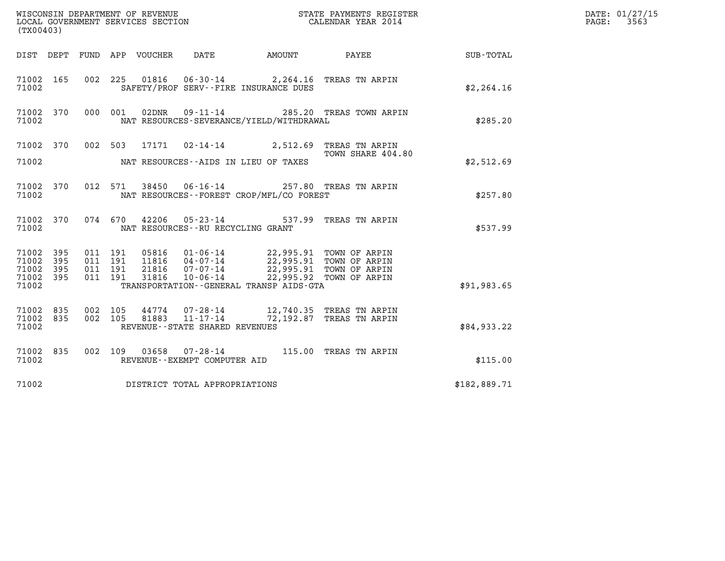| (TX00403)                                             |     |                                          |                            |                                                     |                                              | DATE: 01/27/15<br>3563<br>$\mathtt{PAGE:}$                                                                                                                                             |              |  |
|-------------------------------------------------------|-----|------------------------------------------|----------------------------|-----------------------------------------------------|----------------------------------------------|----------------------------------------------------------------------------------------------------------------------------------------------------------------------------------------|--------------|--|
|                                                       |     |                                          | DIST DEPT FUND APP VOUCHER | DATE                                                |                                              | AMOUNT PAYEE                                                                                                                                                                           | SUB-TOTAL    |  |
| 71002 165<br>71002                                    |     |                                          |                            | SAFETY/PROF SERV--FIRE INSURANCE DUES               |                                              | 002 225 01816 06-30-14 2,264.16 TREAS TN ARPIN                                                                                                                                         | \$2, 264.16  |  |
| 71002 370<br>71002                                    |     |                                          | 000 001<br>02DNR           |                                                     | NAT RESOURCES-SEVERANCE/YIELD/WITHDRAWAL     | 09-11-14 285.20 TREAS TOWN ARPIN                                                                                                                                                       | \$285.20     |  |
| 71002                                                 |     |                                          |                            | NAT RESOURCES--AIDS IN LIEU OF TAXES                |                                              | 71002 370 002 503 17171 02-14-14 2,512.69 TREAS TN ARPIN<br>TOWN SHARE 404.80                                                                                                          | \$2,512.69   |  |
| 71002 370<br>71002                                    |     |                                          | 012 571                    |                                                     | NAT RESOURCES--FOREST CROP/MFL/CO FOREST     | 38450  06-16-14  257.80  TREAS TN ARPIN                                                                                                                                                | \$257.80     |  |
| 71002 370<br>71002                                    |     |                                          | 074 670                    | NAT RESOURCES -- RU RECYCLING GRANT                 |                                              | 42206  05-23-14  537.99  TREAS TN ARPIN                                                                                                                                                | \$537.99     |  |
| 71002 395<br>71002<br>71002 395<br>71002 395<br>71002 | 395 | 011 191<br>011 191<br>011 191<br>011 191 | 21816<br>31816             | $07 - 07 - 14$<br>$10 - 06 - 14$                    | TRANSPORTATION - - GENERAL TRANSP AIDS - GTA | 05816  01-06-14  22,995.91 TOWN OF ARPIN<br>11816  04-07-14  22,995.91 TOWN OF ARPIN<br>21816  07-07-14  22,995.91 TOWN OF ARPIN<br>22,995.91 TOWN OF ARPIN<br>22,995.92 TOWN OF ARPIN | \$91,983.65  |  |
| 71002 835<br>71002 835<br>71002                       |     | 002 105                                  | 002 105<br>81883           | $11 - 17 - 14$<br>REVENUE - - STATE SHARED REVENUES |                                              | 44774 07-28-14 12,740.35 TREAS TN ARPIN<br>72,192.87 TREAS TN ARPIN                                                                                                                    | \$84,933.22  |  |
| 71002 835<br>71002                                    |     |                                          |                            | REVENUE--EXEMPT COMPUTER AID                        |                                              | 002 109 03658 07-28-14 115.00 TREAS TN ARPIN                                                                                                                                           | \$115.00     |  |
| 71002                                                 |     |                                          |                            | DISTRICT TOTAL APPROPRIATIONS                       |                                              |                                                                                                                                                                                        | \$182,889.71 |  |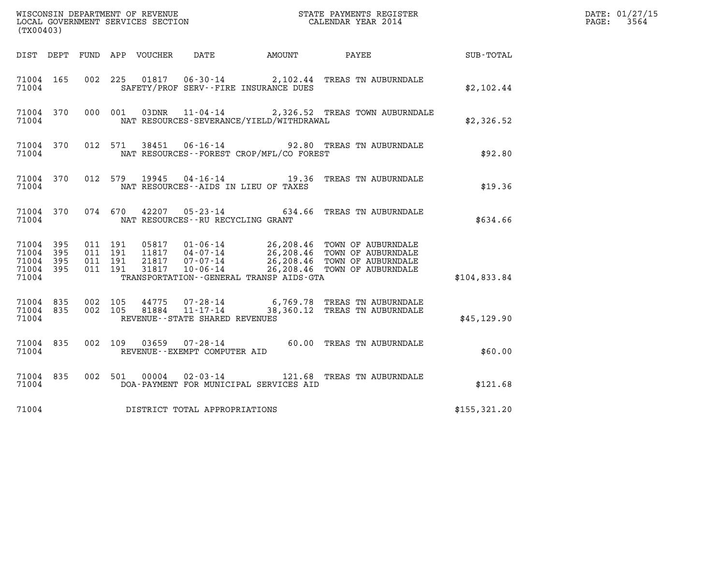| (TX00403)                                         |              |                                          |         |                |                                                     |                                                                   |                                                                                                                                                                           |              | DATE: 01/27/15<br>$\mathtt{PAGE}$ :<br>3564 |
|---------------------------------------------------|--------------|------------------------------------------|---------|----------------|-----------------------------------------------------|-------------------------------------------------------------------|---------------------------------------------------------------------------------------------------------------------------------------------------------------------------|--------------|---------------------------------------------|
|                                                   |              |                                          |         |                |                                                     | DIST DEPT FUND APP VOUCHER DATE AMOUNT PAYEE                      |                                                                                                                                                                           | SUB-TOTAL    |                                             |
| 71004 165<br>71004                                |              | 002 225                                  |         |                |                                                     | SAFETY/PROF SERV--FIRE INSURANCE DUES                             | $01817$ $06-30-14$ $2,102.44$ TREAS TN AUBURNDALE                                                                                                                         | \$2,102.44   |                                             |
| 71004 370<br>71004                                |              | 000 001                                  |         | 03DNR          |                                                     | NAT RESOURCES-SEVERANCE/YIELD/WITHDRAWAL                          | 11-04-14 2,326.52 TREAS TOWN AUBURNDALE                                                                                                                                   | \$2,326.52   |                                             |
| 71004 370<br>71004                                |              | 012 571                                  |         | 38451          |                                                     | NAT RESOURCES--FOREST CROP/MFL/CO FOREST                          | 06-16-14 92.80 TREAS TN AUBURNDALE                                                                                                                                        | \$92.80      |                                             |
| 71004 370<br>71004                                |              |                                          | 012 579 |                |                                                     | 19945 04 - 16 - 14 19.36<br>NAT RESOURCES - AIDS IN LIEU OF TAXES | TREAS TN AUBURNDALE                                                                                                                                                       | \$19.36      |                                             |
| 71004 370<br>71004                                |              |                                          | 074 670 | 42207          | NAT RESOURCES--RU RECYCLING GRANT                   | $05 - 23 - 14$ 634.66                                             | TREAS TN AUBURNDALE                                                                                                                                                       | \$634.66     |                                             |
| 71004 395<br>71004<br>71004<br>71004 395<br>71004 | 395<br>- 395 | 011 191<br>011 191<br>011 191<br>011 191 |         | 05817<br>31817 | 10-06-14                                            | TRANSPORTATION--GENERAL TRANSP AIDS-GTA                           | 01-06-14 26,208.46 TOWN OF AUBURNDALE<br>11817  04-07-14  26,208.46  TOWN OF AUBURNDALE<br>21817  07-07-14  26,208.46  TOWN OF AUBURNDALE<br>26,208.46 TOWN OF AUBURNDALE | \$104,833.84 |                                             |
| 71004 835<br>71004 835<br>71004                   |              | 002 105<br>002 105                       |         | 44775<br>81884 | $11 - 17 - 14$<br>REVENUE - - STATE SHARED REVENUES |                                                                   | 07-28-14 6,769.78 TREAS TN AUBURNDALE<br>38,360.12 TREAS TN AUBURNDALE                                                                                                    | \$45, 129.90 |                                             |
| 71004 835<br>71004                                |              | 002 109                                  |         | 03659          | $07 - 28 - 14$<br>REVENUE--EXEMPT COMPUTER AID      |                                                                   | 60.00 TREAS TN AUBURNDALE                                                                                                                                                 | \$60.00      |                                             |
| 71004 835<br>71004                                |              |                                          |         | 002 501 00004  | $02 - 03 - 14$                                      | DOA-PAYMENT FOR MUNICIPAL SERVICES AID                            | 121.68 TREAS TN AUBURNDALE                                                                                                                                                | \$121.68     |                                             |
| 71004                                             |              |                                          |         |                | DISTRICT TOTAL APPROPRIATIONS                       |                                                                   |                                                                                                                                                                           | \$155,321.20 |                                             |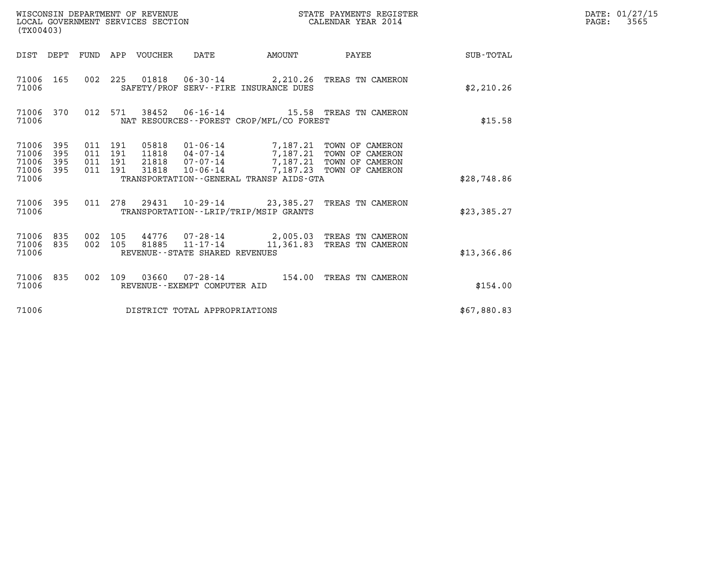| (TX00403)                                                          | WISCONSIN DEPARTMENT OF REVENUE<br>LOCAL GOVERNMENT SERVICES SECTION                                                                                                                                                                                                             | STATE PAYMENTS REGISTER<br>CALENDAR YEAR 2014 | DATE: 01/27/15<br>3565<br>$\mathtt{PAGE:}$ |
|--------------------------------------------------------------------|----------------------------------------------------------------------------------------------------------------------------------------------------------------------------------------------------------------------------------------------------------------------------------|-----------------------------------------------|--------------------------------------------|
|                                                                    | DIST DEPT FUND APP VOUCHER DATE                                                                                                                                                                                                                                                  | AMOUNT PAYEE<br>SUB-TOTAL                     |                                            |
| 71006 165<br>71006                                                 | 002 225 01818 06-30-14 2,210.26 TREAS TN CAMERON<br>SAFETY/PROF SERV--FIRE INSURANCE DUES                                                                                                                                                                                        | \$2,210.26                                    |                                            |
| 71006 370<br>71006                                                 | 012 571 38452 06-16-14 15.58 TREAS TN CAMERON<br>NAT RESOURCES--FOREST CROP/MFL/CO FOREST                                                                                                                                                                                        | \$15.58                                       |                                            |
| 71006 395<br>71006<br>395<br>395<br>71006<br>395<br>71006<br>71006 | 011 191<br>05818<br>01-06-14 7,187.21 TOWN OF CAMERON<br>04-07-14 7,187.21 TOWN OF CAMERON<br>011 191<br>11818<br>07-07-14 7,187.21 TOWN OF CAMERON<br>011 191<br>21818<br>011 191<br>10-06-14 7,187.23 TOWN OF CAMERON<br>31818<br>TRANSPORTATION - - GENERAL TRANSP AIDS - GTA | \$28,748.86                                   |                                            |
| 71006 395<br>71006                                                 | 011 278 29431 10-29-14 23,385.27 TREAS TN CAMERON<br>TRANSPORTATION - - LRIP/TRIP/MSIP GRANTS                                                                                                                                                                                    | \$23,385.27                                   |                                            |
| 71006 835<br>835<br>71006<br>71006                                 | 44776  07-28-14  2,005.03  TREAS TN CAMERON<br>002 105<br>$81885$ $11 - 17 - 14$<br>002 105<br>REVENUE - - STATE SHARED REVENUES                                                                                                                                                 | 11,361.83 TREAS TN CAMERON<br>\$13,366.86     |                                            |
| 71006 835<br>71006                                                 | 002 109 03660 07-28-14 154.00 TREAS TN CAMERON<br>REVENUE - - EXEMPT COMPUTER AID                                                                                                                                                                                                | \$154.00                                      |                                            |
| 71006                                                              | DISTRICT TOTAL APPROPRIATIONS                                                                                                                                                                                                                                                    | \$67,880.83                                   |                                            |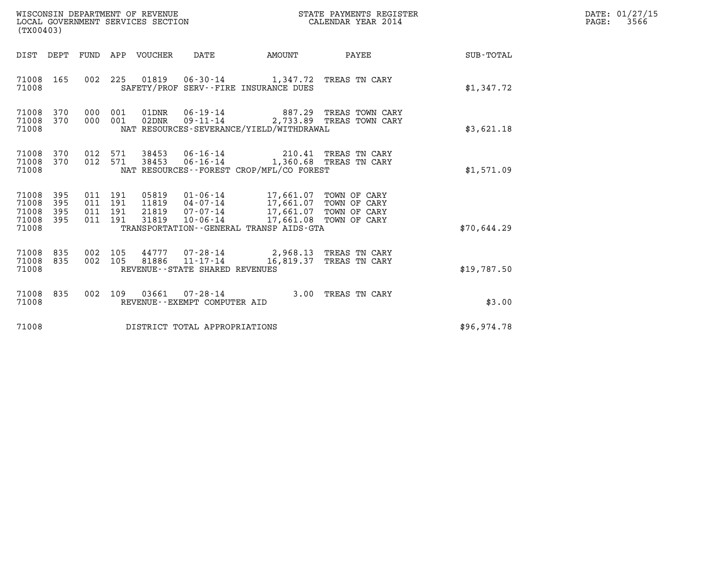| WISCONSIN DEPARTMENT OF REVENUE<br>LOCAL GOVERNMENT SERVICES SECTION<br>(TX00403)                                                                                                                                                     |                                                                                                               | STATE PAYMENTS REGISTER<br>CALENDAR YEAR 2014 |             | DATE: 01/27/15<br>$\mathtt{PAGE:}$<br>3566 |
|---------------------------------------------------------------------------------------------------------------------------------------------------------------------------------------------------------------------------------------|---------------------------------------------------------------------------------------------------------------|-----------------------------------------------|-------------|--------------------------------------------|
| DIST DEPT<br>FUND APP VOUCHER<br>DATE                                                                                                                                                                                                 | AMOUNT                                                                                                        | PAYEE                                         | SUB-TOTAL   |                                            |
| 002 225 01819 06-30-14 1,347.72 TREAS TN CARY<br>71008 165<br>71008<br>SAFETY/PROF SERV--FIRE INSURANCE DUES                                                                                                                          |                                                                                                               |                                               | \$1,347.72  |                                            |
| 71008 370<br>01DNR  06-19-14  887.29 TREAS TOWN CARY<br>000 001<br>02DNR<br>71008<br>370<br>000 001<br>NAT RESOURCES-SEVERANCE/YIELD/WITHDRAWAL<br>71008                                                                              |                                                                                                               | 09-11-14 2,733.89 TREAS TOWN CARY             | \$3,621.18  |                                            |
| 012 571 38453<br>71008 370<br>012 571 38453<br>71008<br>370<br>NAT RESOURCES - - FOREST CROP/MFL/CO FOREST<br>71008                                                                                                                   | 06-16-14 210.41 TREAS TN CARY<br>06-16-14 1,360.68 TREAS TN CARY                                              |                                               | \$1,571.09  |                                            |
| 71008<br>395<br>011 191<br>05819<br>71008<br>395<br>011 191<br>11819  04-07-14<br>21819<br>71008<br>395<br>011 191<br>07-07-14<br>$10 - 06 - 14$<br>71008 395<br>011 191<br>31819<br>71008<br>TRANSPORTATION--GENERAL TRANSP AIDS-GTA | 01-06-14 17,661.07 TOWN OF CARY<br>17,661.07 TOWN OF CARY<br>17,661.07 TOWN OF CARY<br>17,661.08 TOWN OF CARY |                                               | \$70,644.29 |                                            |
| 002 105 44777 07-28-14 2,968.13 TREAS TN CARY<br>71008 835<br>81886 11-17-14 16,819.37 TREAS TN CARY<br>71008<br>835<br>002 105<br>REVENUE - - STATE SHARED REVENUES<br>71008                                                         |                                                                                                               |                                               | \$19,787.50 |                                            |
| 002 109 03661 07-28-14 3.00 TREAS TN CARY<br>71008 835<br>71008<br>REVENUE--EXEMPT COMPUTER AID                                                                                                                                       |                                                                                                               |                                               | \$3.00      |                                            |
| 71008<br>DISTRICT TOTAL APPROPRIATIONS                                                                                                                                                                                                |                                                                                                               |                                               | \$96,974.78 |                                            |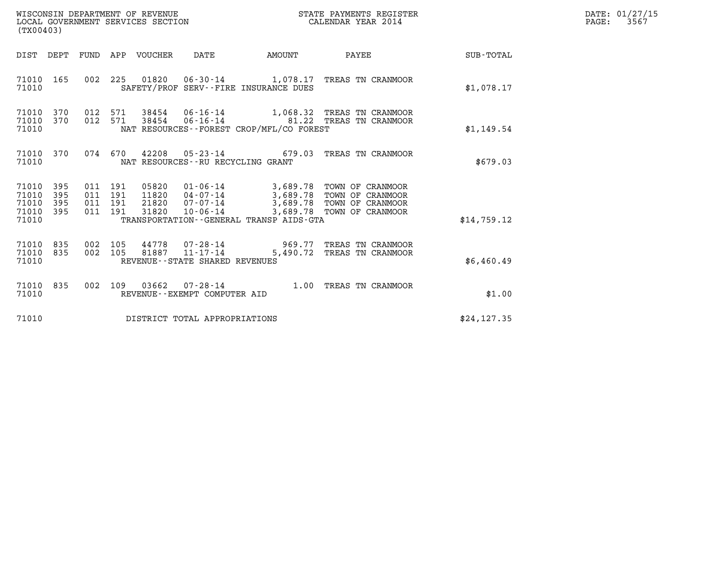| WISCONSIN DEPARTMENT OF REVENUE   | STATE PAYMENTS REGISTER | DATE: 01/27/15 |
|-----------------------------------|-------------------------|----------------|
| LOCAL GOVERNMENT SERVICES SECTION | CALENDAR YEAR 2014      | 3567<br>PAGE:  |

| (TX00403)                                 |                          |                                          |         |                                  |                                                  |                                                     |                                                                                                                           |              | DATE: 01/27/15<br>PAGE:<br>3567 |
|-------------------------------------------|--------------------------|------------------------------------------|---------|----------------------------------|--------------------------------------------------|-----------------------------------------------------|---------------------------------------------------------------------------------------------------------------------------|--------------|---------------------------------|
|                                           |                          |                                          |         | DIST DEPT FUND APP VOUCHER DATE  |                                                  | <b>EXAMPLE THE PROPERTY OF AMOUNT</b>               | <b>PAYEE</b>                                                                                                              | SUB-TOTAL    |                                 |
| 71010 165<br>71010                        |                          |                                          |         |                                  |                                                  | SAFETY/PROF SERV--FIRE INSURANCE DUES               | 002 225 01820 06-30-14 1,078.17 TREAS TN CRANMOOR                                                                         | \$1,078.17   |                                 |
| 71010<br>71010<br>71010                   | 370<br>370               | 012<br>012 571                           | 571     |                                  |                                                  | NAT RESOURCES - - FOREST CROP/MFL/CO FOREST         | 38454  06-16-14   1,068.32   TREAS TN CRANMOOR<br>38454  06-16-14  81.22  TREAS TN CRANMOOR                               | \$1,149.54   |                                 |
| 71010<br>71010                            | 370                      |                                          |         |                                  | NAT RESOURCES--RU RECYCLING GRANT                |                                                     | 074 670 42208 05-23-14 679.03 TREAS TN CRANMOOR                                                                           | \$679.03     |                                 |
| 71010<br>71010<br>71010<br>71010<br>71010 | 395<br>395<br>395<br>395 | 011 191<br>011 191<br>011 191<br>011 191 |         | 05820<br>11820<br>21820<br>31820 | $07 - 07 - 14$<br>$10 - 06 - 14$                 | 3,689.78<br>TRANSPORTATION--GENERAL TRANSP AIDS-GTA | 01-06-14 3,689.78 TOWN OF CRANMOOR<br>04-07-14 3,689.78 TOWN OF CRANMOOR<br>TOWN OF CRANMOOR<br>3,689.78 TOWN OF CRANMOOR | \$14,759.12  |                                 |
| 71010 835<br>71010 835<br>71010           |                          | 002 105                                  | 002 105 | 44778                            | 81887 11-17-14<br>REVENUE--STATE SHARED REVENUES | $07 - 28 - 14$ 969.77<br>5,490.72                   | TREAS TN CRANMOOR<br>TREAS TN CRANMOOR                                                                                    | \$6,460.49   |                                 |
| 71010<br>71010                            | 835                      |                                          |         |                                  | REVENUE--EXEMPT COMPUTER AID                     |                                                     | 002 109 03662 07-28-14 1.00 TREAS TN CRANMOOR                                                                             | \$1.00       |                                 |
| 71010                                     |                          |                                          |         |                                  | DISTRICT TOTAL APPROPRIATIONS                    |                                                     |                                                                                                                           | \$24, 127.35 |                                 |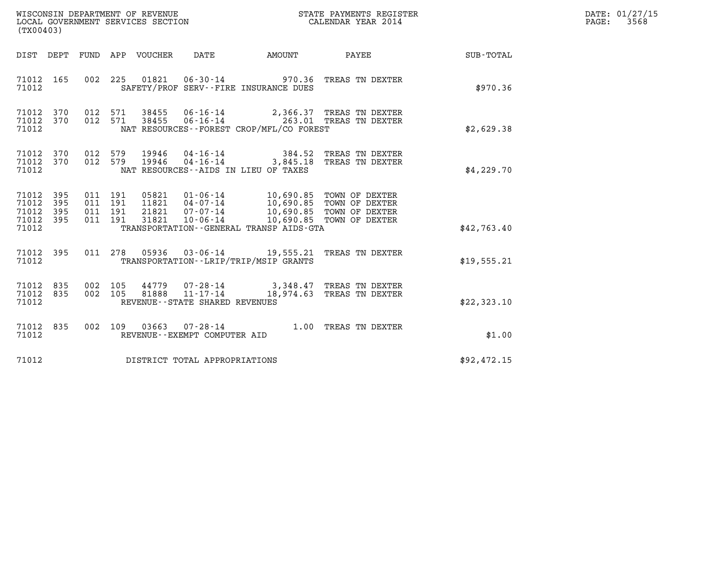| WISCONSIN DEPARTMENT OF REVENUE<br>LOCAL GOVERNMENT SERVICES SECTION<br>CALENDAR YEAR 2014<br>(TX00403)                                                                           |                                                                                                                                                                                      |              |             | DATE: 01/27/15<br>PAGE: 3568 |
|-----------------------------------------------------------------------------------------------------------------------------------------------------------------------------------|--------------------------------------------------------------------------------------------------------------------------------------------------------------------------------------|--------------|-------------|------------------------------|
| DIST DEPT FUND APP VOUCHER DATE AMOUNT                                                                                                                                            |                                                                                                                                                                                      | <b>PAYEE</b> | SUB-TOTAL   |                              |
| 002 225 01821 06-30-14 970.36 TREAS TN DEXTER<br>71012 165<br>71012<br>SAFETY/PROF SERV--FIRE INSURANCE DUES                                                                      |                                                                                                                                                                                      |              | \$970.36    |                              |
| 71012 370<br>012 571 38455 06-16-14 2,366.37 TREAS TN DEXTER<br>012 571 38455 06-16-14 263.01 TREAS TN DEXTER<br>71012 370<br>NAT RESOURCES -- FOREST CROP/MFL/CO FOREST<br>71012 |                                                                                                                                                                                      |              | \$2,629.38  |                              |
| 012 579 19946 04-16-14 384.52 TREAS TN DEXTER<br>012 579 19946 04-16-14 3,845.18 TREAS TN DEXTER<br>71012 370<br>71012 370<br>NAT RESOURCES -- AIDS IN LIEU OF TAXES<br>71012     |                                                                                                                                                                                      |              | \$4,229.70  |                              |
| 71012 395<br>011 191<br>71012<br>395<br>011 191<br>71012 395<br>011 191<br>71012 395<br>011 191<br>71012<br>TRANSPORTATION - - GENERAL TRANSP AIDS - GTA                          | 05821  01-06-14  10,690.85  TOWN OF DEXTER<br>11821  04-07-14  10,690.85  TOWN OF DEXTER<br>21821  07-07-14  10,690.85  TOWN OF DEXTER<br>31821  10-06-14  10,690.85  TOWN OF DEXTER |              | \$42,763.40 |                              |
| 011 278 05936 03-06-14 19,555.21 TREAS TN DEXTER<br>71012 395<br>TRANSPORTATION - - LRIP/TRIP/MSIP GRANTS<br>71012                                                                |                                                                                                                                                                                      |              | \$19,555.21 |                              |
| 002 105  44779  07-28-14  3,348.47 TREAS TN DEXTER<br>002  105  81888  11-17-14  18,974.63 TREAS TN DEXTER<br>71012 835<br>71012 835<br>71012<br>REVENUE--STATE SHARED REVENUES   |                                                                                                                                                                                      |              | \$22,323.10 |                              |
| 002 109 03663 07-28-14 1.00 TREAS TN DEXTER<br>71012 835<br>71012<br>REVENUE--EXEMPT COMPUTER AID                                                                                 |                                                                                                                                                                                      |              | \$1.00      |                              |
| 71012 DISTRICT TOTAL APPROPRIATIONS                                                                                                                                               |                                                                                                                                                                                      |              | \$92,472.15 |                              |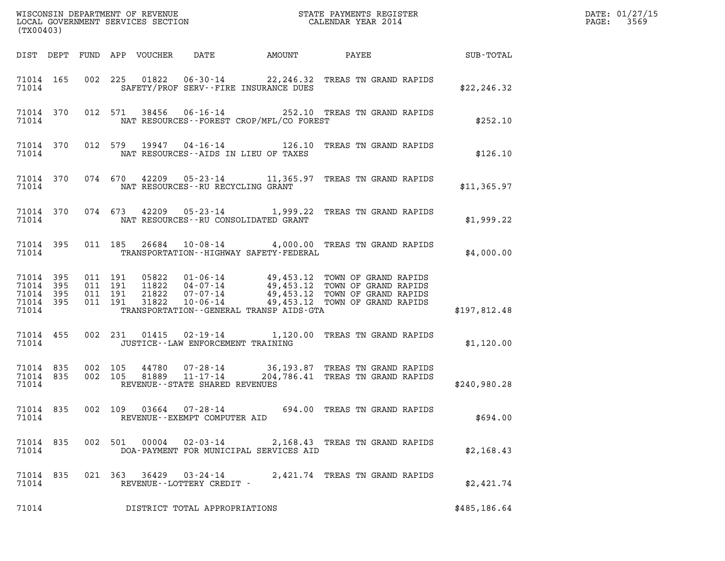| (TX00403)                                             |           |         |                                          |                                 |                                |                                             |                                                                                                                                                                                                              |              | DATE: 01/27/15<br>3569<br>$\mathtt{PAGE:}$ |
|-------------------------------------------------------|-----------|---------|------------------------------------------|---------------------------------|--------------------------------|---------------------------------------------|--------------------------------------------------------------------------------------------------------------------------------------------------------------------------------------------------------------|--------------|--------------------------------------------|
|                                                       |           |         |                                          | DIST DEPT FUND APP VOUCHER DATE |                                |                                             |                                                                                                                                                                                                              |              |                                            |
| 71014 165<br>71014                                    |           |         |                                          |                                 |                                | SAFETY/PROF SERV--FIRE INSURANCE DUES       | 002 225 01822 06-30-14 22,246.32 TREAS TN GRAND RAPIDS                                                                                                                                                       | \$22, 246.32 |                                            |
| 71014 370<br>71014                                    |           |         |                                          |                                 |                                | NAT RESOURCES--FOREST CROP/MFL/CO FOREST    | 012 571 38456 06-16-14 252.10 TREAS TN GRAND RAPIDS                                                                                                                                                          | \$252.10     |                                            |
| 71014 370<br>71014                                    |           |         |                                          |                                 |                                | NAT RESOURCES--AIDS IN LIEU OF TAXES        | 012 579 19947 04-16-14 126.10 TREAS TN GRAND RAPIDS                                                                                                                                                          | \$126.10     |                                            |
| 71014 370<br>71014                                    |           |         |                                          |                                 |                                | NAT RESOURCES--RU RECYCLING GRANT           | 074 670 42209 05-23-14 11,365.97 TREAS TN GRAND RAPIDS                                                                                                                                                       | \$11,365.97  |                                            |
| 71014 370<br>71014                                    |           |         |                                          |                                 |                                | NAT RESOURCES--RU CONSOLIDATED GRANT        | 074 673 42209 05-23-14 1,999.22 TREAS TN GRAND RAPIDS                                                                                                                                                        | \$1,999.22   |                                            |
| 71014 395<br>71014                                    |           |         |                                          |                                 |                                | TRANSPORTATION - - HIGHWAY SAFETY - FEDERAL | 011 185 26684 10-08-14 4,000.00 TREAS TN GRAND RAPIDS                                                                                                                                                        | \$4,000.00   |                                            |
| 71014 395<br>71014<br>71014 395<br>71014 395<br>71014 | 395       |         | 011 191<br>011 191<br>011 191<br>011 191 |                                 |                                | TRANSPORTATION--GENERAL TRANSP AIDS-GTA     | 05822  01-06-14  49,453.12  TOWN OF GRAND RAPIDS<br>11822  04-07-14  49,453.12  TOWN OF GRAND RAPIDS<br>21822  07-07-14  49,453.12  TOWN OF GRAND RAPIDS<br>31822  10-06-14  49,453.12  TOWN OF GRAND RAPIDS | \$197,812.48 |                                            |
| 71014 455<br>71014                                    |           |         |                                          |                                 |                                | JUSTICE -- LAW ENFORCEMENT TRAINING         | 002 231 01415 02-19-14 1,120.00 TREAS TN GRAND RAPIDS                                                                                                                                                        | \$1,120.00   |                                            |
| 71014 835<br>71014 835<br>71014                       |           | 002 105 | 002 105                                  |                                 | REVENUE--STATE SHARED REVENUES |                                             | 44780  07-28-14  36,193.87 TREAS TN GRAND RAPIDS<br>81889  11-17-14  204,786.41 TREAS TN GRAND RAPIDS                                                                                                        | \$240,980.28 |                                            |
| 71014                                                 | 71014 835 |         |                                          | 002 109 03664                   | REVENUE--EXEMPT COMPUTER AID   |                                             | 07-28-14 694.00 TREAS TN GRAND RAPIDS                                                                                                                                                                        | \$694.00     |                                            |
| 71014 835<br>71014                                    |           |         |                                          | 002 501 00004                   | $02 - 03 - 14$                 | DOA-PAYMENT FOR MUNICIPAL SERVICES AID      | 2,168.43 TREAS TN GRAND RAPIDS                                                                                                                                                                               | \$2,168.43   |                                            |
| 71014 835<br>71014                                    |           |         |                                          | 021 363 36429                   | REVENUE--LOTTERY CREDIT -      |                                             | 03-24-14 2,421.74 TREAS TN GRAND RAPIDS                                                                                                                                                                      | \$2,421.74   |                                            |
| 71014                                                 |           |         |                                          |                                 | DISTRICT TOTAL APPROPRIATIONS  |                                             |                                                                                                                                                                                                              | \$485,186.64 |                                            |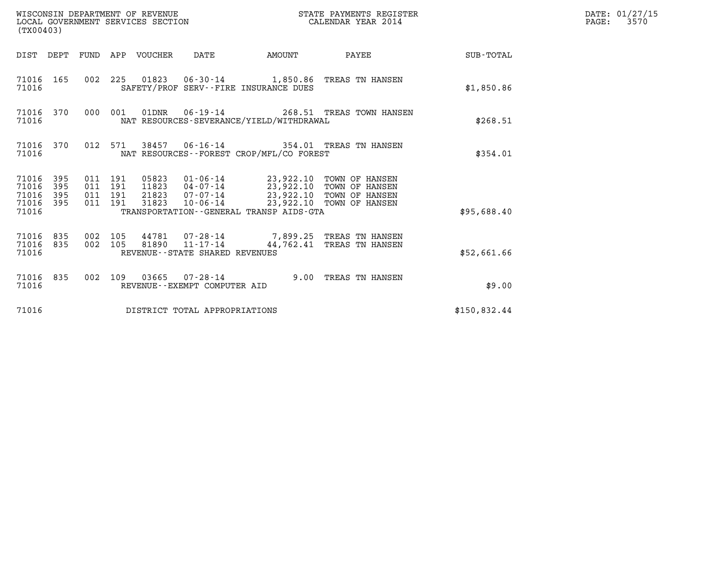| (TX00403)                                         |            |                                          | WISCONSIN DEPARTMENT OF REVENUE | WISCONSIN DEPARTMENT OF REVENUE<br>LOCAL GOVERNMENT SERVICES SECTION | STATE PAYMENTS REGISTER                  | DATE: 01/27/15<br>$\mathtt{PAGE:}$<br>3570                                              |              |  |
|---------------------------------------------------|------------|------------------------------------------|---------------------------------|----------------------------------------------------------------------|------------------------------------------|-----------------------------------------------------------------------------------------|--------------|--|
|                                                   |            |                                          | DIST DEPT FUND APP VOUCHER DATE |                                                                      | AMOUNT                                   | PAYEE SUB-TOTAL                                                                         |              |  |
| 71016 165<br>71016                                |            |                                          |                                 |                                                                      | SAFETY/PROF SERV--FIRE INSURANCE DUES    | 002 225 01823 06-30-14 1,850.86 TREAS TN HANSEN                                         | \$1,850.86   |  |
| 71016 370<br>71016                                |            | 000 001                                  |                                 |                                                                      | NAT RESOURCES-SEVERANCE/YIELD/WITHDRAWAL | 01DNR  06-19-14  268.51 TREAS TOWN HANSEN                                               | \$268.51     |  |
| 71016 370<br>71016                                |            |                                          |                                 |                                                                      | NAT RESOURCES--FOREST CROP/MFL/CO FOREST | 012 571 38457 06-16-14 354.01 TREAS TN HANSEN                                           | \$354.01     |  |
| 71016 395<br>71016<br>71016<br>71016 395<br>71016 | 395<br>395 | 011 191<br>011 191<br>011 191<br>011 191 | 31823                           |                                                                      | TRANSPORTATION--GENERAL TRANSP AIDS-GTA  | 10-06-14 23,922.10 TOWN OF HANSEN                                                       | \$95,688.40  |  |
| 71016 835<br>71016 835<br>71016                   |            | 002 105<br>002 105                       |                                 | REVENUE--STATE SHARED REVENUES                                       |                                          | 44781  07-28-14  7,899.25 TREAS TN HANSEN<br>81890  11-17-14  44,762.41 TREAS TN HANSEN | \$52,661.66  |  |
| 71016                                             |            |                                          |                                 | REVENUE--EXEMPT COMPUTER AID                                         |                                          | 71016 835 002 109 03665 07-28-14 9.00 TREAS TN HANSEN                                   | \$9.00       |  |
| 71016                                             |            |                                          |                                 | DISTRICT TOTAL APPROPRIATIONS                                        |                                          |                                                                                         | \$150,832.44 |  |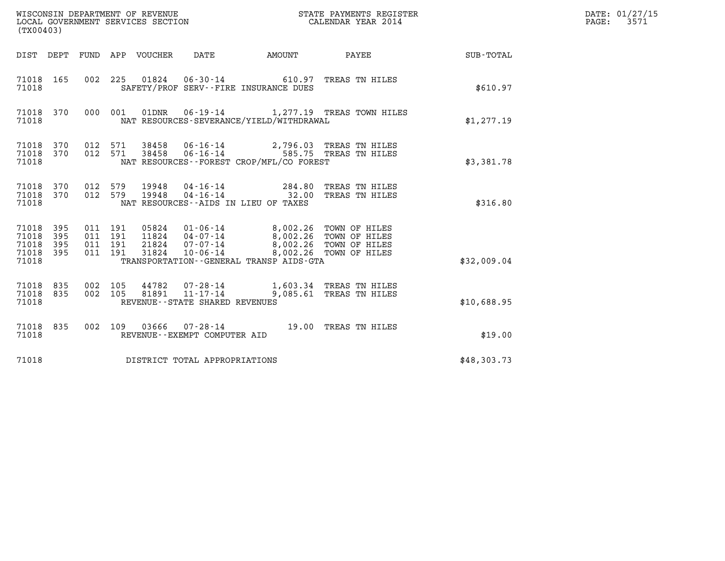| (TX00403)                                     |                   |  |                                 | WISCONSIN DEPARTMENT OF REVENUE<br>LOCAL GOVERNMENT SERVICES SECTION |                                                                                                                                                                                                                                                  | STATE PAYMENTS REGISTER<br>CALENDAR YEAR 2014              |                  | DATE: 01/27/15<br>PAGE: 3571 |
|-----------------------------------------------|-------------------|--|---------------------------------|----------------------------------------------------------------------|--------------------------------------------------------------------------------------------------------------------------------------------------------------------------------------------------------------------------------------------------|------------------------------------------------------------|------------------|------------------------------|
|                                               |                   |  | DIST DEPT FUND APP VOUCHER DATE |                                                                      | AMOUNT PAYEE                                                                                                                                                                                                                                     |                                                            | <b>SUB-TOTAL</b> |                              |
| 71018                                         |                   |  |                                 |                                                                      | 71018  165  002  225  01824  06-30-14  610.97  TREAS TN HILES<br>SAFETY/PROF SERV--FIRE INSURANCE DUES                                                                                                                                           |                                                            | \$610.97         |                              |
| 71018                                         |                   |  |                                 |                                                                      | NAT RESOURCES-SEVERANCE/YIELD/WITHDRAWAL                                                                                                                                                                                                         | 71018 370 000 001 01DNR 06-19-14 1,277.19 TREAS TOWN HILES | \$1,277.19       |                              |
| 71018                                         |                   |  |                                 |                                                                      | 71018 370 012 571 38458 06-16-14 2,796.03 TREAS TN HILES<br>71018 370 012 571 38458 06-16-14 585.75 TREAS TN HILES<br>NAT RESOURCES - - FOREST CROP/MFL/CO FOREST                                                                                |                                                            | \$3,381.78       |                              |
| 71018                                         |                   |  |                                 |                                                                      | 71018 370 012 579 19948 04-16-14 284.80 TREAS TN HILES<br>71018 370 012 579 19948 04-16-14 32.00 TREAS TN HILES<br>NAT RESOURCES--AIDS IN LIEU OF TAXES                                                                                          |                                                            | \$316.80         |                              |
| 71018 395<br>71018<br>71018<br>71018<br>71018 | 395<br>395<br>395 |  |                                 |                                                                      | 011 191 05824 01-06-14 8,002.26 TOWN OF HILES<br>011 191 11824 04-07-14 8,002.26 TOWN OF HILES<br>011 191 21824 07-07-14 8,002.26 TOWN OF HILES<br>011  191  31824  10-06-14  8,002.26  TOWN OF HILES<br>TRANSPORTATION--GENERAL TRANSP AIDS-GTA |                                                            | \$32,009.04      |                              |
| 71018 835<br>71018                            |                   |  |                                 | REVENUE--STATE SHARED REVENUES                                       | 002 105 44782 07-28-14 1,603.34 TREAS TN HILES<br>71018 835 002 105 81891 11-17-14 9,085.61 TREAS TN HILES                                                                                                                                       |                                                            | \$10,688.95      |                              |
| 71018                                         |                   |  |                                 | REVENUE--EXEMPT COMPUTER AID                                         | 71018 835 002 109 03666 07-28-14 19.00 TREAS TN HILES                                                                                                                                                                                            |                                                            | \$19.00          |                              |
| 71018                                         |                   |  |                                 | DISTRICT TOTAL APPROPRIATIONS                                        |                                                                                                                                                                                                                                                  |                                                            | \$48,303.73      |                              |
|                                               |                   |  |                                 |                                                                      |                                                                                                                                                                                                                                                  |                                                            |                  |                              |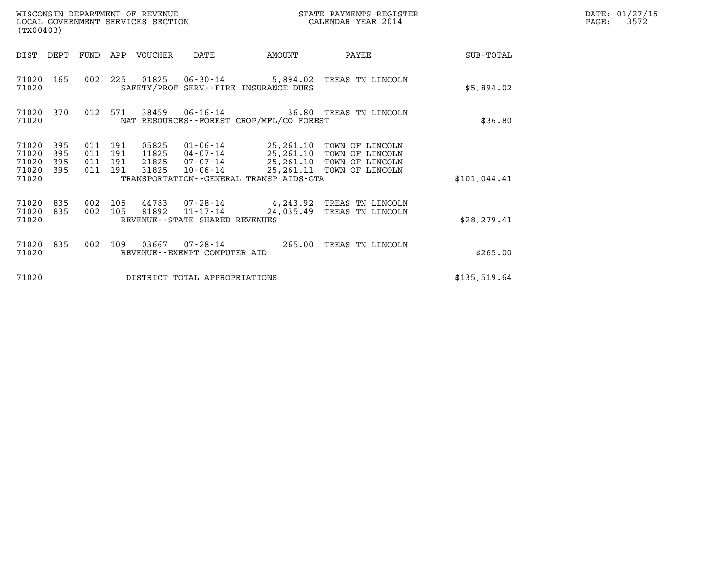| (TX00403)                                 |                          |                                  |            | WISCONSIN DEPARTMENT OF REVENUE<br>LOCAL GOVERNMENT SERVICES SECTION |                                                                       |                                             | STATE PAYMENTS REGISTER<br>CALENDAR YEAR 2014                                                                     |              | DATE: 01/27/15<br>PAGE:<br>3572 |
|-------------------------------------------|--------------------------|----------------------------------|------------|----------------------------------------------------------------------|-----------------------------------------------------------------------|---------------------------------------------|-------------------------------------------------------------------------------------------------------------------|--------------|---------------------------------|
| DIST                                      | DEPT                     | FUND                             |            | APP VOUCHER                                                          | DATE                                                                  | AMOUNT                                      | PAYEE                                                                                                             | SUB-TOTAL    |                                 |
| 71020<br>71020                            | 165                      | 002                              | 225        | 01825                                                                | $06 - 30 - 14$                                                        | SAFETY/PROF SERV--FIRE INSURANCE DUES       | 5,894.02 TREAS TN LINCOLN                                                                                         | \$5,894.02   |                                 |
| 71020<br>71020                            | 370                      | 012                              | 571        | 38459                                                                |                                                                       | NAT RESOURCES - - FOREST CROP/MFL/CO FOREST | 06-16-14 36.80 TREAS TN LINCOLN                                                                                   | \$36.80      |                                 |
| 71020<br>71020<br>71020<br>71020<br>71020 | 395<br>395<br>395<br>395 | 011 191<br>011<br>011<br>011 191 | 191<br>191 | 05825<br>11825<br>21825<br>31825                                     | 01-06-14<br>04-07-14<br>07-07-14<br>10-06-14                          | TRANSPORTATION--GENERAL TRANSP AIDS-GTA     | 25,261.10 TOWN OF LINCOLN<br>25,261.10 TOWN OF LINCOLN<br>25,261.10 TOWN OF LINCOLN<br>25, 261.11 TOWN OF LINCOLN | \$101,044.41 |                                 |
| 71020<br>71020<br>71020                   | 835<br>835               | 002<br>002                       | 105<br>105 | 81892                                                                | 44783 07-28-14<br>$11 - 17 - 14$<br>REVENUE - - STATE SHARED REVENUES | 24,035.49                                   | 4,243.92 TREAS TN LINCOLN<br>TREAS TN LINCOLN                                                                     | \$28, 279.41 |                                 |
| 71020<br>71020                            | 835                      | 002                              | 109        | 03667                                                                | 07-28-14<br>REVENUE - - EXEMPT COMPUTER AID                           | 265.00                                      | TREAS TN LINCOLN                                                                                                  | \$265.00     |                                 |
| 71020                                     |                          |                                  |            |                                                                      | DISTRICT TOTAL APPROPRIATIONS                                         |                                             |                                                                                                                   | \$135,519.64 |                                 |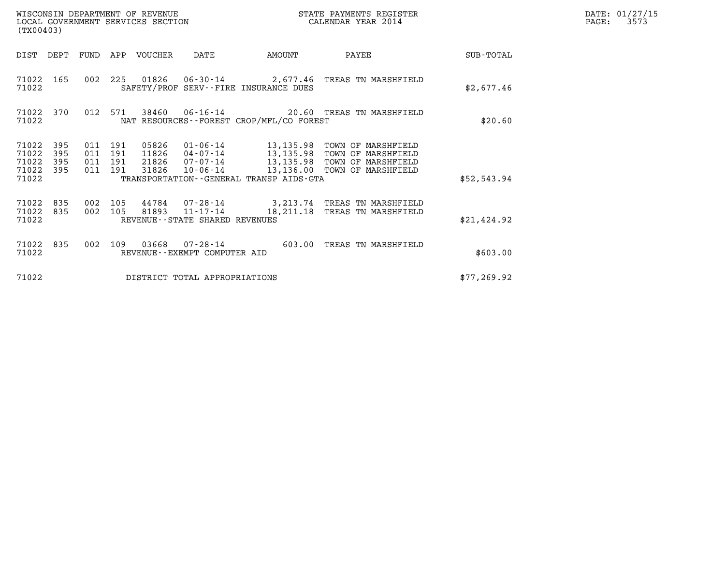| (TX00403)                                         |            |                               |         |                            | WISCONSIN DEPARTMENT OF REVENUE<br>LOCAL GOVERNMENT SERVICES SECTION |                                             | STATE PAYMENTS REGISTER<br>CALENDAR YEAR 2014                                                                                                                                      |              | DATE: 01/27/15<br>$\mathtt{PAGE:}$<br>3573 |
|---------------------------------------------------|------------|-------------------------------|---------|----------------------------|----------------------------------------------------------------------|---------------------------------------------|------------------------------------------------------------------------------------------------------------------------------------------------------------------------------------|--------------|--------------------------------------------|
|                                                   |            |                               |         | DIST DEPT FUND APP VOUCHER | DATE                                                                 | AMOUNT                                      | PAYEE                                                                                                                                                                              | SUB-TOTAL    |                                            |
| 71022                                             | 71022 165  |                               |         |                            |                                                                      | SAFETY/PROF SERV--FIRE INSURANCE DUES       | 002 225 01826 06-30-14 2,677.46 TREAS TN MARSHFIELD                                                                                                                                | \$2,677.46   |                                            |
| 71022                                             | 71022 370  |                               | 012 571 |                            |                                                                      | NAT RESOURCES - - FOREST CROP/MFL/CO FOREST | 38460  06-16-14  20.60 TREAS TN MARSHFIELD                                                                                                                                         | \$20.60      |                                            |
| 71022 395<br>71022<br>71022<br>71022 395<br>71022 | 395<br>395 | 011 191<br>011 191<br>011 191 | 011 191 |                            | 31826 10-06-14                                                       | TRANSPORTATION--GENERAL TRANSP AIDS-GTA     | 05826  01-06-14  13,135.98  TOWN OF MARSHFIELD<br>11826  04-07-14  13,135.98  TOWN OF MARSHFIELD<br>21826  07-07-14  13,135.98  TOWN OF MARSHFIELD<br>13,136.00 TOWN OF MARSHFIELD | \$52,543.94  |                                            |
| 71022 835<br>71022 835<br>71022                   |            | 002 105<br>002 105            |         |                            | REVENUE - - STATE SHARED REVENUES                                    |                                             | 44784 07-28-14 3,213.74 TREAS TN MARSHFIELD<br>81893 11-17-14 18, 211.18 TREAS TN MARSHFIELD                                                                                       | \$21,424.92  |                                            |
| 71022 835<br>71022                                |            | 002 109                       |         |                            | REVENUE--EXEMPT COMPUTER AID                                         |                                             | 603.00 TREAS TN MARSHFIELD                                                                                                                                                         | \$603.00     |                                            |
| 71022                                             |            |                               |         |                            | DISTRICT TOTAL APPROPRIATIONS                                        |                                             |                                                                                                                                                                                    | \$77, 269.92 |                                            |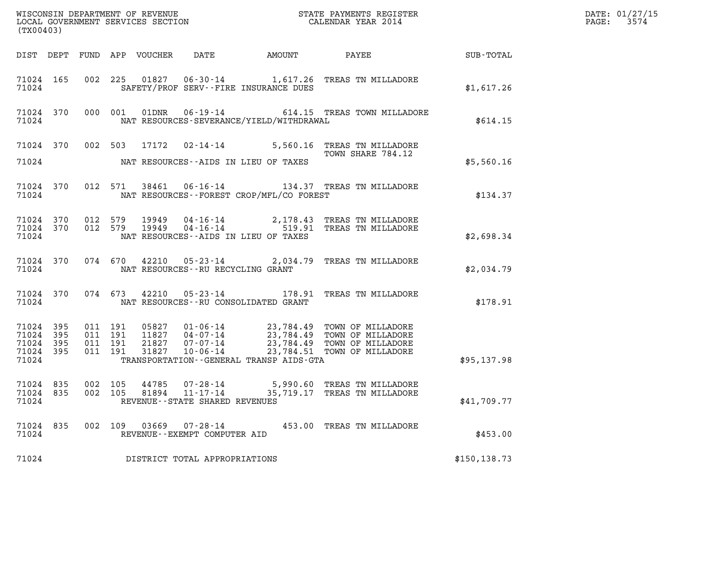| (TX00403)                                |                  |                               |         |                                                     | $\mathcal{L}(\mathcal{L}^{\text{max}}_{\mathcal{L}^{\text{max}}_{\mathcal{L}^{\text{max}}_{\mathcal{L}^{\text{max}}_{\mathcal{L}^{\text{max}}_{\mathcal{L}^{\text{max}}_{\mathcal{L}^{\text{max}}_{\mathcal{L}^{\text{max}}_{\mathcal{L}^{\text{max}}_{\mathcal{L}^{\text{max}}_{\mathcal{L}^{\text{max}}_{\mathcal{L}^{\text{max}}_{\mathcal{L}^{\text{max}}_{\mathcal{L}^{\text{max}}_{\mathcal{L}^{\text{max}}_{\mathcal{L}^{\text{max}}_{\mathcal{L}$ | DATE: 01/27/15<br>PAGE: 3574                                                                                                                                                                                               |               |  |
|------------------------------------------|------------------|-------------------------------|---------|-----------------------------------------------------|-----------------------------------------------------------------------------------------------------------------------------------------------------------------------------------------------------------------------------------------------------------------------------------------------------------------------------------------------------------------------------------------------------------------------------------------------------------|----------------------------------------------------------------------------------------------------------------------------------------------------------------------------------------------------------------------------|---------------|--|
|                                          |                  |                               |         |                                                     |                                                                                                                                                                                                                                                                                                                                                                                                                                                           |                                                                                                                                                                                                                            |               |  |
| 71024                                    |                  |                               |         |                                                     | SAFETY/PROF SERV--FIRE INSURANCE DUES                                                                                                                                                                                                                                                                                                                                                                                                                     | 71024 165 002 225 01827 06-30-14 1,617.26 TREAS TN MILLADORE                                                                                                                                                               | \$1,617.26    |  |
| 71024                                    |                  |                               |         |                                                     | NAT RESOURCES-SEVERANCE/YIELD/WITHDRAWAL                                                                                                                                                                                                                                                                                                                                                                                                                  | 71024 370 000 001 01DNR 06-19-14 614.15 TREAS TOWN MILLADORE                                                                                                                                                               | \$614.15      |  |
|                                          |                  |                               |         |                                                     |                                                                                                                                                                                                                                                                                                                                                                                                                                                           | 71024 370 002 503 17172 02-14-14 5,560.16 TREAS TN MILLADORE<br>TOWN SHARE 784.12                                                                                                                                          |               |  |
|                                          |                  |                               |         |                                                     | 71024 NAT RESOURCES--AIDS IN LIEU OF TAXES                                                                                                                                                                                                                                                                                                                                                                                                                |                                                                                                                                                                                                                            | \$5,560.16    |  |
|                                          |                  |                               |         |                                                     | 71024 NAT RESOURCES--FOREST CROP/MFL/CO FOREST                                                                                                                                                                                                                                                                                                                                                                                                            | 71024 370 012 571 38461 06-16-14 134.37 TREAS TN MILLADORE                                                                                                                                                                 | \$134.37      |  |
| 71024                                    |                  |                               |         |                                                     | NAT RESOURCES - AIDS IN LIEU OF TAXES                                                                                                                                                                                                                                                                                                                                                                                                                     | $\begin{array}{cccc} 71024 & 370 & 012 & 579 & 19949 & 04\cdot 16\cdot 14 & 2,178.43 & \text{TREAS TN MILLADORE} \\ 71024 & 370 & 012 & 579 & 19949 & 04\cdot 16\cdot 14 & 519.91 & \text{TREAS TN MILLADORE} \end{array}$ | \$2,698.34    |  |
|                                          |                  |                               |         | 71024 NAT RESOURCES--RU RECYCLING GRANT             |                                                                                                                                                                                                                                                                                                                                                                                                                                                           | 71024 370 074 670 42210 05-23-14 2,034.79 TREAS TN MILLADORE                                                                                                                                                               | \$2,034.79    |  |
|                                          |                  |                               |         |                                                     | 71024 NAT RESOURCES--RU CONSOLIDATED GRANT                                                                                                                                                                                                                                                                                                                                                                                                                | 71024 370 074 673 42210 05-23-14 178.91 TREAS TN MILLADORE                                                                                                                                                                 | \$178.91      |  |
| 71024 395<br>71024<br>71024 395<br>71024 | 395<br>71024 395 | 011 191<br>011 191<br>011 191 | 011 191 |                                                     | TRANSPORTATION--GENERAL TRANSP AIDS-GTA                                                                                                                                                                                                                                                                                                                                                                                                                   | 05827  01-06-14  23,784.49  TOWN OF MILLADORE<br>11827  04-07-14  23,784.49  TOWN OF MILLADORE<br>21827  07-07-14  23,784.49  TOWN OF MILLADORE<br>31827  10-06-14  23,784.51  TOWN OF MILLADORE                           | \$95,137.98   |  |
| 71024 835<br>71024 835<br>71024          |                  | 002 105<br>002 105            |         | 81894 11-17-14<br>REVENUE - - STATE SHARED REVENUES |                                                                                                                                                                                                                                                                                                                                                                                                                                                           | 44785 07-28-14 5,990.60 TREAS TN MILLADORE<br>35,719.17 TREAS TN MILLADORE                                                                                                                                                 | \$41,709.77   |  |
| 71024 835<br>71024                       |                  | 002 109                       |         | 03669 07-28-14<br>REVENUE--EXEMPT COMPUTER AID      |                                                                                                                                                                                                                                                                                                                                                                                                                                                           | 453.00 TREAS TN MILLADORE                                                                                                                                                                                                  | \$453.00      |  |
| 71024                                    |                  |                               |         | DISTRICT TOTAL APPROPRIATIONS                       |                                                                                                                                                                                                                                                                                                                                                                                                                                                           |                                                                                                                                                                                                                            | \$150, 138.73 |  |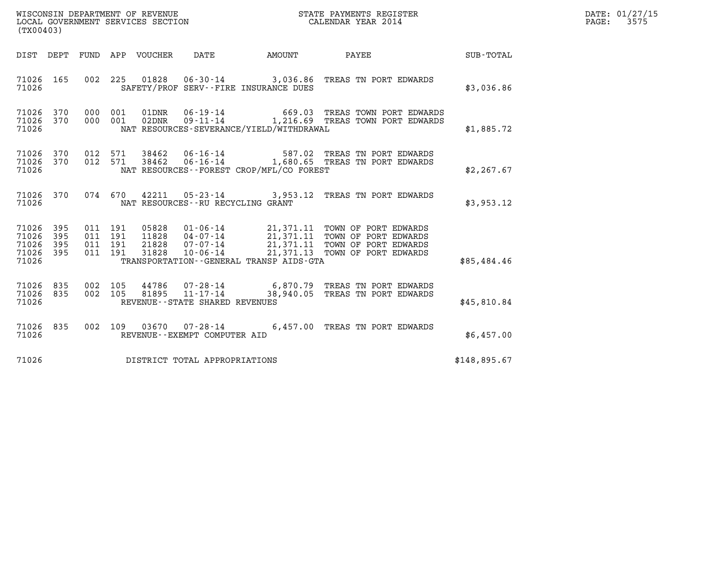|                                                   | WISCONSIN DEPARTMENT OF REVENUE<br>LOCAL GOVERNMENT SERVICES SECTION<br>CALENDAR YEAR 2014<br>(TX00403) |                    |                    |  |                                      |                                              |                                                                                                                                                                                                          |              | DATE: 01/27/15<br>PAGE: 3575 |
|---------------------------------------------------|---------------------------------------------------------------------------------------------------------|--------------------|--------------------|--|--------------------------------------|----------------------------------------------|----------------------------------------------------------------------------------------------------------------------------------------------------------------------------------------------------------|--------------|------------------------------|
|                                                   |                                                                                                         |                    |                    |  |                                      |                                              | DIST DEPT FUND APP VOUCHER DATE AMOUNT PAYEE TOTAL                                                                                                                                                       |              |                              |
| 71026 165<br>71026                                |                                                                                                         |                    |                    |  |                                      | SAFETY/PROF SERV--FIRE INSURANCE DUES        | 002 225 01828 06-30-14 3,036.86 TREAS TN PORT EDWARDS                                                                                                                                                    | \$3,036.86   |                              |
| 71026 370 000 001<br>71026 370<br>71026           |                                                                                                         |                    | 000 001            |  |                                      | NAT RESOURCES-SEVERANCE/YIELD/WITHDRAWAL     |                                                                                                                                                                                                          | \$1,885.72   |                              |
| 71026                                             |                                                                                                         |                    |                    |  |                                      | NAT RESOURCES - FOREST CROP/MFL/CO FOREST    | 71026 370 012 571 38462 06-16-14 587.02 TREAS TN PORT EDWARDS<br>71026 370 012 571 38462 06-16-14 1,680.65 TREAS TN PORT EDWARDS                                                                         | \$2,267.67   |                              |
| 71026                                             |                                                                                                         |                    |                    |  | NAT RESOURCES - - RU RECYCLING GRANT |                                              | 71026 370 074 670 42211 05-23-14 3,953.12 TREAS TN PORT EDWARDS                                                                                                                                          | \$3,953.12   |                              |
| 71026 395<br>71026<br>71026<br>71026 395<br>71026 | 395<br>395                                                                                              | 011 191<br>011 191 | 011 191<br>011 191 |  |                                      | TRANSPORTATION - - GENERAL TRANSP AIDS - GTA | 05828  01-06-14  21,371.11 TOWN OF PORT EDWARDS<br>11828  04-07-14  21,371.11 TOWN OF PORT EDWARDS<br>21828  07-07-14  21,371.11 TOWN OF PORT EDWARDS<br>31828  10-06-14  21,371.13 TOWN OF PORT EDWARDS | \$85,484.46  |                              |
| 71026 835<br>71026 835<br>71026                   |                                                                                                         |                    |                    |  | REVENUE - - STATE SHARED REVENUES    |                                              | 002 105 44786 07-28-14 6,870.79 TREAS TN PORT EDWARDS<br>002 105 81895 11-17-14 38,940.05 TREAS TN PORT EDWARDS                                                                                          | \$45,810.84  |                              |
| 71026 835<br>71026                                |                                                                                                         |                    |                    |  | REVENUE--EXEMPT COMPUTER AID         |                                              | 002 109 03670 07-28-14 6,457.00 TREAS TN PORT EDWARDS                                                                                                                                                    | \$6,457.00   |                              |
| 71026                                             |                                                                                                         |                    |                    |  | DISTRICT TOTAL APPROPRIATIONS        |                                              |                                                                                                                                                                                                          | \$148,895.67 |                              |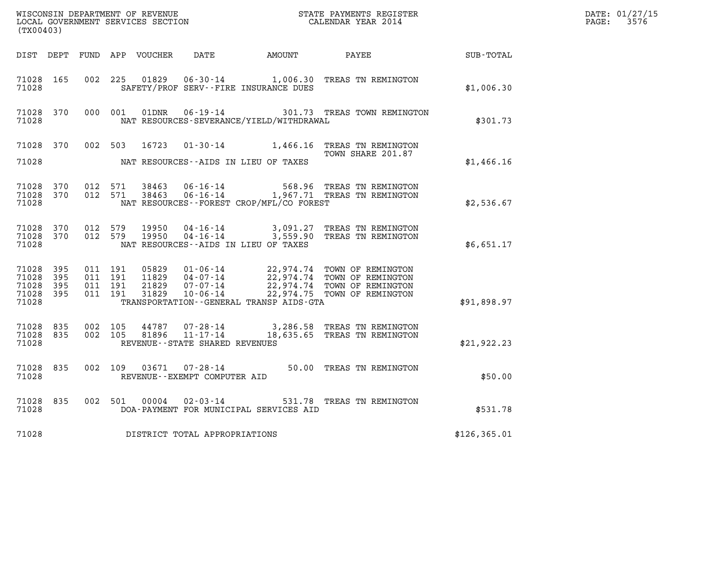| (TX00403)                                     |                   |                                          |         |                                  |                                                        |                                              |                                                                                                                                                              |               | DATE: 01/27/15<br>$\mathtt{PAGE:}$<br>3576 |
|-----------------------------------------------|-------------------|------------------------------------------|---------|----------------------------------|--------------------------------------------------------|----------------------------------------------|--------------------------------------------------------------------------------------------------------------------------------------------------------------|---------------|--------------------------------------------|
| DIST DEPT                                     |                   |                                          |         |                                  |                                                        |                                              |                                                                                                                                                              | SUB-TOTAL     |                                            |
| 71028 165<br>71028                            |                   |                                          | 002 225 |                                  |                                                        | SAFETY/PROF SERV--FIRE INSURANCE DUES        | 01829  06-30-14  1,006.30  TREAS TN REMINGTON                                                                                                                | \$1,006.30    |                                            |
| 71028 370<br>71028                            |                   | 000 001                                  |         | 01DNR                            |                                                        | NAT RESOURCES-SEVERANCE/YIELD/WITHDRAWAL     | 06-19-14 301.73 TREAS TOWN REMINGTON                                                                                                                         | \$301.73      |                                            |
| 71028 370<br>71028                            |                   |                                          |         |                                  |                                                        | NAT RESOURCES--AIDS IN LIEU OF TAXES         | 002 503 16723 01-30-14 1,466.16 TREAS TN REMINGTON<br>TOWN SHARE 201.87                                                                                      | \$1,466.16    |                                            |
| 71028 370<br>71028 370<br>71028               |                   | 012 571<br>012 571                       |         | 38463<br>38463                   |                                                        | NAT RESOURCES - - FOREST CROP/MFL/CO FOREST  | 06-16-14 568.96 TREAS TN REMINGTON<br>06-16-14 1,967.71 TREAS TN REMINGTON                                                                                   | \$2,536.67    |                                            |
| 71028 370<br>71028 370<br>71028               |                   | 012 579<br>012 579                       |         | 19950<br>19950                   |                                                        | NAT RESOURCES--AIDS IN LIEU OF TAXES         | 04-16-14 3,091.27 TREAS TN REMINGTON<br>04-16-14 3,559.90 TREAS TN REMINGTON                                                                                 | \$6.651.17    |                                            |
| 71028 395<br>71028<br>71028<br>71028<br>71028 | 395<br>395<br>395 | 011 191<br>011 191<br>011 191<br>011 191 |         | 05829<br>11829<br>21829<br>31829 |                                                        | TRANSPORTATION - - GENERAL TRANSP AIDS - GTA | 01-06-14 22,974.74 TOWN OF REMINGTON<br>04-07-14 22,974.74 TOWN OF REMINGTON<br>07-07-14 22,974.74 TOWN OF REMINGTON<br>10-06-14 22,974.75 TOWN OF REMINGTON | \$91,898.97   |                                            |
| 71028 835<br>71028 835<br>71028               |                   | 002 105<br>002 105                       |         | 44787<br>81896                   | 07-28-14<br>11-17-14<br>REVENUE--STATE SHARED REVENUES |                                              | 3,286.58 TREAS TN REMINGTON<br>18,635.65 TREAS TN REMINGTON                                                                                                  | \$21,922.23   |                                            |
| 71028 835<br>71028                            |                   |                                          | 002 109 |                                  | REVENUE--EXEMPT COMPUTER AID                           |                                              | 03671  07-28-14  50.00 TREAS TN REMINGTON                                                                                                                    | \$50.00       |                                            |
| 71028 835<br>71028                            |                   |                                          | 002 501 | 00004                            | $02 - 03 - 14$                                         | DOA-PAYMENT FOR MUNICIPAL SERVICES AID       | 531.78 TREAS TN REMINGTON                                                                                                                                    | \$531.78      |                                            |
| 71028                                         |                   |                                          |         |                                  | DISTRICT TOTAL APPROPRIATIONS                          |                                              |                                                                                                                                                              | \$126, 365.01 |                                            |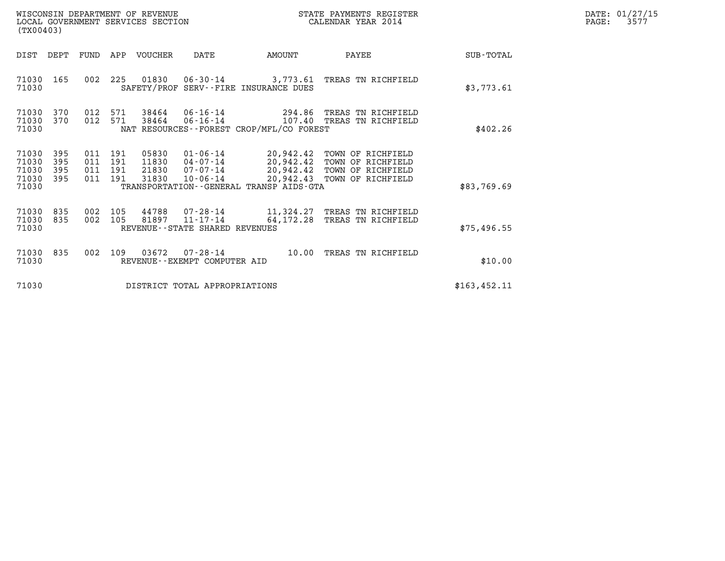| WISCONSIN DEPARTMENT OF REVENUE<br>LOCAL GOVERNMENT SERVICES SECTION | STATE PAYMENTS REGISTER<br>CALENDAR YEAR 2014 | DATE: 01/27/15<br>3577<br>PAGE: |
|----------------------------------------------------------------------|-----------------------------------------------|---------------------------------|

| WISCONSIN DEPARTMENT OF REVENUE<br>LOCAL GOVERNMENT SERVICES SECTION<br>(TX00403) |                          |                          |                          |                                  |                                                     |                                                                   |                                                                                                      |                  |
|-----------------------------------------------------------------------------------|--------------------------|--------------------------|--------------------------|----------------------------------|-----------------------------------------------------|-------------------------------------------------------------------|------------------------------------------------------------------------------------------------------|------------------|
| DIST                                                                              | DEPT                     | FUND                     | APP                      | <b>VOUCHER</b>                   | DATE                                                | AMOUNT                                                            | PAYEE                                                                                                | <b>SUB-TOTAL</b> |
| 71030<br>71030                                                                    | 165                      | 002                      | 225                      |                                  |                                                     | SAFETY/PROF SERV--FIRE INSURANCE DUES                             | 01830  06-30-14  3,773.61  TREAS TN RICHFIELD                                                        | \$3,773.61       |
| 71030<br>71030<br>71030                                                           | 370<br>370               | 012<br>012               | 571<br>571               | 38464<br>38464                   |                                                     | NAT RESOURCES--FOREST CROP/MFL/CO FOREST                          | 06-16-14 294.86 TREAS TN RICHFIELD                                                                   | \$402.26         |
| 71030<br>71030<br>71030<br>71030<br>71030                                         | 395<br>395<br>395<br>395 | 011<br>011<br>011<br>011 | 191<br>191<br>191<br>191 | 05830<br>11830<br>21830<br>31830 | 01-06-14<br>$04 - 07 - 14$<br>07-07-14<br>10-06-14  | 20,942.42<br>20,942.43<br>TRANSPORTATION--GENERAL TRANSP AIDS-GTA | 20,942.42 TOWN OF RICHFIELD<br>TOWN OF RICHFIELD<br>20,942.42 TOWN OF RICHFIELD<br>TOWN OF RICHFIELD | \$83,769.69      |
| 71030<br>71030<br>71030                                                           | 835<br>835               | 002<br>002               | 105<br>105               | 81897                            | $11 - 17 - 14$<br>REVENUE - - STATE SHARED REVENUES |                                                                   | 64,172.28 TREAS TN RICHFIELD                                                                         | \$75,496.55      |
| 71030<br>71030                                                                    | 835                      | 002                      | 109                      | 03672                            | $07 - 28 - 14$<br>REVENUE - - EXEMPT COMPUTER AID   |                                                                   | 10.00 TREAS TN RICHFIELD                                                                             | \$10.00          |
| 71030                                                                             |                          |                          |                          |                                  | DISTRICT TOTAL APPROPRIATIONS                       |                                                                   |                                                                                                      | \$163, 452.11    |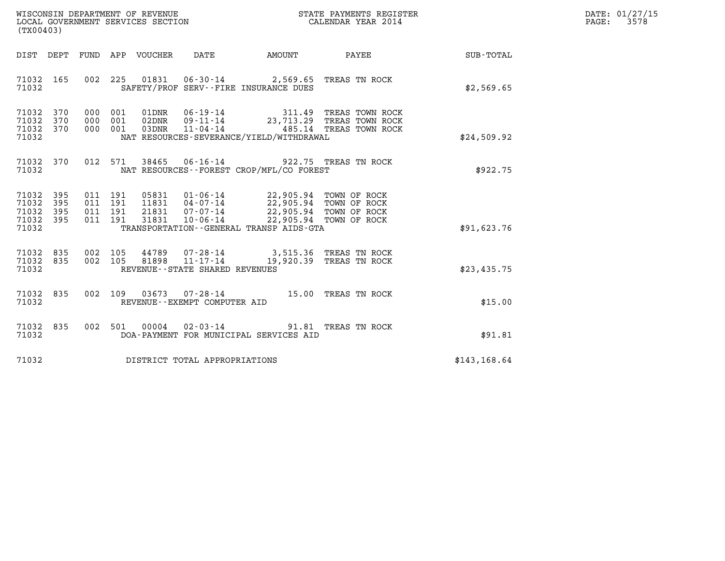| WISCONSIN DEPARTMENT OF REVENUE   | STATE PAYMENTS REGISTER | DATE: 01/27/15 |
|-----------------------------------|-------------------------|----------------|
| LOCAL GOVERNMENT SERVICES SECTION | CALENDAR YEAR 2014      | 3578<br>PAGE:  |

| (TX00403)                                                                                         |                                                                                                                                                                                                                                                                        |                  |
|---------------------------------------------------------------------------------------------------|------------------------------------------------------------------------------------------------------------------------------------------------------------------------------------------------------------------------------------------------------------------------|------------------|
| DEPT<br>FUND<br>DIST                                                                              | APP<br>VOUCHER<br>DATE<br>AMOUNT<br>PAYEE                                                                                                                                                                                                                              | <b>SUB-TOTAL</b> |
| 71032<br>165<br>002<br>71032                                                                      | 225<br>01831  06-30-14  2,569.65  TREAS TN ROCK<br>SAFETY/PROF SERV--FIRE INSURANCE DUES                                                                                                                                                                               | \$2,569.65       |
| 71032<br>370<br>000<br>71032<br>370<br>000<br>71032<br>370<br>000<br>71032                        | 001<br>01DNR<br>06-19-14 311.49 TREAS TOWN ROCK<br>09-11-14 23,713.29 TREAS TOWN ROCK<br>001<br>02DNR<br>001<br>11-04-14  485.14 TREAS TOWN ROCK<br>03DNR<br>NAT RESOURCES-SEVERANCE/YIELD/WITHDRAWAL                                                                  | \$24,509.92      |
| 012<br>71032<br>370<br>71032                                                                      | 571<br>38465 06-16-14 922.75 TREAS TN ROCK<br>NAT RESOURCES - - FOREST CROP/MFL/CO FOREST                                                                                                                                                                              | \$922.75         |
| 395<br>011<br>71032<br>71032<br>395<br>011<br>71032<br>395<br>011<br>71032<br>395<br>011<br>71032 | 191<br>05831<br>01-06-14 22,905.94 TOWN OF ROCK<br>191<br>11831  04-07-14<br>22,905.94 TOWN OF ROCK<br>21831<br>$07 - 07 - 14$<br>22,905.94 TOWN OF ROCK<br>191<br>22,905.94 TOWN OF ROCK<br>191<br>31831<br>$10 - 06 - 14$<br>TRANSPORTATION--GENERAL TRANSP AIDS-GTA | \$91,623.76      |
| 71032<br>835<br>002<br>71032<br>002<br>835<br>71032                                               | 105<br>44789  07-28-14  3,515.36 TREAS TN ROCK<br>11-17-14 19,920.39 TREAS TN ROCK<br>105<br>81898<br>REVENUE - - STATE SHARED REVENUES                                                                                                                                | \$23,435.75      |
| 002<br>71032<br>835<br>71032                                                                      | 109<br>03673<br>$07 - 28 - 14$<br>15.00<br>TREAS TN ROCK<br>REVENUE--EXEMPT COMPUTER AID                                                                                                                                                                               | \$15.00          |
| 71032<br>835<br>002<br>71032                                                                      | 501<br>00004<br>$02 - 03 - 14$<br>91.81 TREAS TN ROCK<br>DOA-PAYMENT FOR MUNICIPAL SERVICES AID                                                                                                                                                                        | \$91.81          |
| 71032                                                                                             | DISTRICT TOTAL APPROPRIATIONS                                                                                                                                                                                                                                          | \$143, 168.64    |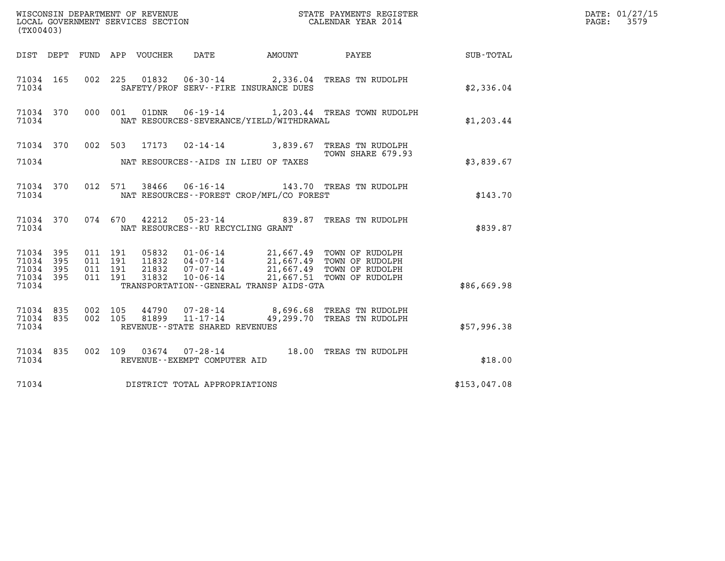| (TX00403)                                             |     |                                          |                            |                                                                |  |                                                                                                                                                                        |              | DATE: 01/27/15<br>3579<br>$\mathtt{PAGE}$ : |
|-------------------------------------------------------|-----|------------------------------------------|----------------------------|----------------------------------------------------------------|--|------------------------------------------------------------------------------------------------------------------------------------------------------------------------|--------------|---------------------------------------------|
|                                                       |     |                                          | DIST DEPT FUND APP VOUCHER | DATE                                                           |  | AMOUNT PAYEE                                                                                                                                                           | SUB-TOTAL    |                                             |
| 71034 165<br>71034                                    |     |                                          |                            | SAFETY/PROF SERV--FIRE INSURANCE DUES                          |  | 002 225 01832 06-30-14 2,336.04 TREAS TN RUDOLPH                                                                                                                       | \$2,336.04   |                                             |
| 71034 370<br>71034                                    |     |                                          | 000 001<br>01DNR           | NAT RESOURCES-SEVERANCE/YIELD/WITHDRAWAL                       |  | 06-19-14 1,203.44 TREAS TOWN RUDOLPH                                                                                                                                   | \$1,203.44   |                                             |
|                                                       |     |                                          |                            |                                                                |  | 71034 370 002 503 17173 02-14-14 3,839.67 TREAS TN RUDOLPH<br>TOWN SHARE 679.93                                                                                        |              |                                             |
| 71034                                                 |     |                                          |                            | NAT RESOURCES--AIDS IN LIEU OF TAXES                           |  |                                                                                                                                                                        | \$3,839.67   |                                             |
| 71034 370<br>71034                                    |     |                                          | 012 571                    | NAT RESOURCES--FOREST CROP/MFL/CO FOREST                       |  | 38466  06-16-14  143.70  TREAS TN RUDOLPH                                                                                                                              | \$143.70     |                                             |
| 71034 370<br>71034                                    |     |                                          | 074 670<br>42212           | NAT RESOURCES - - RU RECYCLING GRANT                           |  | 05-23-14 839.87 TREAS TN RUDOLPH                                                                                                                                       | \$839.87     |                                             |
| 71034 395<br>71034<br>71034 395<br>71034 395<br>71034 | 395 | 011 191<br>011 191<br>011 191<br>011 191 | 31832                      | $10 - 06 - 14$<br>TRANSPORTATION - - GENERAL TRANSP AIDS - GTA |  | 05832  01-06-14  21,667.49  TOWN OF RUDOLPH<br>11832  04-07-14  21,667.49  TOWN OF RUDOLPH<br>21832  07-07-14  21,667.49  TOWN OF RUDOLPH<br>21,667.51 TOWN OF RUDOLPH | \$86,669.98  |                                             |
| 71034 835<br>71034 835<br>71034                       |     | 002 105                                  |                            | REVENUE--STATE SHARED REVENUES                                 |  | 44790 07-28-14 8,696.68 TREAS TN RUDOLPH<br>002 105 81899 11-17-14 49,299.70 TREAS TN RUDOLPH                                                                          | \$57,996.38  |                                             |
| 71034 835<br>71034                                    |     |                                          |                            | REVENUE--EXEMPT COMPUTER AID                                   |  | 002 109 03674 07-28-14 18.00 TREAS TN RUDOLPH                                                                                                                          | \$18.00      |                                             |
| 71034                                                 |     |                                          |                            | DISTRICT TOTAL APPROPRIATIONS                                  |  |                                                                                                                                                                        | \$153,047.08 |                                             |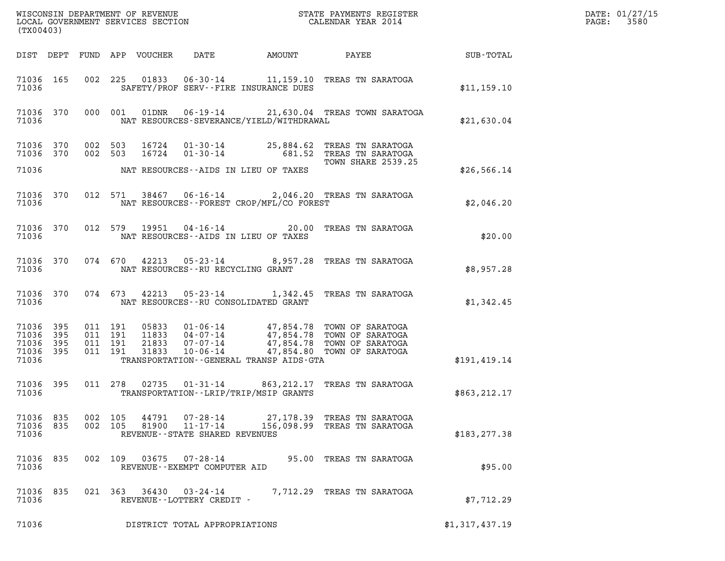| $\mathcal{L}(\mathcal{L}^{\text{max}}_{\mathcal{L}^{\text{max}}_{\mathcal{L}^{\text{max}}_{\mathcal{L}^{\text{max}}_{\mathcal{L}^{\text{max}}_{\mathcal{L}^{\text{max}}_{\mathcal{L}^{\text{max}}_{\mathcal{L}^{\text{max}}_{\mathcal{L}^{\text{max}}_{\mathcal{L}^{\text{max}}_{\mathcal{L}^{\text{max}}_{\mathcal{L}^{\text{max}}_{\mathcal{L}^{\text{max}}_{\mathcal{L}^{\text{max}}_{\mathcal{L}^{\text{max}}_{\mathcal{L}^{\text{max}}_{\mathcal{L}$<br>(TX00403) |           |  |                                          |                                                        |                                              |                                                                                                                                                                                              |                | DATE: 01/27/15<br>PAGE: 3580 |
|------------------------------------------------------------------------------------------------------------------------------------------------------------------------------------------------------------------------------------------------------------------------------------------------------------------------------------------------------------------------------------------------------------------------------------------------------------------------|-----------|--|------------------------------------------|--------------------------------------------------------|----------------------------------------------|----------------------------------------------------------------------------------------------------------------------------------------------------------------------------------------------|----------------|------------------------------|
|                                                                                                                                                                                                                                                                                                                                                                                                                                                                        |           |  |                                          |                                                        |                                              | DIST DEPT FUND APP VOUCHER DATE AMOUNT PAYEE SUB-TOTAL                                                                                                                                       |                |                              |
| 71036                                                                                                                                                                                                                                                                                                                                                                                                                                                                  | 71036 165 |  |                                          |                                                        | SAFETY/PROF SERV--FIRE INSURANCE DUES        | 002 225 01833 06-30-14 11,159.10 TREAS TN SARATOGA                                                                                                                                           | \$11,159.10    |                              |
| 71036                                                                                                                                                                                                                                                                                                                                                                                                                                                                  |           |  |                                          |                                                        |                                              | 71036 370 000 001 01DNR 06-19-14 21,630.04 TREAS TOWN SARATOGA<br>NAT RESOURCES-SEVERANCE/YIELD/WITHDRAWAL                                                                                   | \$21,630.04    |                              |
|                                                                                                                                                                                                                                                                                                                                                                                                                                                                        |           |  |                                          |                                                        |                                              | 71036 370 002 503 16724 01-30-14 25,884.62 TREAS TN SARATOGA<br>71036 370 002 503 16724 01-30-14 681.52 TREAS TN SARATOGA                                                                    |                |                              |
| 71036                                                                                                                                                                                                                                                                                                                                                                                                                                                                  |           |  |                                          |                                                        | NAT RESOURCES--AIDS IN LIEU OF TAXES         |                                                                                                                                                                                              | \$26,566.14    |                              |
| 71036                                                                                                                                                                                                                                                                                                                                                                                                                                                                  |           |  |                                          |                                                        | NAT RESOURCES--FOREST CROP/MFL/CO FOREST     | 71036 370 012 571 38467 06-16-14 2,046.20 TREAS TN SARATOGA                                                                                                                                  | \$2,046.20     |                              |
| 71036                                                                                                                                                                                                                                                                                                                                                                                                                                                                  |           |  |                                          |                                                        | NAT RESOURCES--AIDS IN LIEU OF TAXES         | 71036 370 012 579 19951 04-16-14 20.00 TREAS TN SARATOGA                                                                                                                                     | \$20.00        |                              |
| 71036                                                                                                                                                                                                                                                                                                                                                                                                                                                                  |           |  | NAT RESOURCES--RU RECYCLING GRANT        |                                                        |                                              | 71036 370 074 670 42213 05-23-14 8,957.28 TREAS TN SARATOGA                                                                                                                                  | \$8,957.28     |                              |
| 71036                                                                                                                                                                                                                                                                                                                                                                                                                                                                  |           |  |                                          |                                                        | NAT RESOURCES--RU CONSOLIDATED GRANT         | 71036 370 074 673 42213 05-23-14 1,342.45 TREAS TN SARATOGA                                                                                                                                  | \$1,342.45     |                              |
| 71036 395<br>71036<br>71036 395<br>71036 395<br>71036                                                                                                                                                                                                                                                                                                                                                                                                                  | 395       |  | 011 191<br>011 191<br>011 191<br>011 191 |                                                        | TRANSPORTATION - - GENERAL TRANSP AIDS - GTA | 05833  01-06-14  47,854.78  TOWN OF SARATOGA<br>11833  04-07-14  47,854.78  TOWN OF SARATOGA<br>21833  07-07-14  47,854.78  TOWN OF SARATOGA<br>31833  10-06-14  47,854.80  TOWN OF SARATOGA | \$191,419.14   |                              |
| 71036                                                                                                                                                                                                                                                                                                                                                                                                                                                                  | 71036 395 |  |                                          |                                                        | TRANSPORTATION - - LRIP/TRIP/MSIP GRANTS     | 011 278 02735 01-31-14 863, 212.17 TREAS TN SARATOGA                                                                                                                                         | \$863,212.17   |                              |
| 71036<br>71036 835<br>71036                                                                                                                                                                                                                                                                                                                                                                                                                                            | 835       |  | 002 105<br>44791<br>002 105<br>81900     | 07-28-14<br>11-17-14<br>REVENUE--STATE SHARED REVENUES |                                              | 27,178.39 TREAS TN SARATOGA<br>156,098.99 TREAS TN SARATOGA                                                                                                                                  | \$183, 277.38  |                              |
| 71036 835<br>71036                                                                                                                                                                                                                                                                                                                                                                                                                                                     |           |  | 002 109<br>03675                         | 07-28-14<br>REVENUE--EXEMPT COMPUTER AID               |                                              | 95.00 TREAS TN SARATOGA                                                                                                                                                                      | \$95.00        |                              |
| 71036<br>71036                                                                                                                                                                                                                                                                                                                                                                                                                                                         | 835       |  | 021 363<br>36430                         | $03 - 24 - 14$<br>REVENUE--LOTTERY CREDIT -            |                                              | 7,712.29 TREAS TN SARATOGA                                                                                                                                                                   | \$7,712.29     |                              |
| 71036                                                                                                                                                                                                                                                                                                                                                                                                                                                                  |           |  |                                          | DISTRICT TOTAL APPROPRIATIONS                          |                                              |                                                                                                                                                                                              | \$1,317,437.19 |                              |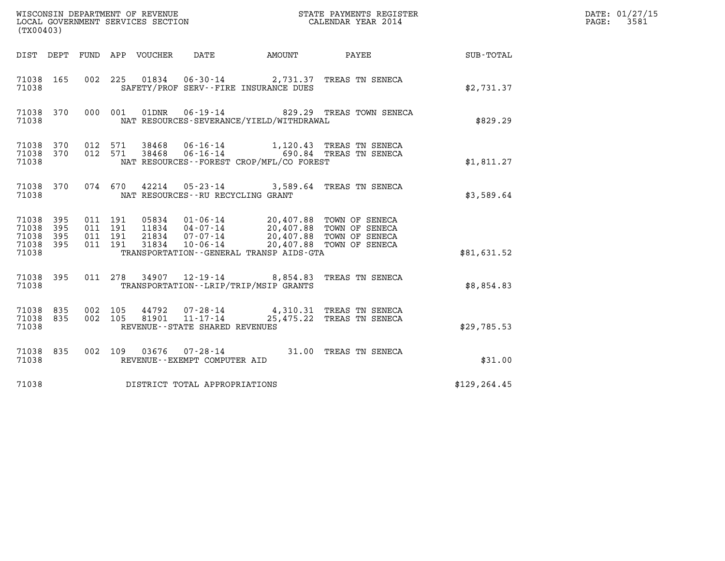| (TX00403)                                     |                   |                                          | WISCONSIN DEPARTMENT OF REVENUE<br>LOCAL GOVERNMENT SERVICES SECTION |                                                  |                                          | STATE PAYMENTS REGISTER<br>CALENDAR YEAR 2014                                                                                                                      |               | DATE: 01/27/15<br>3581<br>$\mathtt{PAGE}$ : |
|-----------------------------------------------|-------------------|------------------------------------------|----------------------------------------------------------------------|--------------------------------------------------|------------------------------------------|--------------------------------------------------------------------------------------------------------------------------------------------------------------------|---------------|---------------------------------------------|
|                                               |                   |                                          | DIST DEPT FUND APP VOUCHER                                           | DATE                                             | AMOUNT                                   | PAYEE                                                                                                                                                              | SUB-TOTAL     |                                             |
| 71038 165<br>71038                            |                   |                                          |                                                                      |                                                  | SAFETY/PROF SERV--FIRE INSURANCE DUES    | 002 225 01834 06-30-14 2,731.37 TREAS TN SENECA                                                                                                                    | \$2,731.37    |                                             |
| 71038 370<br>71038                            |                   |                                          | 000 001<br>01DNR                                                     |                                                  | NAT RESOURCES-SEVERANCE/YIELD/WITHDRAWAL | 06-19-14 829.29 TREAS TOWN SENECA                                                                                                                                  | \$829.29      |                                             |
| 71038 370<br>71038 370<br>71038               |                   |                                          | 012 571<br>012 571                                                   |                                                  | NAT RESOURCES--FOREST CROP/MFL/CO FOREST | 38468  06-16-14   1,120.43  TREAS TN SENECA<br>38468  06-16-14   690.84  TREAS TN SENECA                                                                           | \$1,811.27    |                                             |
| 71038 370<br>71038                            |                   |                                          | 074 670                                                              | NAT RESOURCES -- RU RECYCLING GRANT              |                                          | 42214  05-23-14  3,589.64  TREAS TN SENECA                                                                                                                         | \$3,589.64    |                                             |
| 71038 395<br>71038<br>71038<br>71038<br>71038 | 395<br>395<br>395 | 011 191<br>011 191<br>011 191<br>011 191 | 31834                                                                | $10 - 06 - 14$                                   | TRANSPORTATION--GENERAL TRANSP AIDS-GTA  | 05834  01-06-14  20,407.88  TOWN OF SENECA<br>11834  04-07-14  20,407.88  TOWN OF SENECA<br>21834  07-07-14  20,407.88  TOWN OF SENECA<br>20,407.88 TOWN OF SENECA | \$81,631.52   |                                             |
| 71038 395<br>71038                            |                   |                                          |                                                                      |                                                  | TRANSPORTATION--LRIP/TRIP/MSIP GRANTS    | 011 278 34907 12-19-14 8,854.83 TREAS TN SENECA                                                                                                                    | \$8,854.83    |                                             |
| 71038 835<br>71038 835<br>71038               |                   | 002 105<br>002 105                       |                                                                      | 81901 11-17-14<br>REVENUE--STATE SHARED REVENUES |                                          | 44792 07-28-14 4,310.31 TREAS TN SENECA<br>25,475.22 TREAS TN SENECA                                                                                               | \$29,785.53   |                                             |
| 71038 835<br>71038                            |                   |                                          | 002 109 03676 07-28-14                                               | REVENUE--EXEMPT COMPUTER AID                     |                                          | 31.00 TREAS TN SENECA                                                                                                                                              | \$31.00       |                                             |
| 71038                                         |                   |                                          | DISTRICT TOTAL APPROPRIATIONS                                        |                                                  |                                          |                                                                                                                                                                    | \$129, 264.45 |                                             |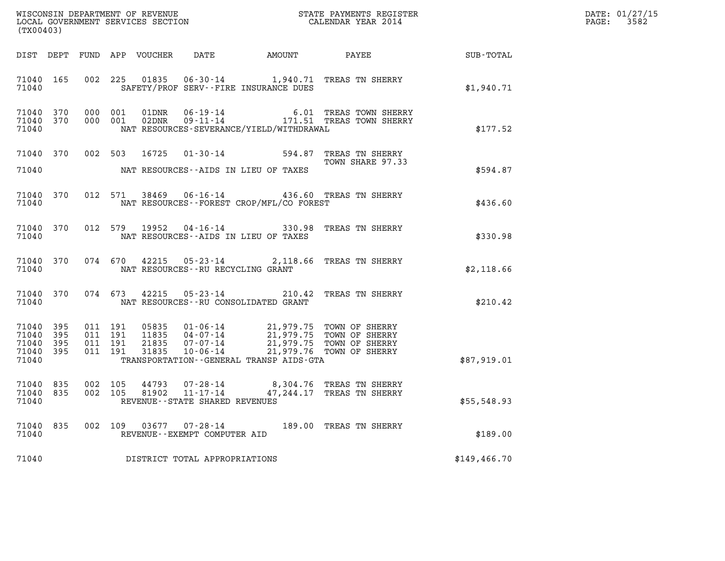| (TX00403)                                         |                                |                                          |         |       |                                                        |                                             |                                                                                                                                                                          |                                                    | DATE: 01/27/15<br>PAGE: 3582 |
|---------------------------------------------------|--------------------------------|------------------------------------------|---------|-------|--------------------------------------------------------|---------------------------------------------|--------------------------------------------------------------------------------------------------------------------------------------------------------------------------|----------------------------------------------------|------------------------------|
|                                                   |                                |                                          |         |       |                                                        |                                             |                                                                                                                                                                          | DIST DEPT FUND APP VOUCHER DATE AMOUNT PAYEE TOTAL |                              |
| 71040                                             | 71040 165                      |                                          |         |       |                                                        | SAFETY/PROF SERV--FIRE INSURANCE DUES       | 002 225 01835 06-30-14 1,940.71 TREAS TN SHERRY                                                                                                                          | \$1,940.71                                         |                              |
| 71040                                             | 71040 370 000 001<br>71040 370 |                                          | 000 001 |       |                                                        | NAT RESOURCES-SEVERANCE/YIELD/WITHDRAWAL    |                                                                                                                                                                          | \$177.52                                           |                              |
| 71040                                             | 71040 370                      |                                          |         |       |                                                        | NAT RESOURCES--AIDS IN LIEU OF TAXES        | 002 503 16725 01-30-14 594.87 TREAS TN SHERRY<br>TOWN SHARE 97.33                                                                                                        | \$594.87                                           |                              |
| 71040                                             |                                |                                          |         |       |                                                        | NAT RESOURCES - - FOREST CROP/MFL/CO FOREST | 71040 370 012 571 38469 06-16-14 436.60 TREAS TN SHERRY                                                                                                                  | \$436.60                                           |                              |
| 71040                                             |                                |                                          |         |       |                                                        | NAT RESOURCES--AIDS IN LIEU OF TAXES        | 71040 370 012 579 19952 04-16-14 330.98 TREAS TN SHERRY                                                                                                                  | \$330.98                                           |                              |
| 71040                                             |                                |                                          |         |       | NAT RESOURCES--RU RECYCLING GRANT                      |                                             | 71040 370 074 670 42215 05-23-14 2,118.66 TREAS TN SHERRY                                                                                                                | \$2,118.66                                         |                              |
| 71040                                             |                                |                                          |         |       |                                                        | NAT RESOURCES--RU CONSOLIDATED GRANT        | 71040 370 074 673 42215 05-23-14 210.42 TREAS TN SHERRY                                                                                                                  | \$210.42                                           |                              |
| 71040 395<br>71040<br>71040<br>71040 395<br>71040 | 395<br>395                     | 011 191<br>011 191<br>011 191<br>011 191 |         |       |                                                        | TRANSPORTATION--GENERAL TRANSP AIDS-GTA     | 05835 01-06-14 21,979.75 TOWN OF SHERRY<br>11835 04-07-14 21,979.75 TOWN OF SHERRY<br>21835 07-07-14 21,979.75 TOWN OF SHERRY<br>31835 10-06-14 21,979.76 TOWN OF SHERRY | \$87,919.01                                        |                              |
| 71040 835<br>71040 835<br>71040                   |                                | 002 105<br>002 105                       |         | 81902 | 11-17-14<br>REVENUE - - STATE SHARED REVENUES          |                                             | 44793 07-28-14 8,304.76 TREAS TN SHERRY<br>47,244.17 TREAS TN SHERRY                                                                                                     | \$55,548.93                                        |                              |
| 71040<br>71040                                    | 835                            | 002 109                                  |         |       | $03677$ $07 - 28 - 14$<br>REVENUE--EXEMPT COMPUTER AID |                                             | 189.00 TREAS TN SHERRY                                                                                                                                                   | \$189.00                                           |                              |
| 71040                                             |                                |                                          |         |       | DISTRICT TOTAL APPROPRIATIONS                          |                                             |                                                                                                                                                                          | \$149, 466.70                                      |                              |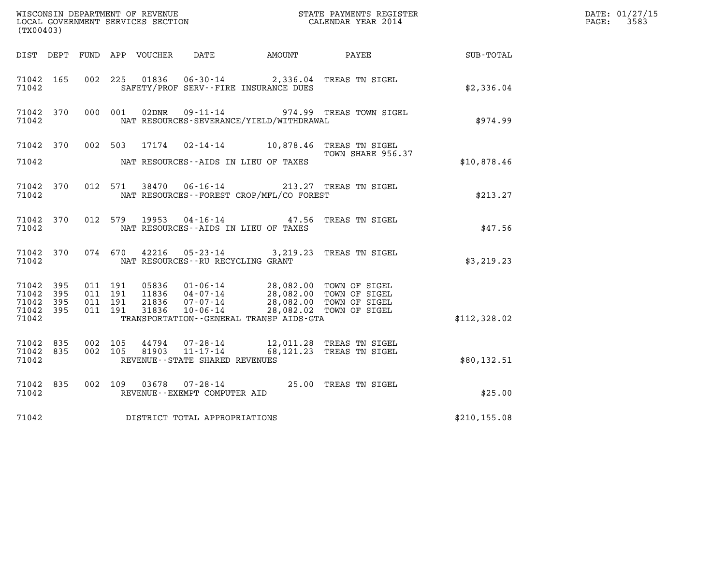| (TX00403)                                         |            |                               |         |                  |                                                           |                                                                                                                                                                             |                                                        |               | DATE: 01/27/15<br>$\mathtt{PAGE:}$<br>3583 |
|---------------------------------------------------|------------|-------------------------------|---------|------------------|-----------------------------------------------------------|-----------------------------------------------------------------------------------------------------------------------------------------------------------------------------|--------------------------------------------------------|---------------|--------------------------------------------|
| DIST DEPT                                         |            |                               |         | FUND APP VOUCHER |                                                           | DATE AMOUNT                                                                                                                                                                 | PAYEE                                                  | SUB-TOTAL     |                                            |
| 71042 165<br>71042                                |            |                               | 002 225 | 01836            |                                                           | SAFETY/PROF SERV--FIRE INSURANCE DUES                                                                                                                                       | 06-30-14 2,336.04 TREAS TN SIGEL                       | \$2,336.04    |                                            |
| 71042 370<br>71042                                |            | 000 001                       |         | 02DNR            |                                                           | NAT RESOURCES-SEVERANCE/YIELD/WITHDRAWAL                                                                                                                                    | 09-11-14 974.99 TREAS TOWN SIGEL                       | \$974.99      |                                            |
| 71042 370<br>71042                                |            |                               | 002 503 | 17174            |                                                           | NAT RESOURCES--AIDS IN LIEU OF TAXES                                                                                                                                        | 02-14-14 10,878.46 TREAS TN SIGEL<br>TOWN SHARE 956.37 | \$10,878.46   |                                            |
| 71042 370<br>71042                                |            |                               |         |                  | 012 571 38470 06-16-14                                    | NAT RESOURCES - - FOREST CROP/MFL/CO FOREST                                                                                                                                 | 213.27 TREAS TN SIGEL                                  | \$213.27      |                                            |
| 71042 370<br>71042                                |            | 012 579                       |         | 19953            | $04 - 16 - 14$                                            | NAT RESOURCES--AIDS IN LIEU OF TAXES                                                                                                                                        | 47.56 TREAS TN SIGEL                                   | \$47.56       |                                            |
| 71042 370<br>71042                                |            |                               | 074 670 | 42216            | NAT RESOURCES -- RU RECYCLING GRANT                       |                                                                                                                                                                             | 05-23-14 3,219.23 TREAS TN SIGEL                       | \$3,219.23    |                                            |
| 71042<br>71042<br>71042 395<br>71042 395<br>71042 | 395<br>395 | 011 191<br>011 191<br>011 191 | 011 191 | 31836            | $10 - 06 - 14$                                            | 05836  01-06-14  28,082.00 TOWN OF SIGEL<br>11836  04-07-14  28,082.00 TOWN OF SIGEL<br>21836  07-07-14  28,082.00 TOWN OF SIGEL<br>TRANSPORTATION--GENERAL TRANSP AIDS-GTA | 28,082.02 TOWN OF SIGEL                                | \$112,328.02  |                                            |
| 71042<br>71042 835<br>71042                       | 835        | 002 105<br>002 105            |         | 44794<br>81903   | 07-28-14<br>11-17-14<br>REVENUE - - STATE SHARED REVENUES |                                                                                                                                                                             | 12,011.28 TREAS TN SIGEL<br>68,121.23 TREAS TN SIGEL   | \$80,132.51   |                                            |
| 71042 835<br>71042                                |            | 002 109                       |         | 03678            | REVENUE--EXEMPT COMPUTER AID                              |                                                                                                                                                                             | 07-28-14 25.00 TREAS TN SIGEL                          | \$25.00       |                                            |
| 71042                                             |            |                               |         |                  | DISTRICT TOTAL APPROPRIATIONS                             |                                                                                                                                                                             |                                                        | \$210, 155.08 |                                            |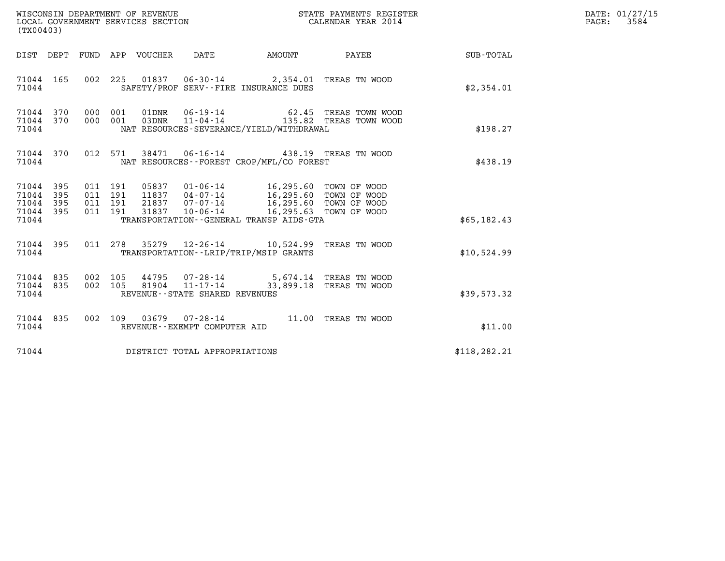| DATE: | 01/27/15 |
|-------|----------|
| PAGE: | 3584     |

| (TX00403)                                         |            |                                          |                                                     |                                                                                            | WISCONSIN DEPARTMENT OF REVENUE<br>LOCAL GOVERNMENT SERVICES SECTION<br>CALENDAR YEAR 2014                                                                                                                                                                        |               | DATE: 01/27/15<br>$\mathtt{PAGE:}$<br>3584 |
|---------------------------------------------------|------------|------------------------------------------|-----------------------------------------------------|--------------------------------------------------------------------------------------------|-------------------------------------------------------------------------------------------------------------------------------------------------------------------------------------------------------------------------------------------------------------------|---------------|--------------------------------------------|
|                                                   |            | DIST DEPT FUND APP VOUCHER               | DATE                                                |                                                                                            | AMOUNT PAYEE                                                                                                                                                                                                                                                      | SUB-TOTAL     |                                            |
| 71044 165<br>71044                                |            |                                          |                                                     | 002 225 01837 06-30-14 2,354.01 TREAS TN WOOD<br>SAFETY/PROF SERV--FIRE INSURANCE DUES     |                                                                                                                                                                                                                                                                   | \$2,354.01    |                                            |
| 71044 370<br>71044 370<br>71044                   |            |                                          |                                                     | NAT RESOURCES-SEVERANCE/YIELD/WITHDRAWAL                                                   | $\begin{array}{cccc} 000 & 001 & 01 \text{DNR} & 06 \text{ - } 19 \text{ - } 14 & 62 \text{ .}45 & \text{TREAS} & \text{TOWN WOOD} \\ 000 & 001 & 03 \text{DNR} & 11 \text{ - } 04 \text{ - } 14 & 135 \text{ .}82 & \text{TREAS} & \text{TOWN WOOD} \end{array}$ | \$198.27      |                                            |
| 71044 370<br>71044                                |            |                                          |                                                     | 012 571 38471 06-16-14 438.19 TREAS TN WOOD<br>NAT RESOURCES - - FOREST CROP/MFL/CO FOREST |                                                                                                                                                                                                                                                                   | \$438.19      |                                            |
| 71044<br>71044<br>71044 395<br>71044 395<br>71044 | 395<br>395 | 011 191<br>011 191<br>011 191<br>011 191 |                                                     | 05837  01-06-14  16,295.60  TOWN OF WOOD<br>TRANSPORTATION--GENERAL TRANSP AIDS-GTA        |                                                                                                                                                                                                                                                                   | \$65,182.43   |                                            |
|                                                   |            |                                          |                                                     |                                                                                            |                                                                                                                                                                                                                                                                   |               |                                            |
| 71044<br>71044                                    | 395        |                                          |                                                     | 011 278 35279 12-26-14 10,524.99 TREAS TN WOOD<br>TRANSPORTATION--LRIP/TRIP/MSIP GRANTS    |                                                                                                                                                                                                                                                                   | \$10,524.99   |                                            |
| 71044 835<br>71044 835<br>71044                   |            | 002 105<br>81904                         | $11 - 17 - 14$<br>REVENUE - - STATE SHARED REVENUES | 002 105 44795 07-28-14 5,674.14 TREAS TN WOOD                                              | 33,899.18 TREAS TN WOOD                                                                                                                                                                                                                                           | \$39,573.32   |                                            |
| 71044 835<br>71044                                |            |                                          | REVENUE--EXEMPT COMPUTER AID                        | 002 109 03679 07-28-14 11.00 TREAS TN WOOD                                                 |                                                                                                                                                                                                                                                                   | \$11.00       |                                            |
| 71044                                             |            | DISTRICT TOTAL APPROPRIATIONS            |                                                     |                                                                                            |                                                                                                                                                                                                                                                                   | \$118, 282.21 |                                            |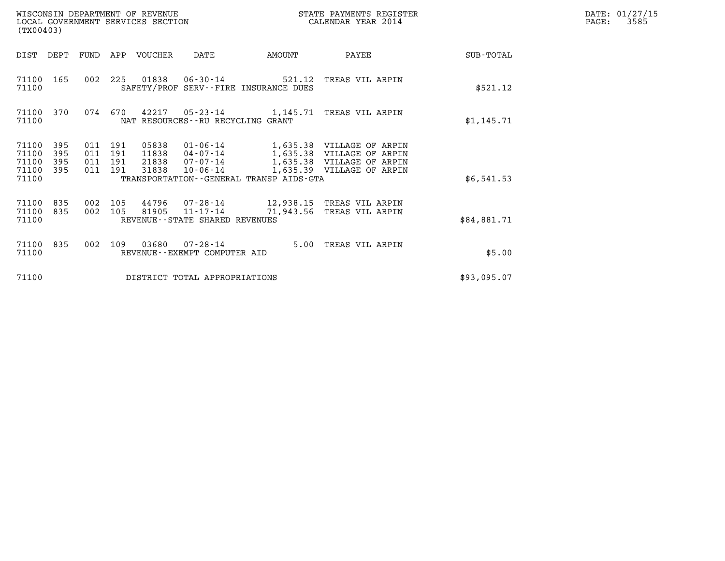| WISCONSIN DEPARTMENT OF REVENUE<br>LOCAL GOVERNMENT SERVICES SECTION<br>(TX00403)                 |                                                                                                                                                               | STATE PAYMENTS REGISTER<br>CALENDAR YEAR 2014                                                                                  | DATE: 01/27/15<br>3585<br>PAGE: |
|---------------------------------------------------------------------------------------------------|---------------------------------------------------------------------------------------------------------------------------------------------------------------|--------------------------------------------------------------------------------------------------------------------------------|---------------------------------|
| DIST<br>DEPT<br>FUND                                                                              | VOUCHER<br>AMOUNT<br>APP<br>DATE                                                                                                                              | SUB-TOTAL<br>PAYEE                                                                                                             |                                 |
| 71100<br>165<br>002<br>71100                                                                      | 01838   06-30-14   521.12<br>225<br>SAFETY/PROF SERV--FIRE INSURANCE DUES                                                                                     | TREAS VIL ARPIN<br>\$521.12                                                                                                    |                                 |
| 71100<br>370<br>074<br>71100                                                                      | 670<br>42217<br>05-23-14 1,145.71 TREAS VIL ARPIN<br>NAT RESOURCES - - RU RECYCLING GRANT                                                                     | \$1,145.71                                                                                                                     |                                 |
| 71100<br>395<br>011<br>71100<br>395<br>011<br>71100<br>395<br>011<br>71100<br>395<br>011<br>71100 | 191<br>05838<br>01-06-14<br>191<br>11838<br>04-07-14<br>21838<br>191<br>07-07-14<br>191<br>31838<br>$10 - 06 - 14$<br>TRANSPORTATION--GENERAL TRANSP AIDS-GTA | 1,635.38 VILLAGE OF ARPIN<br>1,635.38 VILLAGE OF ARPIN<br>1,635.38 VILLAGE OF ARPIN<br>1,635.39 VILLAGE OF ARPIN<br>\$6,541.53 |                                 |
| 71100<br>835<br>002<br>71100<br>835<br>002<br>71100                                               | 105<br>44796<br>07-28-14<br>81905<br>105<br>$11 - 17 - 14$<br>71,943.56<br>REVENUE - - STATE SHARED REVENUES                                                  | 12,938.15 TREAS VIL ARPIN<br>TREAS VIL ARPIN<br>\$84,881.71                                                                    |                                 |
| 71100<br>835<br>002<br>71100                                                                      | 03680<br>109<br>07-28-14<br>5.00<br>REVENUE - - EXEMPT COMPUTER AID                                                                                           | TREAS VIL ARPIN<br>\$5.00                                                                                                      |                                 |
| 71100                                                                                             | DISTRICT TOTAL APPROPRIATIONS                                                                                                                                 | \$93,095.07                                                                                                                    |                                 |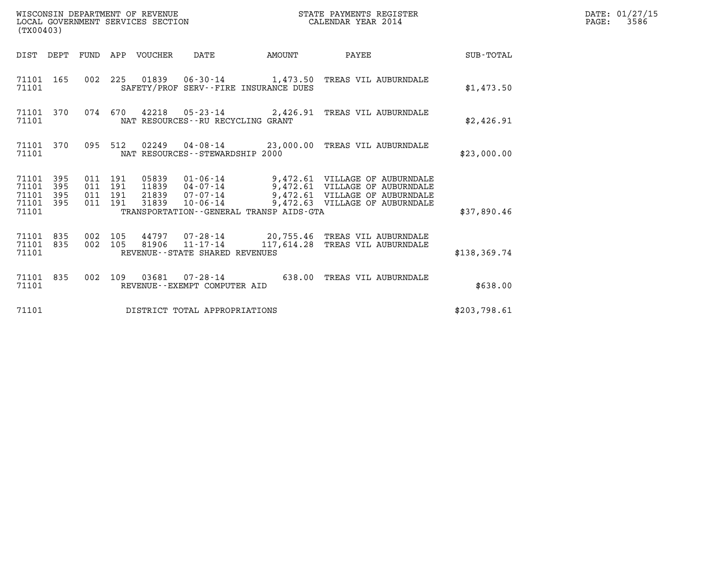| (TX00403)                                                    |                                          | WISCONSIN DEPARTMENT OF REVENUE<br>LOCAL GOVERNMENT SERVICES SECTION |                                                        | STATE PAYMENTS REGISTER<br>CALENDAR YEAR 2014                                                                                                                                                    |               | DATE: 01/27/15<br>$\mathtt{PAGE:}$<br>3586 |
|--------------------------------------------------------------|------------------------------------------|----------------------------------------------------------------------|--------------------------------------------------------|--------------------------------------------------------------------------------------------------------------------------------------------------------------------------------------------------|---------------|--------------------------------------------|
|                                                              |                                          | DIST DEPT FUND APP VOUCHER DATE                                      | AMOUNT                                                 | PAYEE                                                                                                                                                                                            | SUB-TOTAL     |                                            |
| 71101 165<br>71101                                           |                                          |                                                                      | SAFETY/PROF SERV--FIRE INSURANCE DUES                  | 002 225 01839 06-30-14 1,473.50 TREAS VIL AUBURNDALE                                                                                                                                             | \$1,473.50    |                                            |
| 71101 370<br>71101                                           |                                          |                                                                      | NAT RESOURCES--RU RECYCLING GRANT                      | 074 670 42218 05-23-14 2,426.91 TREAS VIL AUBURNDALE                                                                                                                                             | \$2,426.91    |                                            |
| 71101 370<br>71101                                           |                                          |                                                                      | NAT RESOURCES - - STEWARDSHIP 2000                     | 095 512 02249 04-08-14 23,000.00 TREAS VIL AUBURNDALE                                                                                                                                            | \$23,000.00   |                                            |
| 71101 395<br>71101<br>395<br>71101 395<br>71101 395<br>71101 | 011 191<br>011 191<br>011 191<br>011 191 | 31839                                                                | TRANSPORTATION--GENERAL TRANSP AIDS-GTA                | 05839  01-06-14  9,472.61  VILLAGE OF AUBURNDALE<br>11839  04-07-14  9,472.61  VILLAGE OF AUBURNDALE<br>21839 07-07-14 9,472.61 VILLAGE OF AUBURNDALE<br>10-06-14 9,472.63 VILLAGE OF AUBURNDALE | \$37,890.46   |                                            |
| 71101 835<br>71101 835<br>71101                              | 002 105<br>002 105                       |                                                                      | 81906 $11 - 17 - 14$<br>REVENUE--STATE SHARED REVENUES | 44797 07-28-14 20,755.46 TREAS VIL AUBURNDALE<br>117,614.28 TREAS VIL AUBURNDALE                                                                                                                 | \$138, 369.74 |                                            |
| 71101 835<br>71101                                           |                                          |                                                                      | REVENUE--EXEMPT COMPUTER AID                           | 002 109 03681 07-28-14 638.00 TREAS VIL AUBURNDALE                                                                                                                                               | \$638.00      |                                            |
| 71101                                                        |                                          |                                                                      | DISTRICT TOTAL APPROPRIATIONS                          |                                                                                                                                                                                                  | \$203,798.61  |                                            |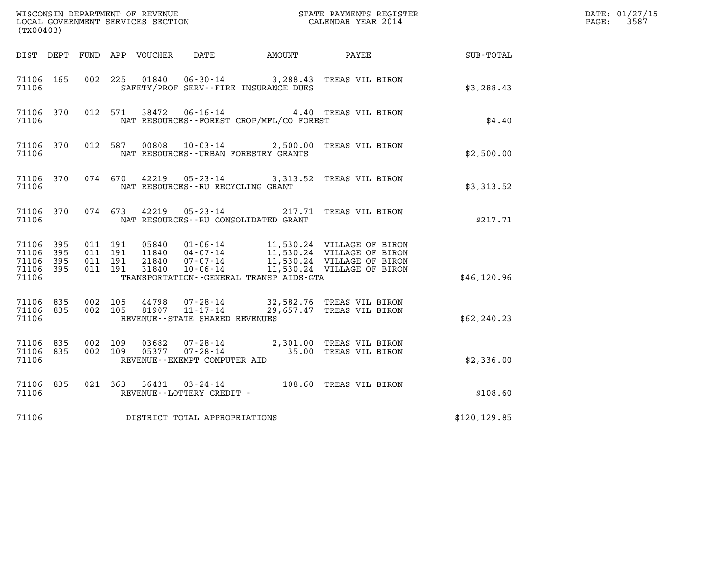| (TX00403)                                         |              |                                          |         |       |                                                             |                                              |                                                                             |               | DATE: 01/27/15<br>$\mathtt{PAGE:}$<br>3587 |
|---------------------------------------------------|--------------|------------------------------------------|---------|-------|-------------------------------------------------------------|----------------------------------------------|-----------------------------------------------------------------------------|---------------|--------------------------------------------|
|                                                   |              |                                          |         |       |                                                             | DIST DEPT FUND APP VOUCHER DATE AMOUNT PAYEE |                                                                             | SUB-TOTAL     |                                            |
| 71106 165<br>71106                                |              |                                          |         |       |                                                             | SAFETY/PROF SERV--FIRE INSURANCE DUES        | 002 225 01840 06-30-14 3,288.43 TREAS VIL BIRON                             | \$3,288.43    |                                            |
| 71106 370<br>71106                                |              |                                          | 012 571 |       |                                                             | NAT RESOURCES - - FOREST CROP/MFL/CO FOREST  | 38472  06-16-14  4.40 TREAS VIL BIRON                                       | \$4.40        |                                            |
| 71106 370<br>71106                                |              |                                          |         |       |                                                             | NAT RESOURCES--URBAN FORESTRY GRANTS         | 012 587 00808 10-03-14 2,500.00 TREAS VIL BIRON                             | \$2,500.00    |                                            |
| 71106 370<br>71106                                |              |                                          |         |       | NAT RESOURCES -- RU RECYCLING GRANT                         |                                              | 074 670 42219 05-23-14 3,313.52 TREAS VIL BIRON                             | \$3,313.52    |                                            |
| 71106                                             |              |                                          |         |       |                                                             | NAT RESOURCES--RU CONSOLIDATED GRANT         | 71106 370 074 673 42219 05-23-14 217.71 TREAS VIL BIRON                     | \$217.71      |                                            |
| 71106 395<br>71106<br>71106<br>71106 395<br>71106 | 395<br>- 395 | 011 191<br>011 191<br>011 191<br>011 191 |         | 31840 | $10 - 06 - 14$                                              | TRANSPORTATION - - GENERAL TRANSP AIDS - GTA | 11,530.24 VILLAGE OF BIRON                                                  | \$46,120.96   |                                            |
| 71106 835<br>71106 835<br>71106                   |              | 002 105                                  |         |       | 002 105 81907 11-17-14<br>REVENUE - - STATE SHARED REVENUES |                                              | 44798 07-28-14 32,582.76 TREAS VIL BIRON<br>29,657.47 TREAS VIL BIRON       | \$62, 240.23  |                                            |
| 71106 835<br>71106 835<br>71106                   |              | 002 109<br>002 109                       |         | 03682 | REVENUE--EXEMPT COMPUTER AID                                |                                              | 07-28-14 2,301.00 TREAS VIL BIRON<br>05377  07-28-14  35.00 TREAS VIL BIRON | \$2,336.00    |                                            |
| 71106 835<br>71106                                |              |                                          |         |       | REVENUE--LOTTERY CREDIT -                                   |                                              | 021 363 36431 03-24-14 108.60 TREAS VIL BIRON                               | \$108.60      |                                            |
| 71106                                             |              |                                          |         |       | DISTRICT TOTAL APPROPRIATIONS                               |                                              |                                                                             | \$120, 129.85 |                                            |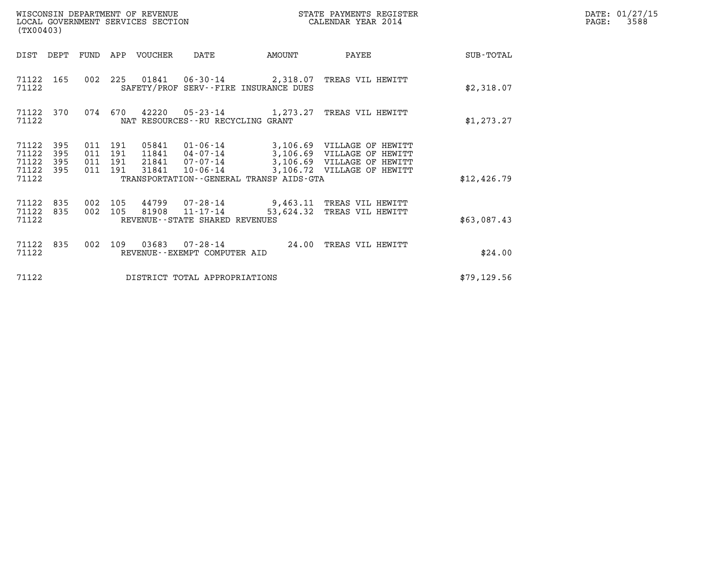| (TX00403)                                                             | WISCONSIN DEPARTMENT OF REVENUE<br>LOCAL GOVERNMENT SERVICES SECTION         |                                                                                                                          | STATE PAYMENTS REGISTER<br>CALENDAR YEAR 2014 |                                                                                        |             | DATE: 01/27/15<br>$\mathtt{PAGE}$ :<br>3588 |
|-----------------------------------------------------------------------|------------------------------------------------------------------------------|--------------------------------------------------------------------------------------------------------------------------|-----------------------------------------------|----------------------------------------------------------------------------------------|-------------|---------------------------------------------|
| DIST DEPT                                                             | FUND APP VOUCHER                                                             | DATE                                                                                                                     | AMOUNT                                        | PAYEE                                                                                  | SUB-TOTAL   |                                             |
| 71122 165<br>71122                                                    |                                                                              | 002 225 01841 06-30-14 2,318.07 TREAS VIL HEWITT<br>SAFETY/PROF SERV--FIRE INSURANCE DUES                                |                                               |                                                                                        | \$2,318.07  |                                             |
| 71122 370<br>71122                                                    | 074<br>670                                                                   | 42220 05-23-14 1,273.27<br>NAT RESOURCES--RU RECYCLING GRANT                                                             |                                               | TREAS VIL HEWITT                                                                       | \$1,273.27  |                                             |
| 71122<br>395<br>71122<br>395<br>71122<br>395<br>71122<br>395<br>71122 | 011 191<br>05841<br>011 191<br>11841<br>011 191<br>21841<br>011 191<br>31841 | 01-06-14 3,106.69 VILLAGE OF HEWITT<br>04-07-14<br>$07 - 07 - 14$<br>10-06-14<br>TRANSPORTATION--GENERAL TRANSP AIDS-GTA |                                               | 3,106.69 VILLAGE OF HEWITT<br>3,106.69 VILLAGE OF HEWITT<br>3,106.72 VILLAGE OF HEWITT | \$12,426.79 |                                             |
| 71122<br>835<br>71122<br>835<br>71122                                 | 002 105<br>002<br>105<br>81908                                               | 44799 07-28-14 9,463.11 TREAS VIL HEWITT<br>$11 - 17 - 14$<br>REVENUE--STATE SHARED REVENUES                             | 53,624.32                                     | TREAS VIL HEWITT                                                                       | \$63,087.43 |                                             |
| 71122<br>835<br>71122                                                 | 002<br>109                                                                   | REVENUE--EXEMPT COMPUTER AID                                                                                             | 24.00                                         | TREAS VIL HEWITT                                                                       | \$24.00     |                                             |
| 71122                                                                 |                                                                              | DISTRICT TOTAL APPROPRIATIONS                                                                                            |                                               |                                                                                        | \$79,129.56 |                                             |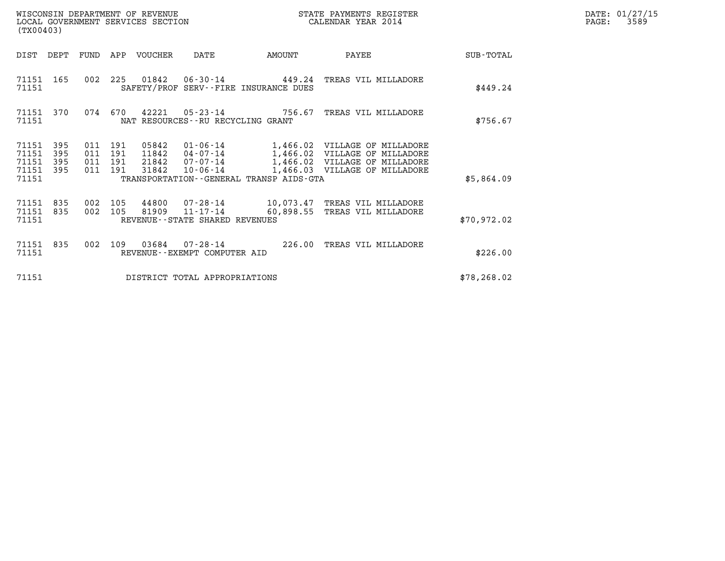| DATE: | 01/27/15 |
|-------|----------|
| PAGE: | 3589     |

| (TX00403)                                 |                          |                   |                              | WISCONSIN DEPARTMENT OF REVENUE<br>LOCAL GOVERNMENT SERVICES SECTION |                                                           |                                         | STATE PAYMENTS REGISTER<br>CALENDAR YEAR 2014                                                                                    |              | DATE: 01/27/15<br>PAGE:<br>3589 |
|-------------------------------------------|--------------------------|-------------------|------------------------------|----------------------------------------------------------------------|-----------------------------------------------------------|-----------------------------------------|----------------------------------------------------------------------------------------------------------------------------------|--------------|---------------------------------|
| DIST                                      | DEPT                     | FUND              | APP                          | VOUCHER                                                              | DATE                                                      | AMOUNT                                  | PAYEE                                                                                                                            | SUB-TOTAL    |                                 |
| 71151<br>71151                            | 165                      | 002               | 225                          | 01842                                                                |                                                           | SAFETY/PROF SERV--FIRE INSURANCE DUES   | 06-30-14 449.24 TREAS VIL MILLADORE                                                                                              | \$449.24     |                                 |
| 71151<br>71151                            | 370                      | 074               | 670                          | 42221                                                                | NAT RESOURCES -- RU RECYCLING GRANT                       | $05 - 23 - 14$ 756.67                   | TREAS VIL MILLADORE                                                                                                              | \$756.67     |                                 |
| 71151<br>71151<br>71151<br>71151<br>71151 | 395<br>395<br>395<br>395 | 011<br>011<br>011 | 191<br>191<br>191<br>011 191 | 05842<br>11842<br>21842<br>31842                                     | 01-06-14<br>04-07-14<br>07-07-14<br>$10 - 06 - 14$        | TRANSPORTATION--GENERAL TRANSP AIDS-GTA | 1,466.02 VILLAGE OF MILLADORE<br>1,466.02 VILLAGE OF MILLADORE<br>1,466.02 VILLAGE OF MILLADORE<br>1,466.03 VILLAGE OF MILLADORE | \$5,864.09   |                                 |
| 71151<br>71151<br>71151                   | 835<br>835               | 002<br>002        | 105<br>105                   | 44800<br>81909                                                       | 07-28-14<br>11-17-14<br>REVENUE - - STATE SHARED REVENUES | 60,898.55                               | 10,073.47 TREAS VIL MILLADORE<br>TREAS VIL MILLADORE                                                                             | \$70,972.02  |                                 |
| 71151<br>71151                            | 835                      | 002               | 109                          | 03684                                                                | 07-28-14<br>REVENUE - - EXEMPT COMPUTER AID               | 226.00                                  | TREAS VIL MILLADORE                                                                                                              | \$226.00     |                                 |
| 71151                                     |                          |                   |                              |                                                                      | DISTRICT TOTAL APPROPRIATIONS                             |                                         |                                                                                                                                  | \$78, 268.02 |                                 |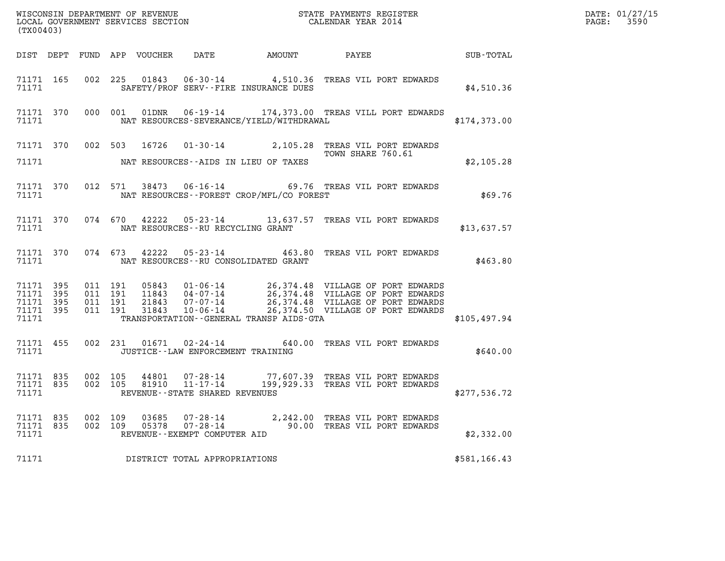| (TX00403)                       |                        |                |     |                |                                                            |                                                | WISCONSIN DEPARTMENT OF REVENUE<br>LOCAL GOVERNMENT SERVICES SECTION<br>CALENDAR YEAR 2014                                              |              | DATE: 01/27/15<br>PAGE: 3590 |
|---------------------------------|------------------------|----------------|-----|----------------|------------------------------------------------------------|------------------------------------------------|-----------------------------------------------------------------------------------------------------------------------------------------|--------------|------------------------------|
|                                 |                        |                |     |                |                                                            |                                                | DIST DEPT FUND APP VOUCHER DATE AMOUNT PAYEE SUB-TOTAL                                                                                  |              |                              |
|                                 | 71171                  |                |     |                |                                                            | SAFETY/PROF SERV--FIRE INSURANCE DUES          | 71171 165 002 225 01843 06-30-14 4,510.36 TREAS VIL PORT EDWARDS                                                                        | \$4,510.36   |                              |
|                                 |                        |                |     |                |                                                            |                                                | 71171 370 000 001 01DNR 06-19-14 174,373.00 TREAS VILL PORT EDWARDS<br>71171 NAT RESOURCES-SEVERANCE/YIELD/WITHDRAWAL                   | \$174,373.00 |                              |
|                                 |                        |                |     |                |                                                            |                                                | 71171 370 002 503 16726 01-30-14 2,105.28 TREAS VIL PORT EDWARDS<br>TOWN SHARE 760.61                                                   |              |                              |
|                                 |                        |                |     |                |                                                            | 71171 NAT RESOURCES--AIDS IN LIEU OF TAXES     |                                                                                                                                         | \$2,105.28   |                              |
|                                 |                        |                |     |                |                                                            | 71171 NAT RESOURCES--FOREST CROP/MFL/CO FOREST | 71171 370 012 571 38473 06-16-14 69.76 TREAS VIL PORT EDWARDS                                                                           | \$69.76      |                              |
|                                 |                        |                |     |                |                                                            | 71171 NAT RESOURCES--RU RECYCLING GRANT        | 71171 370 074 670 42222 05-23-14 13,637.57 TREAS VIL PORT EDWARDS                                                                       | \$13,637.57  |                              |
|                                 |                        |                |     |                |                                                            | 71171 NAT RESOURCES--RU CONSOLIDATED GRANT     | 71171 370 074 673 42222 05-23-14 463.80 TREAS VIL PORT EDWARDS                                                                          | \$463.80     |                              |
| 71171 395<br>71171 395          |                        |                |     |                |                                                            |                                                |                                                                                                                                         |              |                              |
|                                 | 71171 395<br>71171 395 |                |     |                |                                                            |                                                |                                                                                                                                         |              |                              |
|                                 | 71171                  |                |     |                |                                                            | TRANSPORTATION--GENERAL TRANSP AIDS-GTA        |                                                                                                                                         | \$105,497.94 |                              |
|                                 | 71171                  |                |     |                |                                                            | JUSTICE - - LAW ENFORCEMENT TRAINING           | 71171 455 002 231 01671 02-24-14 640.00 TREAS VIL PORT EDWARDS                                                                          | \$640.00     |                              |
| 71171                           |                        |                |     |                | REVENUE--STATE SHARED REVENUES                             |                                                | 71171 835 002 105 44801 07-28-14 77,607.39 TREAS VIL PORT EDWARDS<br>71171 835 002 105 81910 11-17-14 199,929.33 TREAS VIL PORT EDWARDS | \$277,536.72 |                              |
| 71171 835<br>71171 835<br>71171 |                        | 002<br>002 109 | 109 | 03685<br>05378 | 07-28-14<br>$07 - 28 - 14$<br>REVENUE--EXEMPT COMPUTER AID |                                                | 2,242.00 TREAS VIL PORT EDWARDS<br>90.00 TREAS VIL PORT EDWARDS                                                                         | \$2,332.00   |                              |
| 71171                           |                        |                |     |                | DISTRICT TOTAL APPROPRIATIONS                              |                                                |                                                                                                                                         | \$581,166.43 |                              |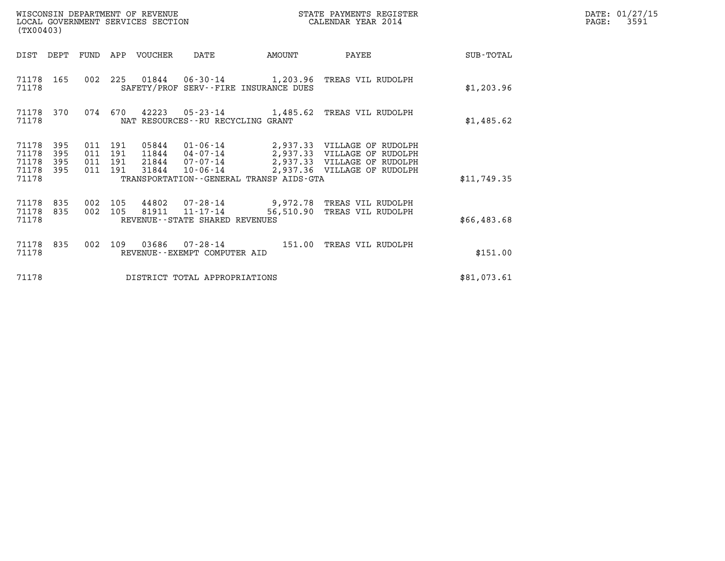| (TX00403)                                                          | WISCONSIN DEPARTMENT OF REVENUE<br>LOCAL GOVERNMENT SERVICES SECTION |                                                                                                                                                                                                              | STATE PAYMENTS REGISTER<br>CALENDAR YEAR 2014 |             | DATE: 01/27/15<br>$\mathtt{PAGE:}$<br>3591 |
|--------------------------------------------------------------------|----------------------------------------------------------------------|--------------------------------------------------------------------------------------------------------------------------------------------------------------------------------------------------------------|-----------------------------------------------|-------------|--------------------------------------------|
|                                                                    | DIST DEPT FUND APP VOUCHER                                           | DATE<br>AMOUNT                                                                                                                                                                                               | PAYEE                                         | SUB-TOTAL   |                                            |
| 71178 165<br>71178                                                 | 002 225 01844 06-30-14 1,203.96 TREAS VIL RUDOLPH                    | SAFETY/PROF SERV--FIRE INSURANCE DUES                                                                                                                                                                        |                                               | \$1,203.96  |                                            |
| 71178 370<br>71178                                                 | 074 670                                                              | 42223  05-23-14   1,485.62  TREAS VIL RUDOLPH<br>NAT RESOURCES--RU RECYCLING GRANT                                                                                                                           |                                               | \$1,485.62  |                                            |
| 71178 395<br>71178<br>395<br>71178<br>395<br>395<br>71178<br>71178 | 011 191<br>011<br>191<br>011 191<br>011 191                          | 05844  01-06-14  2,937.33  VILLAGE OF RUDOLPH<br>11844  04-07-14  2,937.33  VILLAGE OF RUDOLPH<br>21844  07-07-14  2,937.33  VILLAGE OF RUDOLPH<br>31844 10-06-14<br>TRANSPORTATION--GENERAL TRANSP AIDS-GTA | 2,937.36 VILLAGE OF RUDOLPH                   | \$11,749.35 |                                            |
| 71178 835<br>71178 835<br>71178                                    | 002 105<br>002 105                                                   | 44802 07-28-14 9,972.78 TREAS VIL RUDOLPH<br>81911 11-17-14<br>REVENUE - - STATE SHARED REVENUES                                                                                                             | 56,510.90 TREAS VIL RUDOLPH                   | \$66,483.68 |                                            |
| 71178 835<br>71178                                                 | 002<br>109                                                           | 03686  07-28-14  151.00  TREAS VIL RUDOLPH<br>REVENUE--EXEMPT COMPUTER AID                                                                                                                                   |                                               | \$151.00    |                                            |
| 71178                                                              |                                                                      | DISTRICT TOTAL APPROPRIATIONS                                                                                                                                                                                |                                               | \$81,073.61 |                                            |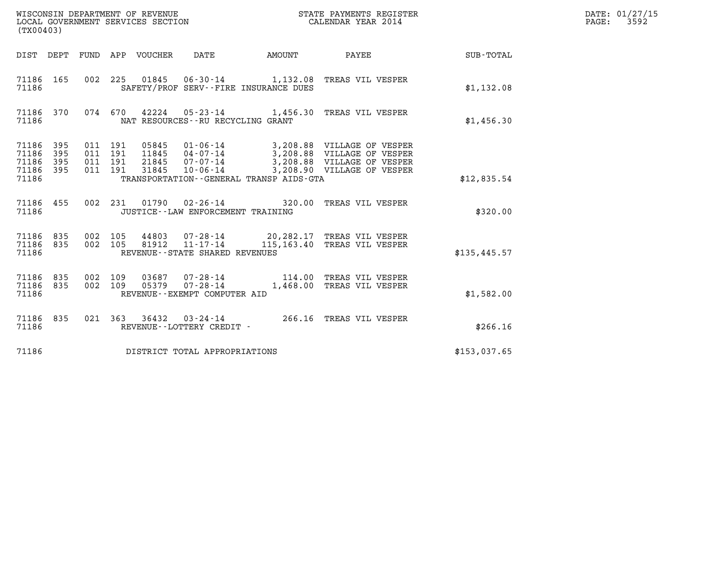| (TX00403)                                         |            |                    |                               |                                 |                                                     |                                                                                                                                                                                              |              | DATE: 01/27/15<br>$\mathtt{PAGE:}$<br>3592 |
|---------------------------------------------------|------------|--------------------|-------------------------------|---------------------------------|-----------------------------------------------------|----------------------------------------------------------------------------------------------------------------------------------------------------------------------------------------------|--------------|--------------------------------------------|
|                                                   |            |                    |                               | DIST DEPT FUND APP VOUCHER DATE |                                                     | AMOUNT PAYEE SUB-TOTAL                                                                                                                                                                       |              |                                            |
| 71186 165<br>71186                                |            |                    |                               |                                 | SAFETY/PROF SERV--FIRE INSURANCE DUES               | 002 225 01845 06-30-14 1,132.08 TREAS VIL VESPER                                                                                                                                             | \$1,132.08   |                                            |
| 71186 370<br>71186                                |            |                    |                               |                                 | NAT RESOURCES - - RU RECYCLING GRANT                | 074 670 42224 05-23-14 1,456.30 TREAS VIL VESPER                                                                                                                                             | \$1,456.30   |                                            |
| 71186 395<br>71186<br>71186<br>71186 395<br>71186 | 395<br>395 | 011 191            | 011 191<br>011 191<br>011 191 |                                 | TRANSPORTATION--GENERAL TRANSP AIDS-GTA             | 05845  01-06-14  3,208.88  VILLAGE OF VESPER<br>11845  04-07-14  3,208.88  VILLAGE OF VESPER<br>21845  07-07-14  3,208.88  VILLAGE OF VESPER<br>31845  10-06-14  3,208.90  VILLAGE OF VESPER | \$12,835.54  |                                            |
| 71186 455<br>71186                                |            |                    |                               |                                 | JUSTICE - - LAW ENFORCEMENT TRAINING                | 002 231 01790 02-26-14 320.00 TREAS VIL VESPER                                                                                                                                               | \$320.00     |                                            |
| 71186 835<br>71186 835<br>71186                   |            | 002 105<br>002 105 |                               | 81912                           | $11 - 17 - 14$<br>REVENUE - - STATE SHARED REVENUES | 44803 07-28-14 20,282.17 TREAS VIL VESPER<br>115,163.40 TREAS VIL VESPER                                                                                                                     | \$135,445.57 |                                            |
| 71186 835<br>71186 835<br>71186                   |            | 002 109<br>002 109 |                               |                                 | REVENUE--EXEMPT COMPUTER AID                        | 03687  07-28-14   114.00 TREAS VIL VESPER<br>05379  07-28-14   1,468.00 TREAS VIL VESPER                                                                                                     | \$1,582.00   |                                            |
| 71186 835<br>71186                                |            |                    |                               |                                 | REVENUE--LOTTERY CREDIT -                           | 021 363 36432 03-24-14 266.16 TREAS VIL VESPER                                                                                                                                               | \$266.16     |                                            |
| 71186                                             |            |                    |                               |                                 | DISTRICT TOTAL APPROPRIATIONS                       |                                                                                                                                                                                              | \$153,037.65 |                                            |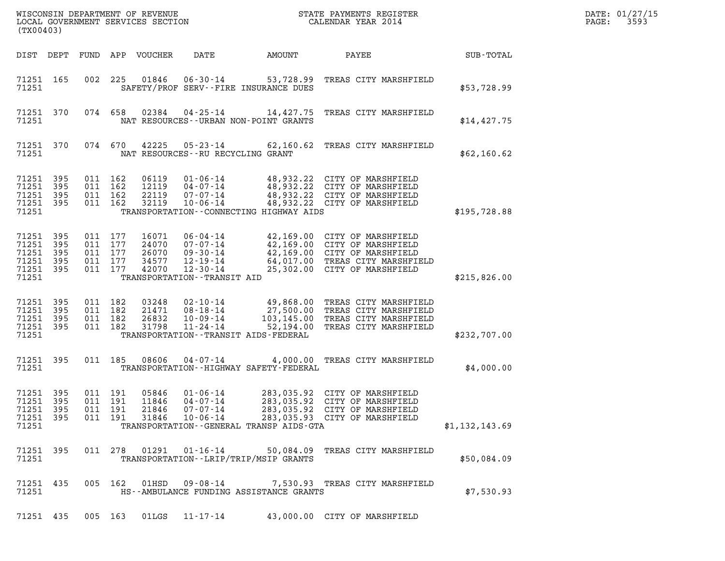| WISCONSIN DEPARTMENT OF REVENUE<br>STATE PAYMENTS REGISTER<br>LOCAL GOVERNMENT SERVICES SECTION<br>CALENDAR YEAR 2014<br>(TX00403) |                   |                                                     |                                          |                                                                             |                                                                                        |  |                                                       |                                                                                                                                                                 |                | DATE: 01/27/15<br>3593<br>PAGE: |
|------------------------------------------------------------------------------------------------------------------------------------|-------------------|-----------------------------------------------------|------------------------------------------|-----------------------------------------------------------------------------|----------------------------------------------------------------------------------------|--|-------------------------------------------------------|-----------------------------------------------------------------------------------------------------------------------------------------------------------------|----------------|---------------------------------|
| DIST DEPT                                                                                                                          |                   | FUND                                                |                                          | APP VOUCHER                                                                 | DATE                                                                                   |  | AMOUNT                                                | PAYEE                                                                                                                                                           | SUB-TOTAL      |                                 |
| 71251 165<br>71251                                                                                                                 |                   | 002                                                 | 225                                      | 01846                                                                       | $06 - 30 - 14$                                                                         |  | 53,728.99<br>SAFETY/PROF SERV--FIRE INSURANCE DUES    | TREAS CITY MARSHFIELD                                                                                                                                           | \$53,728.99    |                                 |
| 71251 370<br>71251                                                                                                                 |                   |                                                     | 074 658                                  | 02384                                                                       | 04-25-14                                                                               |  | 14,427.75<br>NAT RESOURCES - - URBAN NON-POINT GRANTS | TREAS CITY MARSHFIELD                                                                                                                                           | \$14,427.75    |                                 |
| 71251 370<br>71251                                                                                                                 |                   |                                                     | 074 670                                  | 42225<br>NAT RESOURCES - - RU RECYCLING GRANT                               | $05 - 23 - 14$                                                                         |  | 62,160.62                                             | TREAS CITY MARSHFIELD                                                                                                                                           | \$62,160.62    |                                 |
| 71251 395<br>71251<br>71251<br>71251 395<br>71251                                                                                  | 395<br>395        | 011<br>011 162                                      | 011 162<br>162<br>011 162                | 06119<br>12119<br>22119<br>32119                                            | $01 - 06 - 14$<br>$04 - 07 - 14$<br>07-07-14<br>$10 - 06 - 14$                         |  | TRANSPORTATION--CONNECTING HIGHWAY AIDS               | 48,932.22 CITY OF MARSHFIELD<br>48,932.22 CITY OF MARSHFIELD<br>48,932.22 CITY OF MARSHFIELD<br>48,932.22 CITY OF MARSHFIELD                                    | \$195,728.88   |                                 |
| 71251 395<br>71251<br>71251<br>71251<br>71251 395<br>71251                                                                         | 395<br>395<br>395 | 011 177<br>011 177<br>011 177<br>011 177<br>011 177 |                                          | 16071<br>24070<br>26070<br>34577<br>42070<br>TRANSPORTATION - - TRANSIT AID | $06 - 04 - 14$<br>$07 - 07 - 14$<br>$09 - 30 - 14$<br>$12 - 19 - 14$<br>$12 - 30 - 14$ |  |                                                       | 42,169.00 CITY OF MARSHFIELD<br>42,169.00 CITY OF MARSHFIELD<br>42,169.00 CITY OF MARSHFIELD<br>64,017.00 TREAS CITY MARSHFIELD<br>25,302.00 CITY OF MARSHFIELD | \$215,826.00   |                                 |
| 71251 395<br>71251<br>71251<br>71251 395<br>71251                                                                                  | 395<br>395        | 011 182<br>011 182<br>011<br>011 182                | 182                                      | 03248<br>21471<br>26832<br>31798                                            | $02 - 10 - 14$<br>$08 - 18 - 14$<br>$10 - 09 - 14$<br>$11 - 24 - 14$                   |  | TRANSPORTATION - - TRANSIT AIDS - FEDERAL             | 49,868.00 TREAS CITY MARSHFIELD<br>27,500.00 TREAS CITY MARSHFIELD<br>103,145.00 TREAS CITY MARSHFIELD<br>52,194.00 TREAS CITY MARSHFIELD                       | \$232,707.00   |                                 |
| 71251 395<br>71251                                                                                                                 |                   |                                                     | 011 185                                  | 08606                                                                       | $04 - 07 - 14$                                                                         |  | TRANSPORTATION - - HIGHWAY SAFETY - FEDERAL           | 4,000.00 TREAS CITY MARSHFIELD                                                                                                                                  | \$4,000.00     |                                 |
| 71251 395<br>71251 395<br>71251 395<br>71251 395<br>71251                                                                          |                   |                                                     | 011 191<br>011 191<br>011 191<br>011 191 | 05846<br>11846<br>21846<br>31846                                            | $01 - 06 - 14$<br>04-07-14<br>$07 - 07 - 14$<br>$10 - 06 - 14$                         |  | TRANSPORTATION - - GENERAL TRANSP AIDS - GTA          | 283,035.92 CITY OF MARSHFIELD<br>283,035.92 CITY OF MARSHFIELD<br>283,035.92 CITY OF MARSHFIELD<br>283,035.93 CITY OF MARSHFIELD                                | \$1,132,143.69 |                                 |
| 71251 395<br>71251                                                                                                                 |                   |                                                     |                                          | 011 278 01291 01-16-14                                                      |                                                                                        |  | TRANSPORTATION - - LRIP/TRIP/MSIP GRANTS              | 50,084.09 TREAS CITY MARSHFIELD                                                                                                                                 | \$50,084.09    |                                 |
| 71251 435<br>71251                                                                                                                 |                   |                                                     | 005 162                                  | $01$ HSD                                                                    | 09-08-14                                                                               |  | HS--AMBULANCE FUNDING ASSISTANCE GRANTS               | 7,530.93 TREAS CITY MARSHFIELD                                                                                                                                  | \$7,530.93     |                                 |
| 71251 435                                                                                                                          |                   |                                                     | 005 163                                  | 01LGS                                                                       | 11-17-14                                                                               |  |                                                       | 43,000.00 CITY OF MARSHFIELD                                                                                                                                    |                |                                 |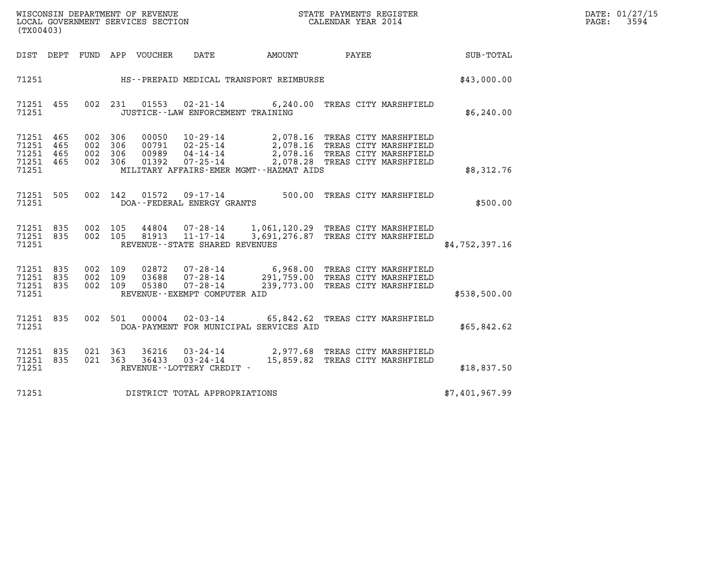| WISCONSIN DEPARTMENT OF REVENUE   | STATE PAYMENTS REGISTER | DATE: 01/27/15 |
|-----------------------------------|-------------------------|----------------|
| LOCAL GOVERNMENT SERVICES SECTION | CALENDAR YEAR 2014      | 3594<br>PAGE:  |

| WISCONSIN DEPARTMENT OF REVENUE<br>(TX00403)                                                      | LOCAL GOVERNMENT SERVICES SECTION                                                                                                                                               |                                                                                                                                      | STATE PAYMENTS REGISTER<br>CALENDAR YEAR 2014  |                |
|---------------------------------------------------------------------------------------------------|---------------------------------------------------------------------------------------------------------------------------------------------------------------------------------|--------------------------------------------------------------------------------------------------------------------------------------|------------------------------------------------|----------------|
| DEPT<br>DIST<br>FUND                                                                              | APP VOUCHER<br>DATE                                                                                                                                                             | AMOUNT                                                                                                                               | PAYEE                                          | SUB-TOTAL      |
| 71251                                                                                             | HS--PREPAID MEDICAL TRANSPORT REIMBURSE                                                                                                                                         |                                                                                                                                      |                                                | \$43,000.00    |
| 002<br>71251<br>455<br>71251                                                                      | 01553<br>231<br>JUSTICE - - LAW ENFORCEMENT TRAINING                                                                                                                            | $02 - 21 - 14$ 6, 240.00                                                                                                             | TREAS CITY MARSHFIELD                          | \$6,240.00     |
| 71251<br>465<br>002<br>71251<br>465<br>002<br>71251<br>002<br>465<br>71251<br>465<br>002<br>71251 | 306<br>00050<br>$10 - 29 - 14$<br>306<br>$02 - 25 - 14$<br>00791<br>306<br>00989<br>$04 - 14 - 14$<br>306<br>$07 - 25 - 14$<br>01392<br>MILITARY AFFAIRS-EMER MGMT--HAZMAT AIDS | 2,078.16 TREAS CITY MARSHFIELD<br>2,078.16 TREAS CITY MARSHFIELD<br>2,078.16 TREAS CITY MARSHFIELD<br>2,078.28 TREAS CITY MARSHFIELD |                                                | \$8,312.76     |
| 505<br>002<br>71251<br>71251                                                                      | 142<br>01572<br>$09 - 17 - 14$<br>DOA--FEDERAL ENERGY GRANTS                                                                                                                    | 500.00                                                                                                                               | TREAS CITY MARSHFIELD                          | \$500.00       |
| 71251<br>835<br>002<br>835<br>002<br>71251<br>71251                                               | 105<br>$07 - 28 - 14$<br>44804<br>105<br>$11 - 17 - 14$<br>81913<br>REVENUE - - STATE SHARED REVENUES                                                                           | 1,061,120.29 TREAS CITY MARSHFIELD<br>3,691,276.87 TREAS CITY MARSHFIELD                                                             |                                                | \$4,752,397.16 |
| 002<br>71251<br>835<br>71251<br>835<br>002<br>002<br>71251<br>835<br>71251                        | 109<br>02872<br>$07 - 28 - 14$<br>$07 - 28 - 14$<br>109<br>03688<br>05380<br>$07 - 28 - 14$<br>109<br>REVENUE--EXEMPT COMPUTER AID                                              | 6,968.00 TREAS CITY MARSHFIELD<br>291,759.00 TREAS CITY MARSHFIELD<br>239,773.00 TREAS CITY MARSHFIELD                               |                                                | \$538,500.00   |
| 71251<br>835<br>002<br>71251                                                                      | 501<br>00004<br>$02 - 03 - 14$<br>DOA-PAYMENT FOR MUNICIPAL SERVICES AID                                                                                                        | 65,842.62                                                                                                                            | TREAS CITY MARSHFIELD                          | \$65,842.62    |
| 71251<br>021<br>835<br>71251<br>835<br>021<br>71251                                               | 36216<br>$03 - 24 - 14$<br>363<br>$03 - 24 - 14$<br>363<br>36433<br>REVENUE - - LOTTERY CREDIT -                                                                                | 2,977.68<br>15,859.82                                                                                                                | TREAS CITY MARSHFIELD<br>TREAS CITY MARSHFIELD | \$18,837.50    |
| 71251                                                                                             | DISTRICT TOTAL APPROPRIATIONS                                                                                                                                                   |                                                                                                                                      |                                                | \$7,401,967.99 |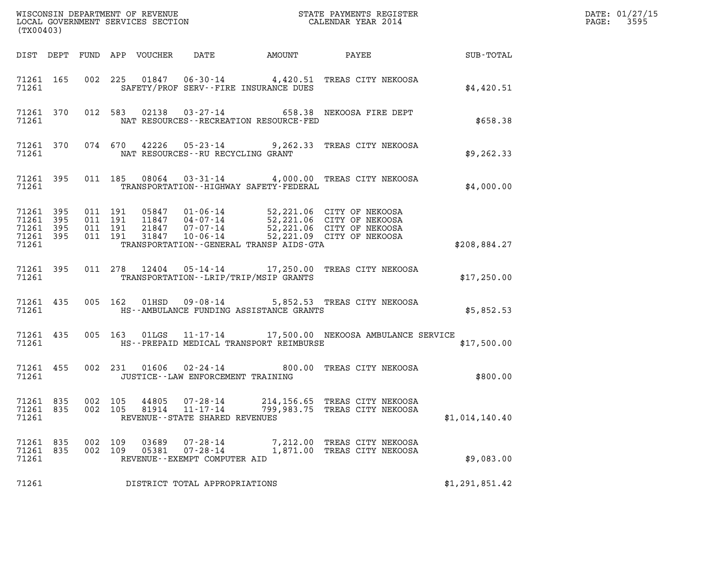| (TX00403)                       |                                     |                               |         |                |                                                                       |                                             |                                                                                                                                                                                          |                | DATE: 01/27/15<br>3595<br>$\mathtt{PAGE:}$ |
|---------------------------------|-------------------------------------|-------------------------------|---------|----------------|-----------------------------------------------------------------------|---------------------------------------------|------------------------------------------------------------------------------------------------------------------------------------------------------------------------------------------|----------------|--------------------------------------------|
|                                 |                                     |                               |         |                |                                                                       | DIST DEPT FUND APP VOUCHER DATE AMOUNT      | <b>PAYEE</b> FOR THE PAYEE                                                                                                                                                               | SUB-TOTAL      |                                            |
| 71261                           | 71261 165                           |                               |         |                |                                                                       | SAFETY/PROF SERV--FIRE INSURANCE DUES       | 002 225 01847 06-30-14 4,420.51 TREAS CITY NEKOOSA                                                                                                                                       | \$4.420.51     |                                            |
| 71261                           |                                     |                               |         |                |                                                                       | NAT RESOURCES - - RECREATION RESOURCE - FED | 71261 370 012 583 02138 03-27-14 658.38 NEKOOSA FIRE DEPT                                                                                                                                | \$658.38       |                                            |
|                                 | 71261                               |                               |         |                |                                                                       | NAT RESOURCES--RU RECYCLING GRANT           | 71261 370 074 670 42226 05-23-14 9,262.33 TREAS CITY NEKOOSA                                                                                                                             | \$9,262.33     |                                            |
| 71261                           | 71261 395                           |                               |         |                |                                                                       | TRANSPORTATION - - HIGHWAY SAFETY - FEDERAL | 011 185 08064 03-31-14 4,000.00 TREAS CITY NEKOOSA                                                                                                                                       | \$4,000.00     |                                            |
| 71261 395<br>71261              | 71261 395<br>71261 395<br>71261 395 | 011 191<br>011 191<br>011 191 | 011 191 |                |                                                                       | TRANSPORTATION--GENERAL TRANSP AIDS-GTA     | 05847  01-06-14  52,221.06  CITY OF NEKOOSA<br>11847  04-07-14  52,221.06  CITY OF NEKOOSA<br>21847  07-07-14  52,221.06  CITY OF NEKOOSA<br>31847  10-06-14  52,221.09  CITY OF NEKOOSA | \$208,884.27   |                                            |
| 71261                           | 71261 395                           |                               |         |                |                                                                       | TRANSPORTATION - - LRIP/TRIP/MSIP GRANTS    | 011 278 12404 05-14-14 17,250.00 TREAS CITY NEKOOSA                                                                                                                                      | \$17,250.00    |                                            |
| 71261                           | 71261 435                           |                               |         |                |                                                                       | HS--AMBULANCE FUNDING ASSISTANCE GRANTS     | 005 162 01HSD 09-08-14 5,852.53 TREAS CITY NEKOOSA                                                                                                                                       | \$5,852.53     |                                            |
| 71261                           | 71261 435                           |                               |         |                |                                                                       | HS--PREPAID MEDICAL TRANSPORT REIMBURSE     | 005 163 01LGS 11-17-14 17,500.00 NEKOOSA AMBULANCE SERVICE                                                                                                                               | \$17,500.00    |                                            |
| 71261                           | 71261 455                           |                               |         |                |                                                                       | JUSTICE -- LAW ENFORCEMENT TRAINING         | 002 231 01606 02-24-14 800.00 TREAS CITY NEKOOSA                                                                                                                                         | \$800.00       |                                            |
| 71261 835<br>71261 835<br>71261 |                                     | 002 105<br>002 105            |         | 44805<br>81914 | $07 - 28 - 14$<br>$11 - 17 - 14$<br>REVENUE - - STATE SHARED REVENUES | 214,156.65<br>799,983.75                    | TREAS CITY NEKOOSA<br>TREAS CITY NEKOOSA                                                                                                                                                 | \$1,014,140.40 |                                            |
| 71261 835<br>71261 835<br>71261 |                                     | 002 109<br>002 109            |         | 03689<br>05381 | $07 - 28 - 14$<br>$07 - 28 - 14$<br>REVENUE--EXEMPT COMPUTER AID      |                                             | 7,212.00 TREAS CITY NEKOOSA<br>1,871.00 TREAS CITY NEKOOSA                                                                                                                               | \$9,083.00     |                                            |
| 71261                           |                                     |                               |         |                | DISTRICT TOTAL APPROPRIATIONS                                         |                                             |                                                                                                                                                                                          | \$1,291,851.42 |                                            |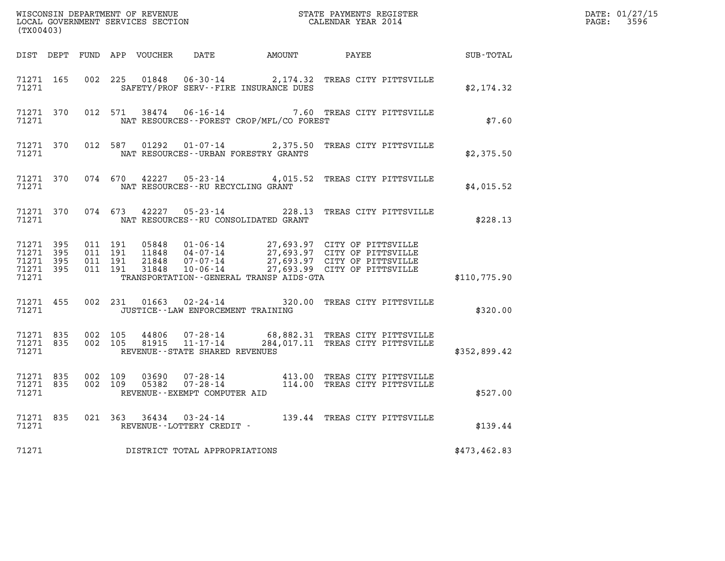| (TX00403)          |                                     |                                          |                                      |                                          |                                                                                                                                                                                                      |              | DATE: 01/27/15<br>PAGE: 3596 |
|--------------------|-------------------------------------|------------------------------------------|--------------------------------------|------------------------------------------|------------------------------------------------------------------------------------------------------------------------------------------------------------------------------------------------------|--------------|------------------------------|
|                    |                                     |                                          |                                      |                                          | DIST DEPT FUND APP VOUCHER DATE AMOUNT PAYEE                                                                                                                                                         | SUB-TOTAL    |                              |
|                    | 71271 165<br>71271                  |                                          |                                      | SAFETY/PROF SERV--FIRE INSURANCE DUES    | 002 225 01848 06-30-14 2,174.32 TREAS CITY PITTSVILLE                                                                                                                                                | \$2,174.32   |                              |
| 71271              | 71271 370                           |                                          |                                      | NAT RESOURCES--FOREST CROP/MFL/CO FOREST | 012 571 38474 06-16-14 7.60 TREAS CITY PITTSVILLE                                                                                                                                                    | \$7.60       |                              |
| 71271              | 71271 370                           |                                          |                                      | NAT RESOURCES--URBAN FORESTRY GRANTS     | 012 587 01292 01-07-14 2,375.50 TREAS CITY PITTSVILLE                                                                                                                                                | \$2,375.50   |                              |
| 71271              | 71271 370                           |                                          | NAT RESOURCES--RU RECYCLING GRANT    |                                          | 074 670 42227 05-23-14 4,015.52 TREAS CITY PITTSVILLE                                                                                                                                                | \$4,015.52   |                              |
| 71271 370<br>71271 |                                     |                                          |                                      | NAT RESOURCES--RU CONSOLIDATED GRANT     | 074 673 42227 05-23-14 228.13 TREAS CITY PITTSVILLE                                                                                                                                                  | \$228.13     |                              |
| 71271 395<br>71271 | 71271 395<br>71271 395<br>71271 395 | 011 191<br>011 191<br>011 191<br>011 191 |                                      | TRANSPORTATION--GENERAL TRANSP AIDS-GTA  | 05848  01-06-14  27,693.97  CITY OF PITTSVILLE<br>11848  04-07-14  27,693.97  CITY OF PITTSVILLE<br>21848  07-07-14  27,693.97  CITY OF PITTSVILLE<br>31848  10-06-14  27,693.99  CITY OF PITTSVILLE | \$110,775.90 |                              |
|                    | 71271 455<br>71271                  |                                          | JUSTICE - - LAW ENFORCEMENT TRAINING |                                          | 002 231 01663 02-24-14 320.00 TREAS CITY PITTSVILLE                                                                                                                                                  | \$320.00     |                              |
| 71271              |                                     |                                          | REVENUE--STATE SHARED REVENUES       |                                          | 71271 835 002 105 44806 07-28-14 68,882.31 TREAS CITY PITTSVILLE<br>71271 835 002 105 81915 11-17-14 284,017.11 TREAS CITY PITTSVILLE                                                                | \$352,899.42 |                              |
| 71271              | 71271 835<br>71271 835              |                                          | REVENUE--EXEMPT COMPUTER AID         |                                          | 002 109 03690 07-28-14 413.00 TREAS CITY PITTSVILLE<br>002 109 05382 07-28-14 114.00 TREAS CITY PITTSVILLE                                                                                           | \$527.00     |                              |
| 71271              |                                     |                                          | REVENUE--LOTTERY CREDIT -            |                                          | 71271 835 021 363 36434 03-24-14 139.44 TREAS CITY PITTSVILLE                                                                                                                                        | \$139.44     |                              |
| 71271              |                                     |                                          | DISTRICT TOTAL APPROPRIATIONS        |                                          |                                                                                                                                                                                                      | \$473,462.83 |                              |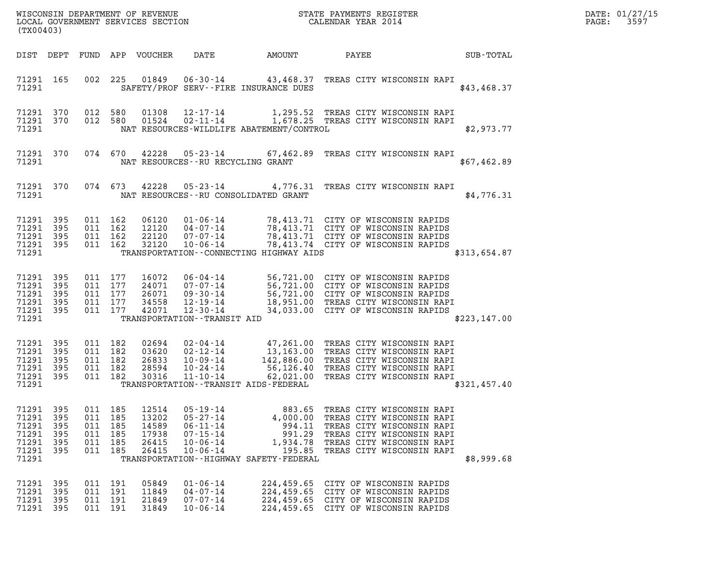| DATE: | 01/27/15 |
|-------|----------|
| PAGE: | 3597     |

| (TX00403)                                                       |                                 |                                                     |                |                                                    |                                                                                                          | ${\tt WISCOONSIM} \begin{tabular}{lcccc} DEPARTMENT OF REVENUE & & & & & & & \begin{tabular}{l} \bf STATE} & \bf PAYMENTS & REGISTER \\ \bf LOCAL GOVERNMENT & SERVICES & SECTION & & & & & & \begin{tabular}{l} \bf CALENDAR & YEAR & 2014 \end{tabular} \end{tabular}$ |                                                                                                                                                                            |  | DATE: 01/27/15<br>$\mathtt{PAGE}$ :<br>3597 |  |
|-----------------------------------------------------------------|---------------------------------|-----------------------------------------------------|----------------|----------------------------------------------------|----------------------------------------------------------------------------------------------------------|--------------------------------------------------------------------------------------------------------------------------------------------------------------------------------------------------------------------------------------------------------------------------|----------------------------------------------------------------------------------------------------------------------------------------------------------------------------|--|---------------------------------------------|--|
|                                                                 |                                 |                                                     |                | DIST DEPT FUND APP VOUCHER                         | DATE                                                                                                     | AMOUNT                                                                                                                                                                                                                                                                   | PAYEE                                                                                                                                                                      |  | SUB-TOTAL                                   |  |
| 71291 165<br>71291                                              |                                 | 002 225                                             |                |                                                    | 01849   06-30-14                                                                                         | 43,468.37 TREAS CITY WISCONSIN RAPI<br>SAFETY/PROF SERV--FIRE INSURANCE DUES                                                                                                                                                                                             |                                                                                                                                                                            |  | \$43,468.37                                 |  |
| 71291 370<br>71291 370<br>71291                                 |                                 | 012 580                                             | 012 580        |                                                    |                                                                                                          | 01308  12-17-14   1,295.52  TREAS CITY WISCONSIN RAPI<br>01524  02-11-14   1,678.25  TREAS CITY WISCONSIN RAPI<br>NAT RESOURCES-WILDLIFE ABATEMENT/CONTROL                                                                                                               |                                                                                                                                                                            |  | \$2,973.77                                  |  |
| 71291 370<br>71291                                              |                                 |                                                     |                |                                                    | NAT RESOURCES--RU RECYCLING GRANT                                                                        | 074 670 42228 05-23-14 67,462.89 TREAS CITY WISCONSIN RAPI                                                                                                                                                                                                               |                                                                                                                                                                            |  | \$67,462.89                                 |  |
| 71291 370<br>71291                                              |                                 |                                                     | 074 673        | 42228                                              |                                                                                                          | 05-23-14 4,776.31 TREAS CITY WISCONSIN RAPI<br>NAT RESOURCES--RU CONSOLIDATED GRANT                                                                                                                                                                                      |                                                                                                                                                                            |  | \$4,776.31                                  |  |
| 71291 395<br>71291 395<br>71291<br>71291 395<br>71291           | 395                             | 011 162<br>011 162<br>011 162<br>011 162            |                | 06120<br>12120<br>22120<br>32120                   | 10-06-14                                                                                                 | 01-06-14 78,413.71 CITY OF WISCONSIN RAPIDS<br>04-07-14 78,413.71 CITY OF WISCONSIN RAPIDS<br>07-07-14 78,413.71 CITY OF WISCONSIN RAPIDS<br>TRANSPORTATION -- CONNECTING HIGHWAY AIDS                                                                                   | 78,413.74 CITY OF WISCONSIN RAPIDS                                                                                                                                         |  | \$313,654.87                                |  |
| 71291 395<br>71291<br>71291 395<br>71291<br>71291 395<br>71291  | 395<br>395                      | 011 177<br>011 177<br>011 177<br>011 177<br>011 177 |                | 16072<br>24071<br>26071<br>34558<br>42071          | TRANSPORTATION - - TRANSIT AID                                                                           | 06-04-14 56,721.00 CITY OF WISCONSIN RAPIDS<br>07-07-14 56,721.00 CITY OF WISCONSIN RAPIDS<br>09-30-14 56,721.00 CITY OF WISCONSIN RAPIDS<br>12-19-14 18,951.00 TREAS CITY WISCONSIN RAPI<br>12-30-14 34,033.00 CITY OF WISCONSIN RAPIDS                                 |                                                                                                                                                                            |  | \$223,147.00                                |  |
| 71291 395<br>71291<br>71291<br>71291<br>71291<br>71291          | 395<br>395<br>395<br>395        | 011 182<br>011 182<br>011 182<br>011 182<br>011 182 |                | 02694<br>03620<br>26833<br>28594<br>30316          | $11 - 10 - 14$                                                                                           | 02-04-14<br>02-12-14<br>02-12-14<br>13,163.00 TREAS CITY WISCONSIN RAPI<br>10-09-14<br>142,886.00 TREAS CITY WISCONSIN RAPI<br>10-24-14 56,126.40 TREAS CITY WISCONSIN RAPI<br>TRANSPORTATION - - TRANSIT AIDS - FEDERAL                                                 | 62,021.00 TREAS CITY WISCONSIN RAPI                                                                                                                                        |  | \$321,457.40                                |  |
| 71291 395<br>71291<br>71291<br>71291<br>71291<br>71291<br>71291 | 395<br>395<br>395<br>395<br>395 | 011 185<br>011<br>011 185<br>011 185<br>011 185     | 185<br>011 185 | 12514<br>13202<br>14589<br>17938<br>26415<br>26415 | $05 - 19 - 14$<br>$05 - 27 - 14$<br>$06 - 11 - 14$<br>$07 - 15 - 14$<br>$10 - 06 - 14$<br>$10 - 06 - 14$ | 883.65<br>4,000.00<br>994.11<br>991.29<br>1,934.78<br>195.85<br>TRANSPORTATION - - HIGHWAY SAFETY - FEDERAL                                                                                                                                                              | TREAS CITY WISCONSIN RAPI<br>TREAS CITY WISCONSIN RAPI<br>TREAS CITY WISCONSIN RAPI<br>TREAS CITY WISCONSIN RAPI<br>TREAS CITY WISCONSIN RAPI<br>TREAS CITY WISCONSIN RAPI |  | \$8,999.68                                  |  |
| 71291<br>71291<br>71291<br>71291                                | 395<br>395<br>395<br>395        | 011 191<br>011 191<br>011 191<br>011 191            |                | 05849<br>11849<br>21849<br>31849                   | $01 - 06 - 14$<br>$04 - 07 - 14$<br>$07 - 07 - 14$<br>$10 - 06 - 14$                                     | 224,459.65<br>224,459.65<br>224,459.65                                                                                                                                                                                                                                   | CITY OF WISCONSIN RAPIDS<br>CITY OF WISCONSIN RAPIDS<br>CITY OF WISCONSIN RAPIDS<br>224,459.65 CITY OF WISCONSIN RAPIDS                                                    |  |                                             |  |